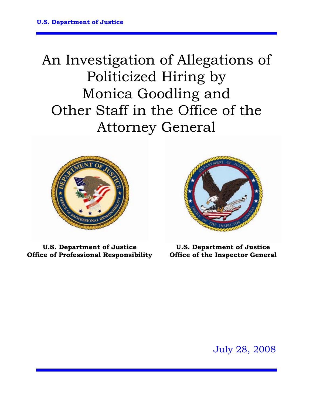An Investigation of Allegations of Politicized Hiring by Monica Goodling and Other Staff in the Office of the Attorney General



**U.S. Department of Justice Office of Professional Responsibility**



**U.S. Department of Justice Office of the Inspector General**

July 28, 2008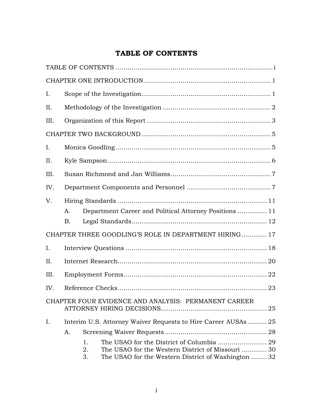# **TABLE OF CONTENTS**

<span id="page-1-0"></span>

| I.   |                                                                                                                          |  |  |  |  |  |
|------|--------------------------------------------------------------------------------------------------------------------------|--|--|--|--|--|
| II.  |                                                                                                                          |  |  |  |  |  |
| III. |                                                                                                                          |  |  |  |  |  |
|      |                                                                                                                          |  |  |  |  |  |
| I.   |                                                                                                                          |  |  |  |  |  |
| II.  |                                                                                                                          |  |  |  |  |  |
| III. |                                                                                                                          |  |  |  |  |  |
| IV.  |                                                                                                                          |  |  |  |  |  |
| V.   | Department Career and Political Attorney Positions  11<br>A.<br>B.                                                       |  |  |  |  |  |
|      | CHAPTER THREE GOODLING'S ROLE IN DEPARTMENT HIRING 17                                                                    |  |  |  |  |  |
| I.   |                                                                                                                          |  |  |  |  |  |
| II.  |                                                                                                                          |  |  |  |  |  |
| III. |                                                                                                                          |  |  |  |  |  |
| IV.  |                                                                                                                          |  |  |  |  |  |
|      | CHAPTER FOUR EVIDENCE AND ANALYSIS: PERMANENT CAREER                                                                     |  |  |  |  |  |
| I.   | Interim U.S. Attorney Waiver Requests to Hire Career AUSAs 25                                                            |  |  |  |  |  |
|      | A.                                                                                                                       |  |  |  |  |  |
|      | 1.<br>The USAO for the Western District of Missouri 30<br>2.<br>3.<br>The USAO for the Western District of Washington 32 |  |  |  |  |  |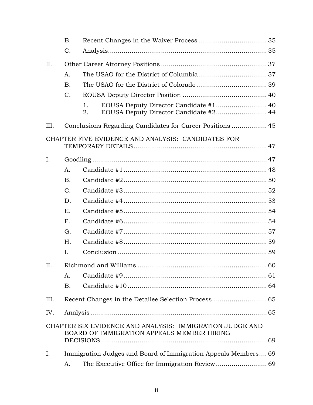|      | <b>B.</b>       |                                                                                                        |  |  |  |  |  |
|------|-----------------|--------------------------------------------------------------------------------------------------------|--|--|--|--|--|
|      | $C$ .           |                                                                                                        |  |  |  |  |  |
| Π.   |                 |                                                                                                        |  |  |  |  |  |
|      | A.              |                                                                                                        |  |  |  |  |  |
|      | <b>B.</b>       |                                                                                                        |  |  |  |  |  |
|      | $\mathcal{C}$ . |                                                                                                        |  |  |  |  |  |
|      |                 | EOUSA Deputy Director Candidate #1 40<br>1.<br>EOUSA Deputy Director Candidate #2 44<br>2.             |  |  |  |  |  |
| III. |                 |                                                                                                        |  |  |  |  |  |
|      |                 | CHAPTER FIVE EVIDENCE AND ANALYSIS: CANDIDATES FOR                                                     |  |  |  |  |  |
| I.   |                 |                                                                                                        |  |  |  |  |  |
|      | A.              |                                                                                                        |  |  |  |  |  |
|      | <b>B.</b>       |                                                                                                        |  |  |  |  |  |
|      | $C$ .           |                                                                                                        |  |  |  |  |  |
|      | D.              |                                                                                                        |  |  |  |  |  |
|      | Ε.              |                                                                                                        |  |  |  |  |  |
|      | F <sub>1</sub>  |                                                                                                        |  |  |  |  |  |
|      | G.              |                                                                                                        |  |  |  |  |  |
|      | Η.              |                                                                                                        |  |  |  |  |  |
|      | Ι.              |                                                                                                        |  |  |  |  |  |
| II.  |                 |                                                                                                        |  |  |  |  |  |
|      | A.              |                                                                                                        |  |  |  |  |  |
|      | B.              |                                                                                                        |  |  |  |  |  |
| III. |                 | Recent Changes in the Detailee Selection Process 65                                                    |  |  |  |  |  |
| IV.  |                 |                                                                                                        |  |  |  |  |  |
|      |                 | CHAPTER SIX EVIDENCE AND ANALYSIS: IMMIGRATION JUDGE AND<br>BOARD OF IMMIGRATION APPEALS MEMBER HIRING |  |  |  |  |  |
| Ι.   |                 | Immigration Judges and Board of Immigration Appeals Members 69                                         |  |  |  |  |  |
|      | A.              |                                                                                                        |  |  |  |  |  |
|      |                 |                                                                                                        |  |  |  |  |  |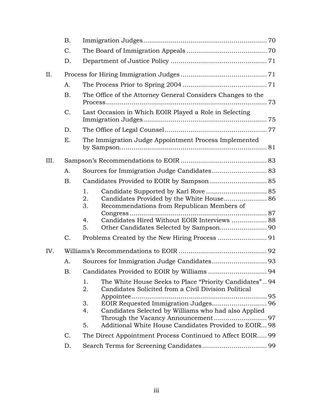|      | <b>B.</b>       |                                                                                                                                                   |  |  |  |  |  |  |
|------|-----------------|---------------------------------------------------------------------------------------------------------------------------------------------------|--|--|--|--|--|--|
|      | C.              |                                                                                                                                                   |  |  |  |  |  |  |
|      | D.              |                                                                                                                                                   |  |  |  |  |  |  |
| II.  |                 |                                                                                                                                                   |  |  |  |  |  |  |
|      | A.              |                                                                                                                                                   |  |  |  |  |  |  |
|      | <b>B.</b>       | The Office of the Attorney General Considers Changes to the                                                                                       |  |  |  |  |  |  |
|      | C.              | Last Occasion in Which EOIR Played a Role in Selecting                                                                                            |  |  |  |  |  |  |
|      | D.              |                                                                                                                                                   |  |  |  |  |  |  |
|      | Ε.              | The Immigration Judge Appointment Process Implemented                                                                                             |  |  |  |  |  |  |
| III. |                 |                                                                                                                                                   |  |  |  |  |  |  |
|      | A.              |                                                                                                                                                   |  |  |  |  |  |  |
|      | <b>B.</b>       |                                                                                                                                                   |  |  |  |  |  |  |
|      |                 | Candidate Supported by Karl Rove  85<br>1.<br>Candidates Provided by the White House 86<br>2.<br>3.<br>Recommendations from Republican Members of |  |  |  |  |  |  |
|      |                 | Candidates Hired Without EOIR Interviews  88<br>4.<br>Other Candidates Selected by Sampson 90<br>5.                                               |  |  |  |  |  |  |
|      | $C$ .           |                                                                                                                                                   |  |  |  |  |  |  |
| IV.  |                 |                                                                                                                                                   |  |  |  |  |  |  |
|      | A.              | Sources for Immigration Judge Candidates 93                                                                                                       |  |  |  |  |  |  |
|      | B.              |                                                                                                                                                   |  |  |  |  |  |  |
|      |                 | The White House Seeks to Place "Priority Candidates" 94<br>1.<br>2.<br>Candidates Solicited from a Civil Division Political                       |  |  |  |  |  |  |
|      |                 | EOIR Requested Immigration Judges 96<br>3.<br>4.<br>Candidates Selected by Williams who had also Applied                                          |  |  |  |  |  |  |
|      |                 | Additional White House Candidates Provided to EOIR 98<br>5.                                                                                       |  |  |  |  |  |  |
|      | $\mathcal{C}$ . | The Direct Appointment Process Continued to Affect EOIR 99                                                                                        |  |  |  |  |  |  |
|      | D.              |                                                                                                                                                   |  |  |  |  |  |  |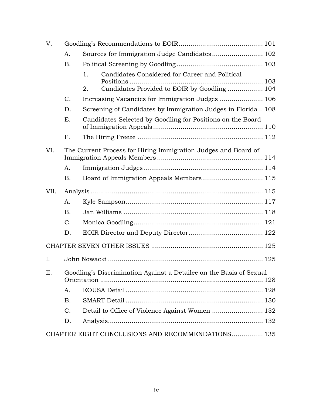| V.   |                                                                     |                                                                                                            |  |  |  |  |  |  |
|------|---------------------------------------------------------------------|------------------------------------------------------------------------------------------------------------|--|--|--|--|--|--|
|      | A.                                                                  | Sources for Immigration Judge Candidates 102                                                               |  |  |  |  |  |  |
|      | <b>B.</b>                                                           |                                                                                                            |  |  |  |  |  |  |
|      |                                                                     | Candidates Considered for Career and Political<br>1.<br>Candidates Provided to EOIR by Goodling  104<br>2. |  |  |  |  |  |  |
|      | $C$ .                                                               | Increasing Vacancies for Immigration Judges  106                                                           |  |  |  |  |  |  |
|      | D.                                                                  | Screening of Candidates by Immigration Judges in Florida  108                                              |  |  |  |  |  |  |
|      | E.                                                                  | Candidates Selected by Goodling for Positions on the Board                                                 |  |  |  |  |  |  |
|      | F.                                                                  |                                                                                                            |  |  |  |  |  |  |
| VI.  |                                                                     | The Current Process for Hiring Immigration Judges and Board of                                             |  |  |  |  |  |  |
|      | A.                                                                  |                                                                                                            |  |  |  |  |  |  |
|      | <b>B.</b>                                                           |                                                                                                            |  |  |  |  |  |  |
| VII. |                                                                     |                                                                                                            |  |  |  |  |  |  |
|      | A.                                                                  |                                                                                                            |  |  |  |  |  |  |
|      | <b>B.</b>                                                           |                                                                                                            |  |  |  |  |  |  |
|      | C.                                                                  |                                                                                                            |  |  |  |  |  |  |
|      | D.                                                                  |                                                                                                            |  |  |  |  |  |  |
|      |                                                                     |                                                                                                            |  |  |  |  |  |  |
| I.   |                                                                     |                                                                                                            |  |  |  |  |  |  |
| II.  | Goodling's Discrimination Against a Detailee on the Basis of Sexual |                                                                                                            |  |  |  |  |  |  |
|      | A.                                                                  |                                                                                                            |  |  |  |  |  |  |
|      | <b>B.</b>                                                           |                                                                                                            |  |  |  |  |  |  |
|      | $\mathcal{C}$ .                                                     |                                                                                                            |  |  |  |  |  |  |
|      | D.                                                                  |                                                                                                            |  |  |  |  |  |  |
|      |                                                                     | CHAPTER EIGHT CONCLUSIONS AND RECOMMENDATIONS 135                                                          |  |  |  |  |  |  |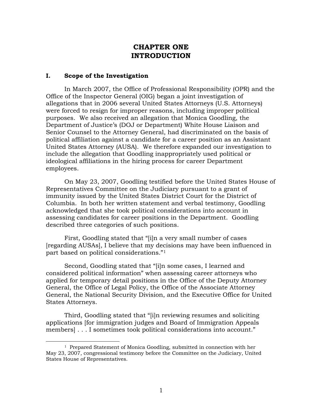# **CHAPTER ONE INTRODUCTION**

#### <span id="page-5-0"></span>**I. Scope of the Investigation**

In March 2007, the Office of Professional Responsibility (OPR) and the Office of the Inspector General (OIG) began a joint investigation of allegations that in 2006 several United States Attorneys (U.S. Attorneys) were forced to resign for improper reasons, including improper political purposes. We also received an allegation that Monica Goodling, the Department of Justice's (DOJ or Department) White House Liaison and Senior Counsel to the Attorney General, had discriminated on the basis of political affiliation against a candidate for a career position as an Assistant United States Attorney (AUSA). We therefore expanded our investigation to include the allegation that Goodling inappropriately used political or ideological affiliations in the hiring process for career Department employees.

On May 23, 2007, Goodling testified before the United States House of Representatives Committee on the Judiciary pursuant to a grant of immunity issued by the United States District Court for the District of Columbia. In both her written statement and verbal testimony, Goodling acknowledged that she took political considerations into account in assessing candidates for career positions in the Department. Goodling described three categories of such positions.

First, Goodling stated that "[i]n a very small number of cases [regarding AUSAs], I believe that my decisions may have been influenced in part based on political considerations."[1](#page-5-1)

Second, Goodling stated that "[i]n some cases, I learned and considered political information" when assessing career attorneys who applied for temporary detail positions in the Office of the Deputy Attorney General, the Office of Legal Policy, the Office of the Associate Attorney General, the National Security Division, and the Executive Office for United States Attorneys.

Third, Goodling stated that "[i]n reviewing resumes and soliciting applications [for immigration judges and Board of Immigration Appeals members] . . . I sometimes took political considerations into account."

<span id="page-5-1"></span> <sup>1</sup> Prepared Statement of Monica Goodling, submitted in connection with her May 23, 2007, congressional testimony before the Committee on the Judiciary, United States House of Representatives.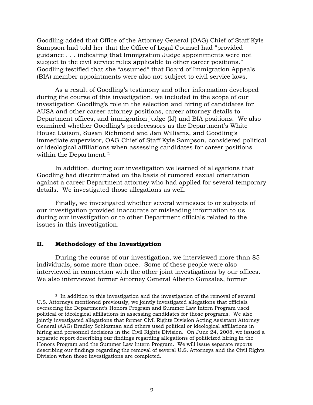<span id="page-6-0"></span>Goodling added that Office of the Attorney General (OAG) Chief of Staff Kyle Sampson had told her that the Office of Legal Counsel had "provided guidance . . . indicating that Immigration Judge appointments were not subject to the civil service rules applicable to other career positions." Goodling testified that she "assumed" that Board of Immigration Appeals (BIA) member appointments were also not subject to civil service laws.

As a result of Goodling's testimony and other information developed during the course of this investigation, we included in the scope of our investigation Goodling's role in the selection and hiring of candidates for AUSA and other career attorney positions, career attorney details to Department offices, and immigration judge (IJ) and BIA positions. We also examined whether Goodling's predecessors as the Department's White House Liaison, Susan Richmond and Jan Williams, and Goodling's immediate supervisor, OAG Chief of Staff Kyle Sampson, considered political or ideological affiliations when assessing candidates for career positions within the Department.<sup>[2](#page-6-1)</sup>

In addition, during our investigation we learned of allegations that Goodling had discriminated on the basis of rumored sexual orientation against a career Department attorney who had applied for several temporary details. We investigated those allegations as well.

Finally, we investigated whether several witnesses to or subjects of our investigation provided inaccurate or misleading information to us during our investigation or to other Department officials related to the issues in this investigation.

#### **II. Methodology of the Investigation**

During the course of our investigation, we interviewed more than 85 individuals, some more than once. Some of these people were also interviewed in connection with the other joint investigations by our offices. We also interviewed former Attorney General Alberto Gonzales, former

<span id="page-6-1"></span> <sup>2</sup> In addition to this investigation and the investigation of the removal of several U.S. Attorneys mentioned previously, we jointly investigated allegations that officials overseeing the Department's Honors Program and Summer Law Intern Program used political or ideological affiliations in assessing candidates for those programs. We also jointly investigated allegations that former Civil Rights Division Acting Assistant Attorney General (AAG) Bradley Schlozman and others used political or ideological affiliations in hiring and personnel decisions in the Civil Rights Division. On June 24, 2008, we issued a separate report describing our findings regarding allegations of politicized hiring in the Honors Program and the Summer Law Intern Program. We will issue separate reports describing our findings regarding the removal of several U.S. Attorneys and the Civil Rights Division when those investigations are completed.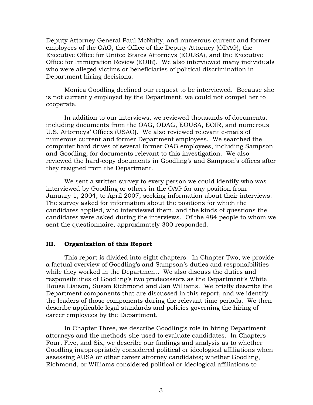<span id="page-7-0"></span>Deputy Attorney General Paul McNulty, and numerous current and former employees of the OAG, the Office of the Deputy Attorney (ODAG), the Executive Office for United States Attorneys (EOUSA), and the Executive Office for Immigration Review (EOIR). We also interviewed many individuals who were alleged victims or beneficiaries of political discrimination in Department hiring decisions.

Monica Goodling declined our request to be interviewed. Because she is not currently employed by the Department, we could not compel her to cooperate.

In addition to our interviews, we reviewed thousands of documents, including documents from the OAG, ODAG, EOUSA, EOIR, and numerous U.S. Attorneys' Offices (USAO). We also reviewed relevant e-mails of numerous current and former Department employees. We searched the computer hard drives of several former OAG employees, including Sampson and Goodling, for documents relevant to this investigation. We also reviewed the hard-copy documents in Goodling's and Sampson's offices after they resigned from the Department.

We sent a written survey to every person we could identify who was interviewed by Goodling or others in the OAG for any position from January 1, 2004, to April 2007, seeking information about their interviews. The survey asked for information about the positions for which the candidates applied, who interviewed them, and the kinds of questions the candidates were asked during the interviews. Of the 484 people to whom we sent the questionnaire, approximately 300 responded.

#### **III. Organization of this Report**

This report is divided into eight chapters. In Chapter Two, we provide a factual overview of Goodling's and Sampson's duties and responsibilities while they worked in the Department. We also discuss the duties and responsibilities of Goodling's two predecessors as the Department's White House Liaison, Susan Richmond and Jan Williams. We briefly describe the Department components that are discussed in this report, and we identify the leaders of those components during the relevant time periods. We then describe applicable legal standards and policies governing the hiring of career employees by the Department.

In Chapter Three, we describe Goodling's role in hiring Department attorneys and the methods she used to evaluate candidates. In Chapters Four, Five, and Six, we describe our findings and analysis as to whether Goodling inappropriately considered political or ideological affiliations when assessing AUSA or other career attorney candidates; whether Goodling, Richmond, or Williams considered political or ideological affiliations to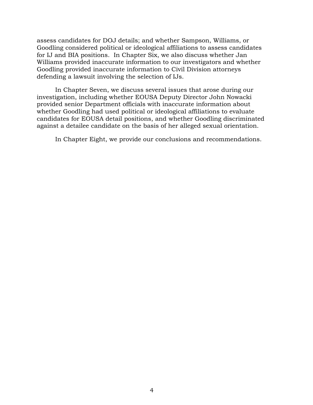assess candidates for DOJ details; and whether Sampson, Williams, or Goodling considered political or ideological affiliations to assess candidates for IJ and BIA positions. In Chapter Six, we also discuss whether Jan Williams provided inaccurate information to our investigators and whether Goodling provided inaccurate information to Civil Division attorneys defending a lawsuit involving the selection of IJs.

In Chapter Seven, we discuss several issues that arose during our investigation, including whether EOUSA Deputy Director John Nowacki provided senior Department officials with inaccurate information about whether Goodling had used political or ideological affiliations to evaluate candidates for EOUSA detail positions, and whether Goodling discriminated against a detailee candidate on the basis of her alleged sexual orientation.

In Chapter Eight, we provide our conclusions and recommendations.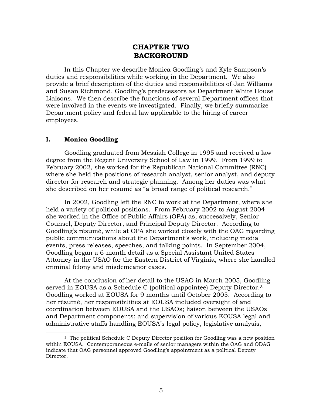# **CHAPTER TWO BACKGROUND**

<span id="page-9-0"></span>In this Chapter we describe Monica Goodling's and Kyle Sampson's duties and responsibilities while working in the Department. We also provide a brief description of the duties and responsibilities of Jan Williams and Susan Richmond, Goodling's predecessors as Department White House Liaisons. We then describe the functions of several Department offices that were involved in the events we investigated. Finally, we briefly summarize Department policy and federal law applicable to the hiring of career employees.

#### **I. Monica Goodling**

Goodling graduated from Messiah College in 1995 and received a law degree from the Regent University School of Law in 1999. From 1999 to February 2002, she worked for the Republican National Committee (RNC) where she held the positions of research analyst, senior analyst, and deputy director for research and strategic planning. Among her duties was what she described on her résumé as "a broad range of political research."

In 2002, Goodling left the RNC to work at the Department, where she held a variety of political positions. From February 2002 to August 2004 she worked in the Office of Public Affairs (OPA) as, successively, Senior Counsel, Deputy Director, and Principal Deputy Director. According to Goodling's résumé, while at OPA she worked closely with the OAG regarding public communications about the Department's work, including media events, press releases, speeches, and talking points. In September 2004, Goodling began a 6-month detail as a Special Assistant United States Attorney in the USAO for the Eastern District of Virginia, where she handled criminal felony and misdemeanor cases.

At the conclusion of her detail to the USAO in March 2005, Goodling served in EOUSA as a Schedule C (political appointee) Deputy Director.[3](#page-9-1)  Goodling worked at EOUSA for 9 months until October 2005. According to her résumé, her responsibilities at EOUSA included oversight of and coordination between EOUSA and the USAOs; liaison between the USAOs and Department components; and supervision of various EOUSA legal and administrative staffs handling EOUSA's legal policy, legislative analysis,

<span id="page-9-1"></span> <sup>3</sup> The political Schedule C Deputy Director position for Goodling was a new position within EOUSA. Contemporaneous e-mails of senior managers within the OAG and ODAG indicate that OAG personnel approved Goodling's appointment as a political Deputy Director.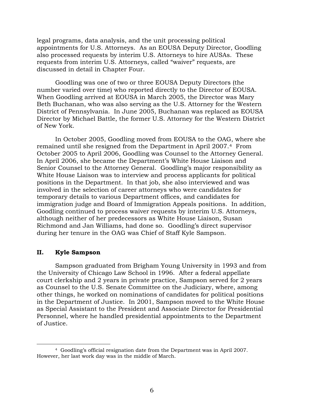<span id="page-10-0"></span>legal programs, data analysis, and the unit processing political appointments for U.S. Attorneys. As an EOUSA Deputy Director, Goodling also processed requests by interim U.S. Attorneys to hire AUSAs. These requests from interim U.S. Attorneys, called "waiver" requests, are discussed in detail in Chapter Four.

Goodling was one of two or three EOUSA Deputy Directors (the number varied over time) who reported directly to the Director of EOUSA. When Goodling arrived at EOUSA in March 2005, the Director was Mary Beth Buchanan, who was also serving as the U.S. Attorney for the Western District of Pennsylvania. In June 2005, Buchanan was replaced as EOUSA Director by Michael Battle, the former U.S. Attorney for the Western District of New York.

In October 2005, Goodling moved from EOUSA to the OAG, where she remained until she resigned from the Department in April 2007.[4](#page-10-1) From October 2005 to April 2006, Goodling was Counsel to the Attorney General. In April 2006, she became the Department's White House Liaison and Senior Counsel to the Attorney General. Goodling's major responsibility as White House Liaison was to interview and process applicants for political positions in the Department. In that job, she also interviewed and was involved in the selection of career attorneys who were candidates for temporary details to various Department offices, and candidates for immigration judge and Board of Immigration Appeals positions. In addition, Goodling continued to process waiver requests by interim U.S. Attorneys, although neither of her predecessors as White House Liaison, Susan Richmond and Jan Williams, had done so. Goodling's direct supervisor during her tenure in the OAG was Chief of Staff Kyle Sampson.

#### **II. Kyle Sampson**

Sampson graduated from Brigham Young University in 1993 and from the University of Chicago Law School in 1996. After a federal appellate court clerkship and 2 years in private practice, Sampson served for 2 years as Counsel to the U.S. Senate Committee on the Judiciary, where, among other things, he worked on nominations of candidates for political positions in the Department of Justice. In 2001, Sampson moved to the White House as Special Assistant to the President and Associate Director for Presidential Personnel, where he handled presidential appointments to the Department of Justice.

<span id="page-10-1"></span> <sup>4</sup> Goodling's official resignation date from the Department was in April 2007. However, her last work day was in the middle of March.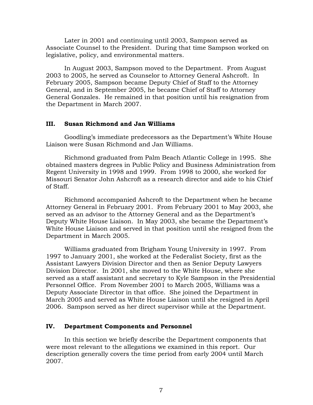<span id="page-11-0"></span>Later in 2001 and continuing until 2003, Sampson served as Associate Counsel to the President. During that time Sampson worked on legislative, policy, and environmental matters.

In August 2003, Sampson moved to the Department. From August 2003 to 2005, he served as Counselor to Attorney General Ashcroft. In February 2005, Sampson became Deputy Chief of Staff to the Attorney General, and in September 2005, he became Chief of Staff to Attorney General Gonzales. He remained in that position until his resignation from the Department in March 2007.

#### **III. Susan Richmond and Jan Williams**

Goodling's immediate predecessors as the Department's White House Liaison were Susan Richmond and Jan Williams.

Richmond graduated from Palm Beach Atlantic College in 1995. She obtained masters degrees in Public Policy and Business Administration from Regent University in 1998 and 1999. From 1998 to 2000, she worked for Missouri Senator John Ashcroft as a research director and aide to his Chief of Staff.

Richmond accompanied Ashcroft to the Department when he became Attorney General in February 2001. From February 2001 to May 2003, she served as an advisor to the Attorney General and as the Department's Deputy White House Liaison. In May 2003, she became the Department's White House Liaison and served in that position until she resigned from the Department in March 2005.

Williams graduated from Brigham Young University in 1997. From 1997 to January 2001, she worked at the Federalist Society, first as the Assistant Lawyers Division Director and then as Senior Deputy Lawyers Division Director. In 2001, she moved to the White House, where she served as a staff assistant and secretary to Kyle Sampson in the Presidential Personnel Office. From November 2001 to March 2005, Williams was a Deputy Associate Director in that office. She joined the Department in March 2005 and served as White House Liaison until she resigned in April 2006. Sampson served as her direct supervisor while at the Department.

### **IV. Department Components and Personnel**

In this section we briefly describe the Department components that were most relevant to the allegations we examined in this report. Our description generally covers the time period from early 2004 until March 2007.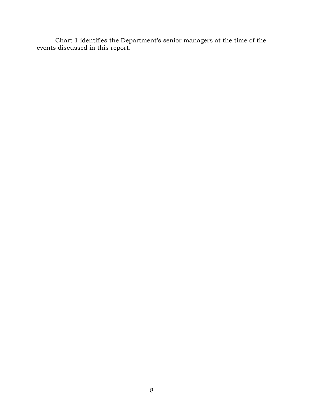Chart 1 identifies the Department's senior managers at the time of the events discussed in this report.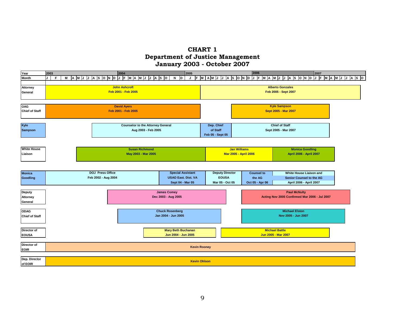# **CHART 1 Department of Justice Management January 2003 - October 2007**

| Year                  | 2003    | 2004                                                          |                                          | 2005                       |                        |                              | 2006                 | 2007                                          |                |  |
|-----------------------|---------|---------------------------------------------------------------|------------------------------------------|----------------------------|------------------------|------------------------------|----------------------|-----------------------------------------------|----------------|--|
| Month                 | F<br>.1 | la  m  j  j  a  s  o  n  d  j  f  m  a  m  j  j  a  s  o<br>M |                                          | <b>D</b><br>N<br>F.<br>J   | IM AMUJU ASOND         |                              |                      | Ij If Im Ia Im Ij Ij Ia Is Io In Id           | IJ FIMAMJJJASO |  |
| <b>Attorney</b>       |         | <b>John Ashcroft</b>                                          |                                          |                            |                        |                              |                      | <b>Alberto Gonzales</b>                       |                |  |
| General               |         | Feb 2001 - Feb 2005                                           |                                          |                            |                        | Feb 2005 - Sept 2007         |                      |                                               |                |  |
|                       |         |                                                               |                                          |                            |                        |                              |                      |                                               |                |  |
| OAG                   |         |                                                               |                                          |                            |                        |                              |                      | <b>Kyle Sampson</b>                           |                |  |
| <b>Chief of Staff</b> |         | <b>David Ayers</b><br>Feb 2001 - Feb 2005                     |                                          |                            |                        | Sept 2005 - Mar 2007         |                      |                                               |                |  |
|                       |         |                                                               |                                          |                            |                        |                              |                      |                                               |                |  |
| Kyle                  |         |                                                               | <b>Counselor to the Attorney General</b> |                            | Dep. Chief             |                              |                      | <b>Chief of Staff</b>                         |                |  |
| <b>Sampson</b>        |         |                                                               | Aug 2003 - Feb 2005                      |                            | of Staff               |                              | Sept 2005 - Mar 2007 |                                               |                |  |
|                       |         |                                                               |                                          |                            | Feb 05 - Sept 05       |                              |                      |                                               |                |  |
|                       |         |                                                               |                                          |                            |                        |                              |                      |                                               |                |  |
| <b>White House</b>    |         | <b>Susan Richmond</b>                                         |                                          |                            | <b>Jan Williams</b>    |                              |                      | <b>Monica Goodling</b>                        |                |  |
| Liaison               |         | May 2003 - Mar 2005                                           |                                          |                            |                        | <b>Mar 2005 - April 2006</b> |                      | April 2006 - April 2007                       |                |  |
|                       |         |                                                               |                                          |                            |                        |                              |                      |                                               |                |  |
|                       |         |                                                               |                                          |                            |                        |                              |                      |                                               |                |  |
| <b>Monica</b>         |         | <b>DOJ Press Office</b>                                       |                                          | <b>Special Assistant</b>   | <b>Deputy Director</b> |                              | <b>Counsel to</b>    | White House Liaison and                       |                |  |
| <b>Goodling</b>       |         | Feb 2002 - Aug 2004                                           |                                          | <b>USAO East. Dist. VA</b> | <b>EOUSA</b>           |                              | the AG               | Senior Counsel to the AG                      |                |  |
|                       |         |                                                               |                                          | Sept 04 - Mar 05           | Mar 05 - Oct 05        |                              | Oct 05 - Apr 06      | April 2006 - April 2007                       |                |  |
| Deputy                |         |                                                               | <b>James Comey</b>                       |                            |                        |                              |                      | <b>Paul McNulty</b>                           |                |  |
| Attorney              |         | Dec 2003 - Aug 2005                                           |                                          |                            |                        |                              |                      | Acting Nov 2005 Confirmed Mar 2006 - Jul 2007 |                |  |
| General               |         |                                                               |                                          |                            |                        |                              |                      |                                               |                |  |
| <b>ODAG</b>           |         | <b>Chuck Rosenberg</b>                                        |                                          |                            |                        |                              |                      | <b>Michael Elston</b>                         |                |  |
| <b>Chief of Staff</b> |         | Jan 2004 - Jun 2005                                           |                                          |                            |                        |                              | Nov 2005 - Jun 2007  |                                               |                |  |
|                       |         |                                                               |                                          |                            |                        |                              |                      |                                               |                |  |
| Director of           |         | <b>Mary Beth Buchanan</b>                                     |                                          |                            |                        | <b>Michael Battle</b>        |                      |                                               |                |  |
| <b>EOUSA</b>          |         | Jun 2004 - Jun 2005                                           |                                          |                            | Jun 2005 - Mar 2007    |                              |                      |                                               |                |  |
|                       |         |                                                               |                                          |                            |                        |                              |                      |                                               |                |  |
| Director of           |         |                                                               |                                          | <b>Kevin Rooney</b>        |                        |                              |                      |                                               |                |  |
| <b>EOIR</b>           |         |                                                               |                                          |                            |                        |                              |                      |                                               |                |  |
| Dep. Director         |         |                                                               |                                          |                            |                        |                              |                      |                                               |                |  |
| of EOIR               |         | <b>Kevin Ohlson</b>                                           |                                          |                            |                        |                              |                      |                                               |                |  |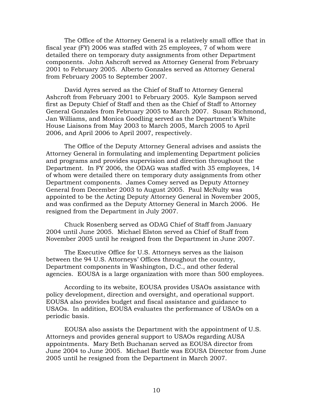The Office of the Attorney General is a relatively small office that in fiscal year (FY) 2006 was staffed with 25 employees, 7 of whom were detailed there on temporary duty assignments from other Department components. John Ashcroft served as Attorney General from February 2001 to February 2005. Alberto Gonzales served as Attorney General from February 2005 to September 2007.

David Ayres served as the Chief of Staff to Attorney General Ashcroft from February 2001 to February 2005. Kyle Sampson served first as Deputy Chief of Staff and then as the Chief of Staff to Attorney General Gonzales from February 2005 to March 2007. Susan Richmond, Jan Williams, and Monica Goodling served as the Department's White House Liaisons from May 2003 to March 2005, March 2005 to April 2006, and April 2006 to April 2007, respectively.

The Office of the Deputy Attorney General advises and assists the Attorney General in formulating and implementing Department policies and programs and provides supervision and direction throughout the Department. In FY 2006, the ODAG was staffed with 35 employees, 14 of whom were detailed there on temporary duty assignments from other Department components. James Comey served as Deputy Attorney General from December 2003 to August 2005. Paul McNulty was appointed to be the Acting Deputy Attorney General in November 2005, and was confirmed as the Deputy Attorney General in March 2006. He resigned from the Department in July 2007.

Chuck Rosenberg served as ODAG Chief of Staff from January 2004 until June 2005. Michael Elston served as Chief of Staff from November 2005 until he resigned from the Department in June 2007.

The Executive Office for U.S. Attorneys serves as the liaison between the 94 U.S. Attorneys' Offices throughout the country, Department components in Washington, D.C., and other federal agencies. EOUSA is a large organization with more than 500 employees.

According to its website, EOUSA provides USAOs assistance with policy development, direction and oversight, and operational support. EOUSA also provides budget and fiscal assistance and guidance to USAOs. In addition, EOUSA evaluates the performance of USAOs on a periodic basis.

EOUSA also assists the Department with the appointment of U.S. Attorneys and provides general support to USAOs regarding AUSA appointments. Mary Beth Buchanan served as EOUSA director from June 2004 to June 2005. Michael Battle was EOUSA Director from June 2005 until he resigned from the Department in March 2007.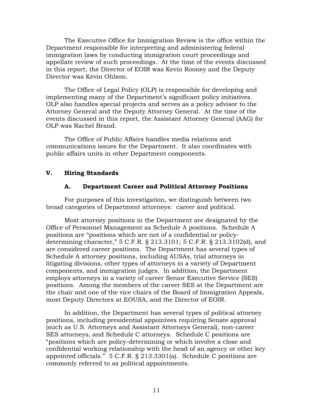<span id="page-15-0"></span>The Executive Office for Immigration Review is the office within the Department responsible for interpreting and administering federal immigration laws by conducting immigration court proceedings and appellate review of such proceedings. At the time of the events discussed in this report, the Director of EOIR was Kevin Rooney and the Deputy Director was Kevin Ohlson.

The Office of Legal Policy (OLP) is responsible for developing and implementing many of the Department's significant policy initiatives. OLP also handles special projects and serves as a policy advisor to the Attorney General and the Deputy Attorney General. At the time of the events discussed in this report, the Assistant Attorney General (AAG) for OLP was Rachel Brand.

The Office of Public Affairs handles media relations and communications issues for the Department. It also coordinates with public affairs units in other Department components.

#### **V. Hiring Standards**

#### **A. Department Career and Political Attorney Positions**

For purposes of this investigation, we distinguish between two broad categories of Department attorneys: career and political.

Most attorney positions in the Department are designated by the Office of Personnel Management as Schedule A positions. Schedule A positions are "positions which are not of a confidential or policydetermining character," 5 C.F.R. § 213.3101; 5 C.F.R. § 213.3102(d), and are considered career positions. The Department has several types of Schedule A attorney positions, including AUSAs, trial attorneys in litigating divisions, other types of attorneys in a variety of Department components, and immigration judges. In addition, the Department employs attorneys in a variety of career Senior Executive Service (SES) positions. Among the members of the career SES at the Department are the chair and one of the vice chairs of the Board of Immigration Appeals, most Deputy Directors at EOUSA, and the Director of EOIR.

In addition, the Department has several types of political attorney positions, including presidential appointees requiring Senate approval (such as U.S. Attorneys and Assistant Attorneys General), non-career SES attorneys, and Schedule C attorneys. Schedule C positions are "positions which are policy-determining or which involve a close and confidential working relationship with the head of an agency or other key appointed officials." 5 C.F.R. § 213.3301(a). Schedule C positions are commonly referred to as political appointments.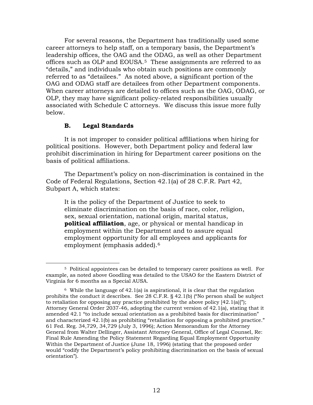<span id="page-16-0"></span>For several reasons, the Department has traditionally used some career attorneys to help staff, on a temporary basis, the Department's leadership offices, the OAG and the ODAG, as well as other Department offices such as OLP and EOUSA.[5](#page-16-0) These assignments are referred to as "details," and individuals who obtain such positions are commonly referred to as "detailees." As noted above, a significant portion of the OAG and ODAG staff are detailees from other Department components. When career attorneys are detailed to offices such as the OAG, ODAG, or OLP, they may have significant policy-related responsibilities usually associated with Schedule C attorneys. We discuss this issue more fully below.

#### **B. Legal Standards**

It is not improper to consider political affiliations when hiring for political positions. However, both Department policy and federal law prohibit discrimination in hiring for Department career positions on the basis of political affiliations.

The Department's policy on non-discrimination is contained in the Code of Federal Regulations, Section 42.1(a) of 28 C.F.R. Part 42, Subpart A, which states:

It is the policy of the Department of Justice to seek to eliminate discrimination on the basis of race, color, religion, sex, sexual orientation, national origin, marital status, **political affiliation**, age, or physical or mental handicap in employment within the Department and to assure equal employment opportunity for all employees and applicants for employment (emphasis added).[6](#page-16-0)

 <sup>5</sup> Political appointees can be detailed to temporary career positions as well. For example, as noted above Goodling was detailed to the USAO for the Eastern District of Virginia for 6 months as a Special AUSA.

<sup>&</sup>lt;sup>6</sup> While the language of  $42.1(a)$  is aspirational, it is clear that the regulation prohibits the conduct it describes. See 28 C.F.R. § 42.1(b) ("No person shall be subject to retaliation for opposing any practice prohibited by the above policy [42.1(a)]"); Attorney General Order 2037-46, adopting the current version of 42.1(a), stating that it amended 42.1 "to include sexual orientation as a prohibited basis for discrimination" and characterized 42.1(b) as prohibiting "retaliation for opposing a prohibited practice." 61 Fed. Reg. 34,729, 34,729 (July 3, 1996); Action Memorandum for the Attorney General from Walter Dellinger, Assistant Attorney General, Office of Legal Counsel, Re: Final Rule Amending the Policy Statement Regarding Equal Employment Opportunity Within the Department of Justice (June 18, 1996) (stating that the proposed order would "codify the Department's policy prohibiting discrimination on the basis of sexual orientation").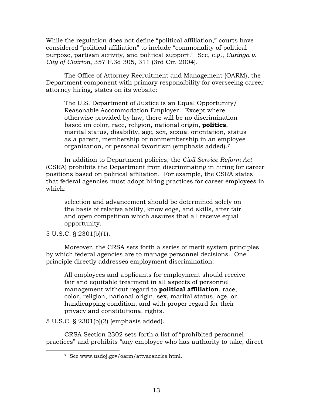<span id="page-17-0"></span>While the regulation does not define "political affiliation," courts have considered "political affiliation" to include "commonality of political purpose, partisan activity, and political support." See, e.g., *Curinga v. City of Clairton*, 357 F.3d 305, 311 (3rd Cir. 2004).

The Office of Attorney Recruitment and Management (OARM), the Department component with primary responsibility for overseeing career attorney hiring, states on its website:

The U.S. Department of Justice is an Equal Opportunity/ Reasonable Accommodation Employer. Except where otherwise provided by law, there will be no discrimination based on color, race, religion, national origin, **politics**, marital status, disability, age, sex, sexual orientation, status as a parent, membership or nonmembership in an employee organization, or personal favoritism (emphasis added).[7](#page-17-0)

In addition to Department policies, the *Civil Service Reform Act* (CSRA) prohibits the Department from discriminating in hiring for career positions based on political affiliation. For example, the CSRA states that federal agencies must adopt hiring practices for career employees in which:

selection and advancement should be determined solely on the basis of relative ability, knowledge, and skills, after fair and open competition which assures that all receive equal opportunity.

5 U.S.C. § 2301(b)(1).

Moreover, the CRSA sets forth a series of merit system principles by which federal agencies are to manage personnel decisions. One principle directly addresses employment discrimination:

All employees and applicants for employment should receive fair and equitable treatment in all aspects of personnel management without regard to **political affiliation**, race, color, religion, national origin, sex, marital status, age, or handicapping condition, and with proper regard for their privacy and constitutional rights.

5 U.S.C. § 2301(b)(2) (emphasis added).

CRSA Section 2302 sets forth a list of "prohibited personnel practices" and prohibits "any employee who has authority to take, direct

 <sup>7</sup> See www.usdoj.gov/oarm/attvacancies.html.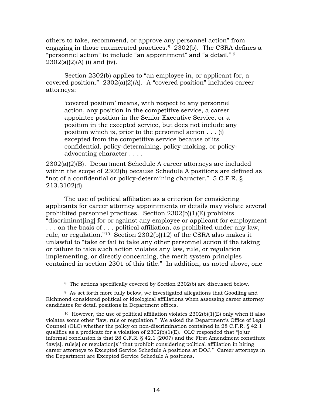<span id="page-18-0"></span>others to take, recommend, or approve any personnel action" from engaging in those enumerated practices.[8](#page-18-0) 2302(b). The CSRA defines a "personnel action" to include "an appointment" and "a detail." [9](#page-18-0)   $2302(a)(2)(A)$  (i) and (iv).

Section 2302(b) applies to "an employee in, or applicant for, a covered position."  $2302(a)(2)(A)$ . A "covered position" includes career attorneys:

'covered position' means, with respect to any personnel action, any position in the competitive service, a career appointee position in the Senior Executive Service, or a position in the excepted service, but does not include any position which is, prior to the personnel action . . . (i) excepted from the competitive service because of its confidential, policy-determining, policy-making, or policyadvocating character . . . .

2302(a)(2)(B). Department Schedule A career attorneys are included within the scope of 2302(b) because Schedule A positions are defined as "not of a confidential or policy-determining character." 5 C.F.R. § 213.3102(d).

The use of political affiliation as a criterion for considering applicants for career attorney appointments or details may violate several prohibited personnel practices. Section 2302(b)(1)(E) prohibits "discriminat[ing] for or against any employee or applicant for employment . . . on the basis of . . . political affiliation, as prohibited under any law, rule, or regulation."[1](#page-18-0)0 Section 2302(b)(12) of the CSRA also makes it unlawful to "take or fail to take any other personnel action if the taking or failure to take such action violates any law, rule, or regulation implementing, or directly concerning, the merit system principles contained in section 2301 of this title." In addition, as noted above, one

 <sup>8</sup> The actions specifically covered by Section 2302(b) are discussed below.

<sup>9</sup> As set forth more fully below, we investigated allegations that Goodling and Richmond considered political or ideological affiliations when assessing career attorney candidates for detail positions in Department offices.

<sup>&</sup>lt;sup>10</sup> However, the use of political affiliation violates  $2302(b)(1)(E)$  only when it also violates some other "law, rule or regulation." We asked the Department's Office of Legal Counsel (OLC) whether the policy on non-discrimination contained in 28 C.F.R. § 42.1 qualifies as a predicate for a violation of  $2302(b)(1)(E)$ . OLC responded that "[o]ur informal conclusion is that 28 C.F.R. § 42.1 (2007) and the First Amendment constitute 'law[s], rule[s] or regulation[s]' that prohibit considering political affiliation in hiring career attorneys to Excepted Service Schedule A positions at DOJ." Career attorneys in the Department are Excepted Service Schedule A positions.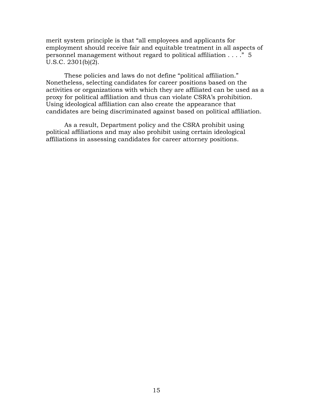merit system principle is that "all employees and applicants for employment should receive fair and equitable treatment in all aspects of personnel management without regard to political affiliation . . . ." 5 U.S.C. 2301(b)(2).

 These policies and laws do not define "political affiliation." Nonetheless, selecting candidates for career positions based on the activities or organizations with which they are affiliated can be used as a proxy for political affiliation and thus can violate CSRA's prohibition. Using ideological affiliation can also create the appearance that candidates are being discriminated against based on political affiliation.

As a result, Department policy and the CSRA prohibit using political affiliations and may also prohibit using certain ideological affiliations in assessing candidates for career attorney positions.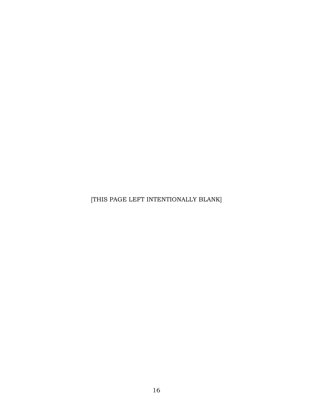[THIS PAGE LEFT INTENTIONALLY BLANK]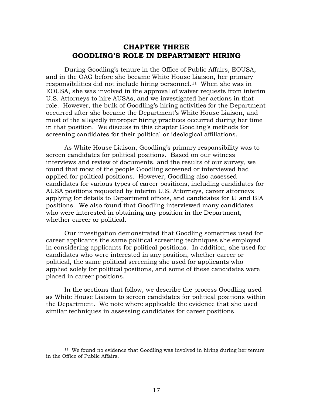# **CHAPTER THREE GOODLING'S ROLE IN DEPARTMENT HIRING**

<span id="page-21-0"></span>During Goodling's tenure in the Office of Public Affairs, EOUSA, and in the OAG before she became White House Liaison, her primary responsibilities did not include hiring personnel.<sup>[1](#page-21-0)1</sup> When she was in EOUSA, she was involved in the approval of waiver requests from interim U.S. Attorneys to hire AUSAs, and we investigated her actions in that role. However, the bulk of Goodling's hiring activities for the Department occurred after she became the Department's White House Liaison, and most of the allegedly improper hiring practices occurred during her time in that position. We discuss in this chapter Goodling's methods for screening candidates for their political or ideological affiliations.

As White House Liaison, Goodling's primary responsibility was to screen candidates for political positions. Based on our witness interviews and review of documents, and the results of our survey, we found that most of the people Goodling screened or interviewed had applied for political positions. However, Goodling also assessed candidates for various types of career positions, including candidates for AUSA positions requested by interim U.S. Attorneys, career attorneys applying for details to Department offices, and candidates for IJ and BIA positions. We also found that Goodling interviewed many candidates who were interested in obtaining any position in the Department, whether career or political.

Our investigation demonstrated that Goodling sometimes used for career applicants the same political screening techniques she employed in considering applicants for political positions. In addition, she used for candidates who were interested in any position, whether career or political, the same political screening she used for applicants who applied solely for political positions, and some of these candidates were placed in career positions.

In the sections that follow, we describe the process Goodling used as White House Liaison to screen candidates for political positions within the Department. We note where applicable the evidence that she used similar techniques in assessing candidates for career positions.

<sup>&</sup>lt;sup>11</sup> We found no evidence that Goodling was involved in hiring during her tenure in the Office of Public Affairs.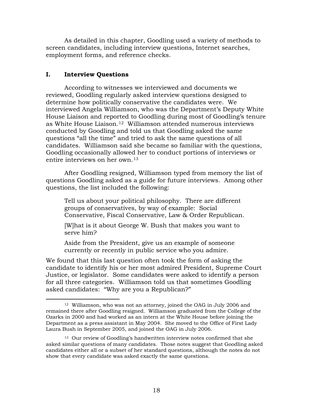<span id="page-22-0"></span>As detailed in this chapter, Goodling used a variety of methods to screen candidates, including interview questions, Internet searches, employment forms, and reference checks.

#### **I. Interview Questions**

According to witnesses we interviewed and documents we reviewed, Goodling regularly asked interview questions designed to determine how politically conservative the candidates were. We interviewed Angela Williamson, who was the Department's Deputy White House Liaison and reported to Goodling during most of Goodling's tenure as White House Liaison.[12](#page-22-0) Williamson attended numerous interviews conducted by Goodling and told us that Goodling asked the same questions "all the time" and tried to ask the same questions of all candidates. Williamson said she became so familiar with the questions, Goodling occasionally allowed her to conduct portions of interviews or entire interviews on her own.[13](#page-22-0)

After Goodling resigned, Williamson typed from memory the list of questions Goodling asked as a guide for future interviews. Among other questions, the list included the following:

Tell us about your political philosophy. There are different groups of conservatives, by way of example: Social Conservative, Fiscal Conservative, Law & Order Republican.

[W]hat is it about George W. Bush that makes you want to serve him?

Aside from the President, give us an example of someone currently or recently in public service who you admire.

We found that this last question often took the form of asking the candidate to identify his or her most admired President, Supreme Court Justice, or legislator. Some candidates were asked to identify a person for all three categories. Williamson told us that sometimes Goodling asked candidates: "Why are you a Republican?"

<sup>&</sup>lt;sup>12</sup> Williamson, who was not an attorney, joined the OAG in July 2006 and remained there after Goodling resigned. Williamson graduated from the College of the Ozarks in 2000 and had worked as an intern at the White House before joining the Department as a press assistant in May 2004. She moved to the Office of First Lady Laura Bush in September 2005, and joined the OAG in July 2006.

<sup>13</sup> Our review of Goodling's handwritten interview notes confirmed that she asked similar questions of many candidates. Those notes suggest that Goodling asked candidates either all or a subset of her standard questions, although the notes do not show that every candidate was asked exactly the same questions.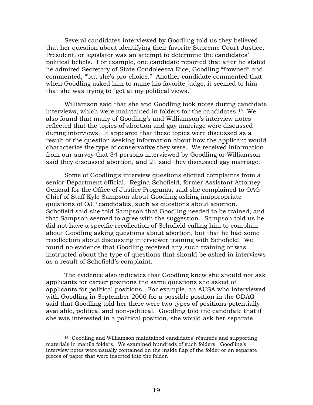<span id="page-23-0"></span>Several candidates interviewed by Goodling told us they believed that her question about identifying their favorite Supreme Court Justice, President, or legislator was an attempt to determine the candidates' political beliefs. For example, one candidate reported that after he stated he admired Secretary of State Condoleezza Rice, Goodling "frowned" and commented, "but she's pro-choice." Another candidate commented that when Goodling asked him to name his favorite judge, it seemed to him that she was trying to "get at my political views."

Williamson said that she and Goodling took notes during candidate interviews, which were maintained in folders for the candidates.[14](#page-23-0) We also found that many of Goodling's and Williamson's interview notes reflected that the topics of abortion and gay marriage were discussed during interviews. It appeared that these topics were discussed as a result of the question seeking information about how the applicant would characterize the type of conservative they were. We received information from our survey that 34 persons interviewed by Goodling or Williamson said they discussed abortion, and 21 said they discussed gay marriage.

Some of Goodling's interview questions elicited complaints from a senior Department official. Regina Schofield, former Assistant Attorney General for the Office of Justice Programs, said she complained to OAG Chief of Staff Kyle Sampson about Goodling asking inappropriate questions of OJP candidates, such as questions about abortion. Schofield said she told Sampson that Goodling needed to be trained, and that Sampson seemed to agree with the suggestion. Sampson told us he did not have a specific recollection of Schofield calling him to complain about Goodling asking questions about abortion, but that he had some recollection about discussing interviewer training with Schofield. We found no evidence that Goodling received any such training or was instructed about the type of questions that should be asked in interviews as a result of Schofield's complaint.

The evidence also indicates that Goodling knew she should not ask applicants for career positions the same questions she asked of applicants for political positions. For example, an AUSA who interviewed with Goodling in September 2006 for a possible position in the ODAG said that Goodling told her there were two types of positions potentially available, political and non-political. Goodling told the candidate that if she was interested in a political position, she would ask her separate

 <sup>14</sup> Goodling and Williamson maintained candidates' résumés and supporting materials in manila folders. We examined hundreds of such folders. Goodling's interview notes were usually contained on the inside flap of the folder or on separate pieces of paper that were inserted into the folder.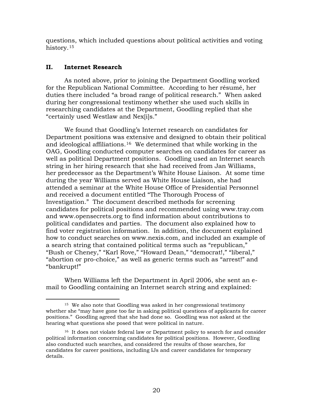<span id="page-24-0"></span>questions, which included questions about political activities and voting history.[1](#page-24-0)5

### **II. Internet Research**

As noted above, prior to joining the Department Goodling worked for the Republican National Committee. According to her résumé, her duties there included "a broad range of political research." When asked during her congressional testimony whether she used such skills in researching candidates at the Department, Goodling replied that she "certainly used Westlaw and Nex[i]s."

We found that Goodling's Internet research on candidates for Department positions was extensive and designed to obtain their political and ideological affiliations.[16](#page-24-0) We determined that while working in the OAG, Goodling conducted computer searches on candidates for career as well as political Department positions. Goodling used an Internet search string in her hiring research that she had received from Jan Williams, her predecessor as the Department's White House Liaison. At some time during the year Williams served as White House Liaison, she had attended a seminar at the White House Office of Presidential Personnel and received a document entitled "The Thorough Process of Investigation." The document described methods for screening candidates for political positions and recommended using www.tray.com and www.opensecrets.org to find information about contributions to political candidates and parties. The document also explained how to find voter registration information. In addition, the document explained how to conduct searches on www.nexis.com, and included an example of a search string that contained political terms such as "republican," "Bush or Cheney," "Karl Rove," "Howard Dean," "democrat!," "liberal," "abortion or pro-choice," as well as generic terms such as "arrest!" and "bankrupt!"

When Williams left the Department in April 2006, she sent an email to Goodling containing an Internet search string and explained:

 <sup>15</sup> We also note that Goodling was asked in her congressional testimony whether she "may have gone too far in asking political questions of applicants for career positions." Goodling agreed that she had done so. Goodling was not asked at the hearing what questions she posed that were political in nature.

<sup>&</sup>lt;sup>16</sup> It does not violate federal law or Department policy to search for and consider political information concerning candidates for political positions. However, Goodling also conducted such searches, and considered the results of those searches, for candidates for career positions, including IJs and career candidates for temporary details.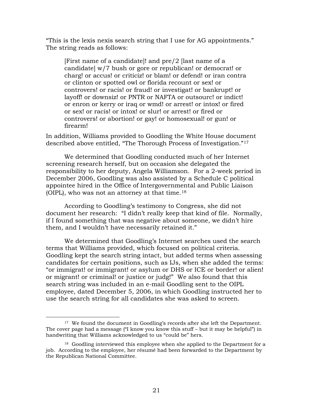<span id="page-25-0"></span>"This is the lexis nexis search string that I use for AG appointments." The string reads as follows:

[First name of a candidate]! and pre/2 [last name of a candidate] w/7 bush or gore or republican! or democrat! or charg! or accus! or criticiz! or blam! or defend! or iran contra or clinton or spotted owl or florida recount or sex! or controvers! or racis! or fraud! or investigat! or bankrupt! or layoff! or downsiz! or PNTR or NAFTA or outsourc! or indict! or enron or kerry or iraq or wmd! or arrest! or intox! or fired or sex! or racis! or intox! or slur! or arrest! or fired or controvers! or abortion! or gay! or homosexual! or gun! or firearm!

In addition, Williams provided to Goodling the White House document described above entitled, "The Thorough Process of Investigation."[17](#page-25-0)

We determined that Goodling conducted much of her Internet screening research herself, but on occasion she delegated the responsibility to her deputy, Angela Williamson. For a 2-week period in December 2006, Goodling was also assisted by a Schedule C political appointee hired in the Office of Intergovernmental and Public Liaison (OIPL), who was not an attorney at that time.[18](#page-25-0)

According to Goodling's testimony to Congress, she did not document her research: "I didn't really keep that kind of file. Normally, if I found something that was negative about someone, we didn't hire them, and I wouldn't have necessarily retained it."

We determined that Goodling's Internet searches used the search terms that Williams provided, which focused on political criteria. Goodling kept the search string intact, but added terms when assessing candidates for certain positions, such as IJs, when she added the terms: "or immigrat! or immigrant! or asylum or DHS or ICE or border! or alien! or migrant! or criminal! or justice or judg!" We also found that this search string was included in an e-mail Goodling sent to the OIPL employee, dated December 5, 2006, in which Goodling instructed her to use the search string for all candidates she was asked to screen.

<sup>&</sup>lt;sup>17</sup> We found the document in Goodling's records after she left the Department. The cover page had a message ("I know you know this stuff – but it may be helpful") in handwriting that Williams acknowledged to us "could be" hers.

<sup>&</sup>lt;sup>18</sup> Goodling interviewed this employee when she applied to the Department for a job. According to the employee, her résumé had been forwarded to the Department by the Republican National Committee.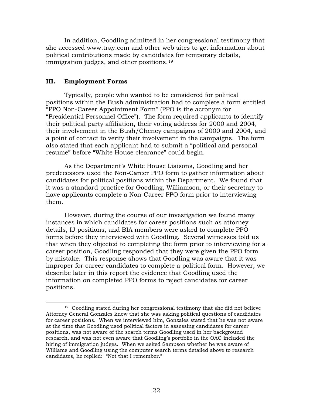<span id="page-26-0"></span>In addition, Goodling admitted in her congressional testimony that she accessed www.tray.com and other web sites to get information about political contributions made by candidates for temporary details, immigration judges, and other positions.<sup>[19](#page-26-0)</sup>

#### **III. Employment Forms**

Typically, people who wanted to be considered for political positions within the Bush administration had to complete a form entitled "PPO Non-Career Appointment Form" (PPO is the acronym for "Presidential Personnel Office"). The form required applicants to identify their political party affiliation, their voting address for 2000 and 2004, their involvement in the Bush/Cheney campaigns of 2000 and 2004, and a point of contact to verify their involvement in the campaigns. The form also stated that each applicant had to submit a "political and personal resume" before "White House clearance" could begin.

As the Department's White House Liaisons, Goodling and her predecessors used the Non-Career PPO form to gather information about candidates for political positions within the Department. We found that it was a standard practice for Goodling, Williamson, or their secretary to have applicants complete a Non-Career PPO form prior to interviewing them.

However, during the course of our investigation we found many instances in which candidates for career positions such as attorney details, IJ positions, and BIA members were asked to complete PPO forms before they interviewed with Goodling. Several witnesses told us that when they objected to completing the form prior to interviewing for a career position, Goodling responded that they were given the PPO form by mistake. This response shows that Goodling was aware that it was improper for career candidates to complete a political form. However, we describe later in this report the evidence that Goodling used the information on completed PPO forms to reject candidates for career positions.

 <sup>19</sup> Goodling stated during her congressional testimony that she did not believe Attorney General Gonzales knew that she was asking political questions of candidates for career positions. When we interviewed him, Gonzales stated that he was not aware at the time that Goodling used political factors in assessing candidates for career positions, was not aware of the search terms Goodling used in her background research, and was not even aware that Goodling's portfolio in the OAG included the hiring of immigration judges. When we asked Sampson whether he was aware of Williams and Goodling using the computer search terms detailed above to research candidates, he replied: "Not that I remember."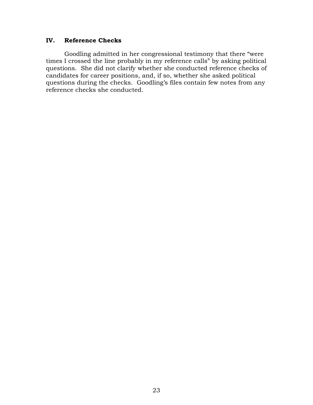### <span id="page-27-0"></span>**IV. Reference Checks**

Goodling admitted in her congressional testimony that there "were times I crossed the line probably in my reference calls" by asking political questions. She did not clarify whether she conducted reference checks of candidates for career positions, and, if so, whether she asked political questions during the checks. Goodling's files contain few notes from any reference checks she conducted.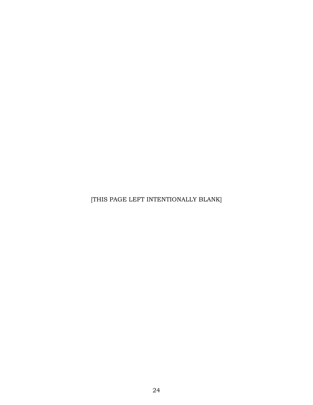[THIS PAGE LEFT INTENTIONALLY BLANK]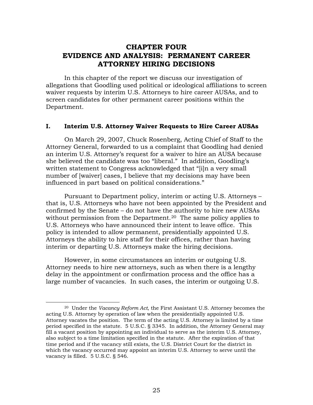# <span id="page-29-0"></span>**CHAPTER FOUR EVIDENCE AND ANALYSIS: PERMANENT CAREER ATTORNEY HIRING DECISIONS**

In this chapter of the report we discuss our investigation of allegations that Goodling used political or ideological affiliations to screen waiver requests by interim U.S. Attorneys to hire career AUSAs, and to screen candidates for other permanent career positions within the Department.

#### **I. Interim U.S. Attorney Waiver Requests to Hire Career AUSAs**

On March 29, 2007, Chuck Rosenberg, Acting Chief of Staff to the Attorney General, forwarded to us a complaint that Goodling had denied an interim U.S. Attorney's request for a waiver to hire an AUSA because she believed the candidate was too "liberal." In addition, Goodling's written statement to Congress acknowledged that "[i]n a very small number of [waiver] cases, I believe that my decisions may have been influenced in part based on political considerations."

Pursuant to Department policy, interim or acting U.S. Attorneys – that is, U.S. Attorneys who have not been appointed by the President and confirmed by the Senate – do not have the authority to hire new AUSAs without permission from the Department.<sup>[20](#page-29-0)</sup> The same policy applies to U.S. Attorneys who have announced their intent to leave office. This policy is intended to allow permanent, presidentially appointed U.S. Attorneys the ability to hire staff for their offices, rather than having interim or departing U.S. Attorneys make the hiring decisions.

However, in some circumstances an interim or outgoing U.S. Attorney needs to hire new attorneys, such as when there is a lengthy delay in the appointment or confirmation process and the office has a large number of vacancies. In such cases, the interim or outgoing U.S.

 <sup>20</sup> Under the *Vacancy Reform Act*, the First Assistant U.S. Attorney becomes the acting U.S. Attorney by operation of law when the presidentially appointed U.S. Attorney vacates the position. The term of the acting U.S. Attorney is limited by a time period specified in the statute. 5 U.S.C. § 3345. In addition, the Attorney General may fill a vacant position by appointing an individual to serve as the interim U.S. Attorney, also subject to a time limitation specified in the statute. After the expiration of that time period and if the vacancy still exists, the U.S. District Court for the district in which the vacancy occurred may appoint an interim U.S. Attorney to serve until the vacancy is filled. 5 U.S.C. § 546.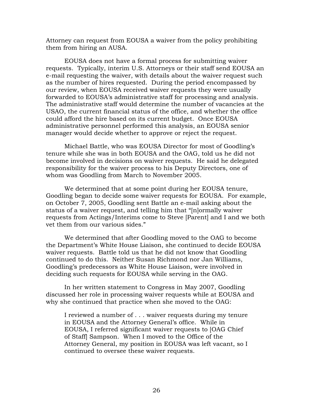Attorney can request from EOUSA a waiver from the policy prohibiting them from hiring an AUSA.

EOUSA does not have a formal process for submitting waiver requests. Typically, interim U.S. Attorneys or their staff send EOUSA an e-mail requesting the waiver, with details about the waiver request such as the number of hires requested. During the period encompassed by our review, when EOUSA received waiver requests they were usually forwarded to EOUSA's administrative staff for processing and analysis. The administrative staff would determine the number of vacancies at the USAO, the current financial status of the office, and whether the office could afford the hire based on its current budget. Once EOUSA administrative personnel performed this analysis, an EOUSA senior manager would decide whether to approve or reject the request.

Michael Battle, who was EOUSA Director for most of Goodling's tenure while she was in both EOUSA and the OAG, told us he did not become involved in decisions on waiver requests. He said he delegated responsibility for the waiver process to his Deputy Directors, one of whom was Goodling from March to November 2005.

We determined that at some point during her EOUSA tenure, Goodling began to decide some waiver requests for EOUSA. For example, on October 7, 2005, Goodling sent Battle an e-mail asking about the status of a waiver request, and telling him that "[n]ormally waiver requests from Actings/Interims come to Steve [Parent] and I and we both vet them from our various sides."

We determined that after Goodling moved to the OAG to become the Department's White House Liaison, she continued to decide EOUSA waiver requests. Battle told us that he did not know that Goodling continued to do this. Neither Susan Richmond nor Jan Williams, Goodling's predecessors as White House Liaison, were involved in deciding such requests for EOUSA while serving in the OAG.

In her written statement to Congress in May 2007, Goodling discussed her role in processing waiver requests while at EOUSA and why she continued that practice when she moved to the OAG:

I reviewed a number of . . . waiver requests during my tenure in EOUSA and the Attorney General's office. While in EOUSA, I referred significant waiver requests to [OAG Chief of Staff] Sampson. When I moved to the Office of the Attorney General, my position in EOUSA was left vacant, so I continued to oversee these waiver requests.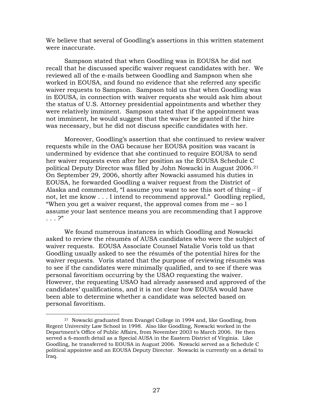<span id="page-31-0"></span>We believe that several of Goodling's assertions in this written statement were inaccurate.

Sampson stated that when Goodling was in EOUSA he did not recall that he discussed specific waiver request candidates with her. We reviewed all of the e-mails between Goodling and Sampson when she worked in EOUSA, and found no evidence that she referred any specific waiver requests to Sampson. Sampson told us that when Goodling was in EOUSA, in connection with waiver requests she would ask him about the status of U.S. Attorney presidential appointments and whether they were relatively imminent. Sampson stated that if the appointment was not imminent, he would suggest that the waiver be granted if the hire was necessary, but he did not discuss specific candidates with her.

Moreover, Goodling's assertion that she continued to review waiver requests while in the OAG because her EOUSA position was vacant is undermined by evidence that she continued to require EOUSA to send her waiver requests even after her position as the EOUSA Schedule C political Deputy Director was filled by John Nowacki in August 2006.[21](#page-31-0) On September 29, 2006, shortly after Nowacki assumed his duties in EOUSA, he forwarded Goodling a waiver request from the District of Alaska and commented, "I assume you want to see this sort of thing – if not, let me know . . . I intend to recommend approval." Goodling replied, "When you get a waiver request, the approval comes from me – so I assume your last sentence means you are recommending that I approve . . . ?"

We found numerous instances in which Goodling and Nowacki asked to review the résumés of AUSA candidates who were the subject of waiver requests. EOUSA Associate Counsel Natalie Voris told us that Goodling usually asked to see the résumés of the potential hires for the waiver requests. Voris stated that the purpose of reviewing résumés was to see if the candidates were minimally qualified, and to see if there was personal favoritism occurring by the USAO requesting the waiver. However, the requesting USAO had already assessed and approved of the candidates' qualifications, and it is not clear how EOUSA would have been able to determine whether a candidate was selected based on personal favoritism.

 <sup>21</sup> Nowacki graduated from Evangel College in 1994 and, like Goodling, from Regent University Law School in 1998. Also like Goodling, Nowacki worked in the Department's Office of Public Affairs, from November 2003 to March 2006. He then served a 6-month detail as a Special AUSA in the Eastern District of Virginia. Like Goodling, he transferred to EOUSA in August 2006. Nowacki served as a Schedule C political appointee and an EOUSA Deputy Director. Nowacki is currently on a detail to Iraq.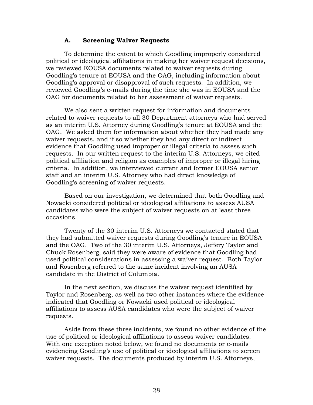#### **A. Screening Waiver Requests**

<span id="page-32-0"></span>To determine the extent to which Goodling improperly considered political or ideological affiliations in making her waiver request decisions, we reviewed EOUSA documents related to waiver requests during Goodling's tenure at EOUSA and the OAG, including information about Goodling's approval or disapproval of such requests. In addition, we reviewed Goodling's e-mails during the time she was in EOUSA and the OAG for documents related to her assessment of waiver requests.

We also sent a written request for information and documents related to waiver requests to all 30 Department attorneys who had served as an interim U.S. Attorney during Goodling's tenure at EOUSA and the OAG. We asked them for information about whether they had made any waiver requests, and if so whether they had any direct or indirect evidence that Goodling used improper or illegal criteria to assess such requests. In our written request to the interim U.S. Attorneys, we cited political affiliation and religion as examples of improper or illegal hiring criteria. In addition, we interviewed current and former EOUSA senior staff and an interim U.S. Attorney who had direct knowledge of Goodling's screening of waiver requests.

Based on our investigation, we determined that both Goodling and Nowacki considered political or ideological affiliations to assess AUSA candidates who were the subject of waiver requests on at least three occasions.

Twenty of the 30 interim U.S. Attorneys we contacted stated that they had submitted waiver requests during Goodling's tenure in EOUSA and the OAG. Two of the 30 interim U.S. Attorneys, Jeffery Taylor and Chuck Rosenberg, said they were aware of evidence that Goodling had used political considerations in assessing a waiver request. Both Taylor and Rosenberg referred to the same incident involving an AUSA candidate in the District of Columbia.

In the next section, we discuss the waiver request identified by Taylor and Rosenberg, as well as two other instances where the evidence indicated that Goodling or Nowacki used political or ideological affiliations to assess AUSA candidates who were the subject of waiver requests.

Aside from these three incidents, we found no other evidence of the use of political or ideological affiliations to assess waiver candidates. With one exception noted below, we found no documents or e-mails evidencing Goodling's use of political or ideological affiliations to screen waiver requests. The documents produced by interim U.S. Attorneys,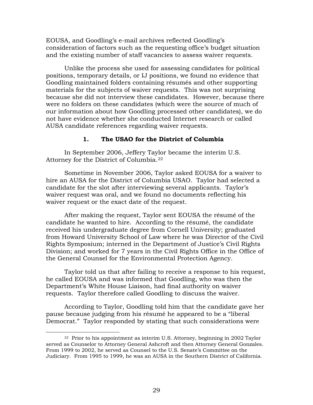<span id="page-33-0"></span>EOUSA, and Goodling's e-mail archives reflected Goodling's consideration of factors such as the requesting office's budget situation and the existing number of staff vacancies to assess waiver requests.

Unlike the process she used for assessing candidates for political positions, temporary details, or IJ positions, we found no evidence that Goodling maintained folders containing résumés and other supporting materials for the subjects of waiver requests. This was not surprising because she did not interview these candidates. However, because there were no folders on these candidates (which were the source of much of our information about how Goodling processed other candidates), we do not have evidence whether she conducted Internet research or called AUSA candidate references regarding waiver requests.

#### **1. The USAO for the District of Columbia**

In September 2006, Jeffery Taylor became the interim U.S. Attorney for the District of Columbia.[22](#page-33-0)

Sometime in November 2006, Taylor asked EOUSA for a waiver to hire an AUSA for the District of Columbia USAO. Taylor had selected a candidate for the slot after interviewing several applicants. Taylor's waiver request was oral, and we found no documents reflecting his waiver request or the exact date of the request.

After making the request, Taylor sent EOUSA the résumé of the candidate he wanted to hire. According to the résumé, the candidate received his undergraduate degree from Cornell University; graduated from Howard University School of Law where he was Director of the Civil Rights Symposium; interned in the Department of Justice's Civil Rights Division; and worked for 7 years in the Civil Rights Office in the Office of the General Counsel for the Environmental Protection Agency.

Taylor told us that after failing to receive a response to his request, he called EOUSA and was informed that Goodling, who was then the Department's White House Liaison, had final authority on waiver requests. Taylor therefore called Goodling to discuss the waiver.

According to Taylor, Goodling told him that the candidate gave her pause because judging from his résumé he appeared to be a "liberal Democrat." Taylor responded by stating that such considerations were

 <sup>22</sup> Prior to his appointment as interim U.S. Attorney, beginning in 2002 Taylor served as Counselor to Attorney General Ashcroft and then Attorney General Gonzales. From 1999 to 2002, he served as Counsel to the U.S. Senate's Committee on the Judiciary. From 1995 to 1999, he was an AUSA in the Southern District of California.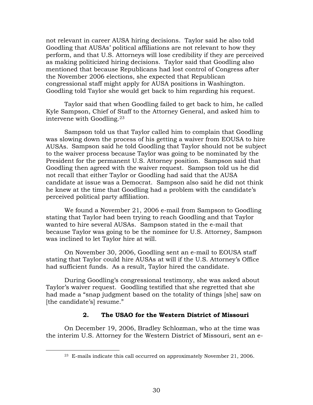<span id="page-34-0"></span>not relevant in career AUSA hiring decisions. Taylor said he also told Goodling that AUSAs' political affiliations are not relevant to how they perform, and that U.S. Attorneys will lose credibility if they are perceived as making politicized hiring decisions. Taylor said that Goodling also mentioned that because Republicans had lost control of Congress after the November 2006 elections, she expected that Republican congressional staff might apply for AUSA positions in Washington. Goodling told Taylor she would get back to him regarding his request.

Taylor said that when Goodling failed to get back to him, he called Kyle Sampson, Chief of Staff to the Attorney General, and asked him to intervene with Goodling.[23](#page-34-0)

Sampson told us that Taylor called him to complain that Goodling was slowing down the process of his getting a waiver from EOUSA to hire AUSAs. Sampson said he told Goodling that Taylor should not be subject to the waiver process because Taylor was going to be nominated by the President for the permanent U.S. Attorney position. Sampson said that Goodling then agreed with the waiver request. Sampson told us he did not recall that either Taylor or Goodling had said that the AUSA candidate at issue was a Democrat. Sampson also said he did not think he knew at the time that Goodling had a problem with the candidate's perceived political party affiliation.

We found a November 21, 2006 e-mail from Sampson to Goodling stating that Taylor had been trying to reach Goodling and that Taylor wanted to hire several AUSAs. Sampson stated in the e-mail that because Taylor was going to be the nominee for U.S. Attorney, Sampson was inclined to let Taylor hire at will.

On November 30, 2006, Goodling sent an e-mail to EOUSA staff stating that Taylor could hire AUSAs at will if the U.S. Attorney's Office had sufficient funds. As a result, Taylor hired the candidate.

During Goodling's congressional testimony, she was asked about Taylor's waiver request. Goodling testified that she regretted that she had made a "snap judgment based on the totality of things [she] saw on [the candidate's] resume."

#### **2. The USAO for the Western District of Missouri**

On December 19, 2006, Bradley Schlozman, who at the time was the interim U.S. Attorney for the Western District of Missouri, sent an e-

 <sup>23</sup> E-mails indicate this call occurred on approximately November 21, 2006.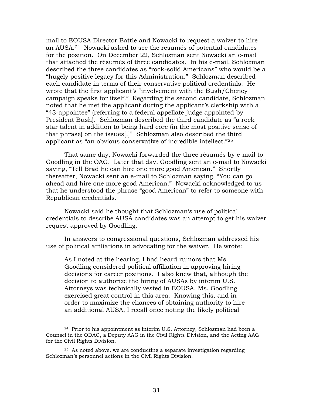<span id="page-35-0"></span>mail to EOUSA Director Battle and Nowacki to request a waiver to hire an AUSA.[24](#page-35-0) Nowacki asked to see the résumés of potential candidates for the position. On December 22, Schlozman sent Nowacki an e-mail that attached the résumés of three candidates. In his e-mail, Schlozman described the three candidates as "rock-solid Americans" who would be a "hugely positive legacy for this Administration." Schlozman described each candidate in terms of their conservative political credentials. He wrote that the first applicant's "involvement with the Bush/Cheney campaign speaks for itself." Regarding the second candidate, Schlozman noted that he met the applicant during the applicant's clerkship with a "43-appointee" (referring to a federal appellate judge appointed by President Bush). Schlozman described the third candidate as "a rock star talent in addition to being hard core (in the most positive sense of that phrase) on the issues[.]" Schlozman also described the third applicant as "an obvious conservative of incredible intellect."[25](#page-35-0)

That same day, Nowacki forwarded the three résumés by e-mail to Goodling in the OAG. Later that day, Goodling sent an e-mail to Nowacki saying, "Tell Brad he can hire one more good American." Shortly thereafter, Nowacki sent an e-mail to Schlozman saying, "You can go ahead and hire one more good American." Nowacki acknowledged to us that he understood the phrase "good American" to refer to someone with Republican credentials.

Nowacki said he thought that Schlozman's use of political credentials to describe AUSA candidates was an attempt to get his waiver request approved by Goodling.

In answers to congressional questions, Schlozman addressed his use of political affiliations in advocating for the waiver. He wrote:

As I noted at the hearing, I had heard rumors that Ms. Goodling considered political affiliation in approving hiring decisions for career positions. I also knew that, although the decision to authorize the hiring of AUSAs by interim U.S. Attorneys was technically vested in EOUSA, Ms. Goodling exercised great control in this area. Knowing this, and in order to maximize the chances of obtaining authority to hire an additional AUSA, I recall once noting the likely political

<sup>&</sup>lt;sup>24</sup> Prior to his appointment as interim U.S. Attorney, Schlozman had been a Counsel in the ODAG, a Deputy AAG in the Civil Rights Division, and the Acting AAG for the Civil Rights Division.

 $25$  As noted above, we are conducting a separate investigation regarding Schlozman's personnel actions in the Civil Rights Division.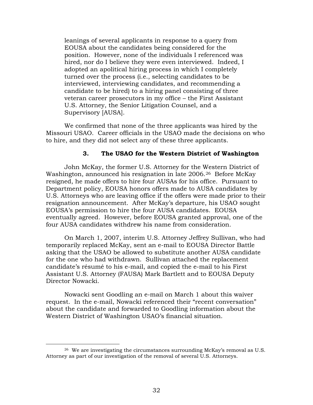<span id="page-36-0"></span>leanings of several applicants in response to a query from EOUSA about the candidates being considered for the position. However, none of the individuals I referenced was hired, nor do I believe they were even interviewed. Indeed, I adopted an apolitical hiring process in which I completely turned over the process (i.e., selecting candidates to be interviewed, interviewing candidates, and recommending a candidate to be hired) to a hiring panel consisting of three veteran career prosecutors in my office – the First Assistant U.S. Attorney, the Senior Litigation Counsel, and a Supervisory [AUSA].

We confirmed that none of the three applicants was hired by the Missouri USAO. Career officials in the USAO made the decisions on who to hire, and they did not select any of these three applicants.

#### **3. The USAO for the Western District of Washington**

John McKay, the former U.S. Attorney for the Western District of Washington, announced his resignation in late [2](#page-36-0)006.<sup>26</sup> Before McKay resigned, he made offers to hire four AUSAs for his office. Pursuant to Department policy, EOUSA honors offers made to AUSA candidates by U.S. Attorneys who are leaving office if the offers were made prior to their resignation announcement. After McKay's departure, his USAO sought EOUSA's permission to hire the four AUSA candidates. EOUSA eventually agreed. However, before EOUSA granted approval, one of the four AUSA candidates withdrew his name from consideration.

On March 1, 2007, interim U.S. Attorney Jeffrey Sullivan, who had temporarily replaced McKay, sent an e-mail to EOUSA Director Battle asking that the USAO be allowed to substitute another AUSA candidate for the one who had withdrawn. Sullivan attached the replacement candidate's résumé to his e-mail, and copied the e-mail to his First Assistant U.S. Attorney (FAUSA) Mark Bartlett and to EOUSA Deputy Director Nowacki.

Nowacki sent Goodling an e-mail on March 1 about this waiver request. In the e-mail, Nowacki referenced their "recent conversation" about the candidate and forwarded to Goodling information about the Western District of Washington USAO's financial situation.

<sup>&</sup>lt;sup>26</sup> We are investigating the circumstances surrounding McKay's removal as U.S. Attorney as part of our investigation of the removal of several U.S. Attorneys.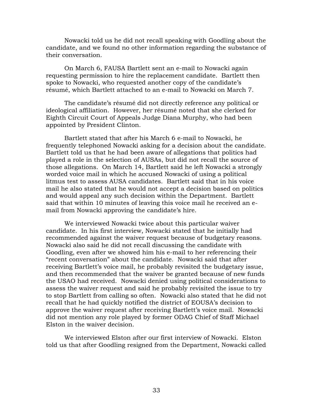Nowacki told us he did not recall speaking with Goodling about the candidate, and we found no other information regarding the substance of their conversation.

On March 6, FAUSA Bartlett sent an e-mail to Nowacki again requesting permission to hire the replacement candidate. Bartlett then spoke to Nowacki, who requested another copy of the candidate's résumé, which Bartlett attached to an e-mail to Nowacki on March 7.

The candidate's résumé did not directly reference any political or ideological affiliation. However, her résumé noted that she clerked for Eighth Circuit Court of Appeals Judge Diana Murphy, who had been appointed by President Clinton.

Bartlett stated that after his March 6 e-mail to Nowacki, he frequently telephoned Nowacki asking for a decision about the candidate. Bartlett told us that he had been aware of allegations that politics had played a role in the selection of AUSAs, but did not recall the source of those allegations. On March 14, Bartlett said he left Nowacki a strongly worded voice mail in which he accused Nowacki of using a political litmus test to assess AUSA candidates. Bartlett said that in his voice mail he also stated that he would not accept a decision based on politics and would appeal any such decision within the Department. Bartlett said that within 10 minutes of leaving this voice mail he received an email from Nowacki approving the candidate's hire.

We interviewed Nowacki twice about this particular waiver candidate. In his first interview, Nowacki stated that he initially had recommended against the waiver request because of budgetary reasons. Nowacki also said he did not recall discussing the candidate with Goodling, even after we showed him his e-mail to her referencing their "recent conversation" about the candidate. Nowacki said that after receiving Bartlett's voice mail, he probably revisited the budgetary issue, and then recommended that the waiver be granted because of new funds the USAO had received. Nowacki denied using political considerations to assess the waiver request and said he probably revisited the issue to try to stop Bartlett from calling so often. Nowacki also stated that he did not recall that he had quickly notified the district of EOUSA's decision to approve the waiver request after receiving Bartlett's voice mail. Nowacki did not mention any role played by former ODAG Chief of Staff Michael Elston in the waiver decision.

We interviewed Elston after our first interview of Nowacki. Elston told us that after Goodling resigned from the Department, Nowacki called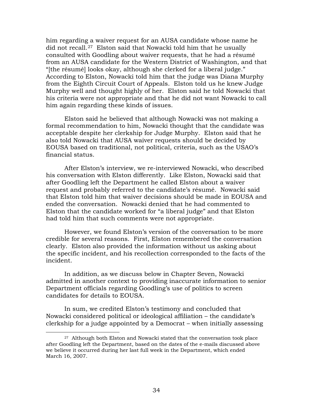<span id="page-38-0"></span>him regarding a waiver request for an AUSA candidate whose name he did not recall.[27](#page-38-0) Elston said that Nowacki told him that he usually consulted with Goodling about waiver requests, that he had a résumé from an AUSA candidate for the Western District of Washington, and that "[the résumé] looks okay, although she clerked for a liberal judge." According to Elston, Nowacki told him that the judge was Diana Murphy from the Eighth Circuit Court of Appeals. Elston told us he knew Judge Murphy well and thought highly of her. Elston said he told Nowacki that his criteria were not appropriate and that he did not want Nowacki to call him again regarding these kinds of issues.

Elston said he believed that although Nowacki was not making a formal recommendation to him, Nowacki thought that the candidate was acceptable despite her clerkship for Judge Murphy. Elston said that he also told Nowacki that AUSA waiver requests should be decided by EOUSA based on traditional, not political, criteria, such as the USAO's financial status.

After Elston's interview, we re-interviewed Nowacki, who described his conversation with Elston differently. Like Elston, Nowacki said that after Goodling left the Department he called Elston about a waiver request and probably referred to the candidate's résumé. Nowacki said that Elston told him that waiver decisions should be made in EOUSA and ended the conversation. Nowacki denied that he had commented to Elston that the candidate worked for "a liberal judge" and that Elston had told him that such comments were not appropriate.

However, we found Elston's version of the conversation to be more credible for several reasons. First, Elston remembered the conversation clearly. Elston also provided the information without us asking about the specific incident, and his recollection corresponded to the facts of the incident.

In addition, as we discuss below in Chapter Seven, Nowacki admitted in another context to providing inaccurate information to senior Department officials regarding Goodling's use of politics to screen candidates for details to EOUSA.

In sum, we credited Elston's testimony and concluded that Nowacki considered political or ideological affiliation – the candidate's clerkship for a judge appointed by a Democrat – when initially assessing

 $27$  Although both Elston and Nowacki stated that the conversation took place after Goodling left the Department, based on the dates of the e-mails discussed above we believe it occurred during her last full week in the Department, which ended March 16, 2007.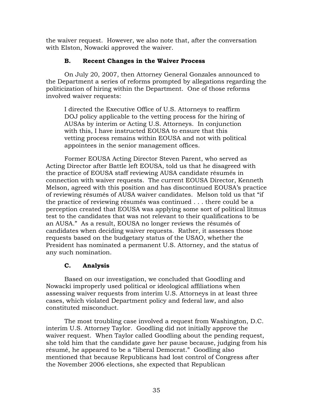the waiver request. However, we also note that, after the conversation with Elston, Nowacki approved the waiver.

# **B. Recent Changes in the Waiver Process**

On July 20, 2007, then Attorney General Gonzales announced to the Department a series of reforms prompted by allegations regarding the politicization of hiring within the Department. One of those reforms involved waiver requests:

I directed the Executive Office of U.S. Attorneys to reaffirm DOJ policy applicable to the vetting process for the hiring of AUSAs by interim or Acting U.S. Attorneys. In conjunction with this, I have instructed EOUSA to ensure that this vetting process remains within EOUSA and not with political appointees in the senior management offices.

Former EOUSA Acting Director Steven Parent, who served as Acting Director after Battle left EOUSA, told us that he disagreed with the practice of EOUSA staff reviewing AUSA candidate résumés in connection with waiver requests. The current EOUSA Director, Kenneth Melson, agreed with this position and has discontinued EOUSA's practice of reviewing résumés of AUSA waiver candidates. Melson told us that "if the practice of reviewing résumés was continued . . . there could be a perception created that EOUSA was applying some sort of political litmus test to the candidates that was not relevant to their qualifications to be an AUSA." As a result, EOUSA no longer reviews the résumés of candidates when deciding waiver requests. Rather, it assesses those requests based on the budgetary status of the USAO, whether the President has nominated a permanent U.S. Attorney, and the status of any such nomination.

# **C. Analysis**

Based on our investigation, we concluded that Goodling and Nowacki improperly used political or ideological affiliations when assessing waiver requests from interim U.S. Attorneys in at least three cases, which violated Department policy and federal law, and also constituted misconduct.

The most troubling case involved a request from Washington, D.C. interim U.S. Attorney Taylor. Goodling did not initially approve the waiver request. When Taylor called Goodling about the pending request, she told him that the candidate gave her pause because, judging from his résumé, he appeared to be a "liberal Democrat." Goodling also mentioned that because Republicans had lost control of Congress after the November 2006 elections, she expected that Republican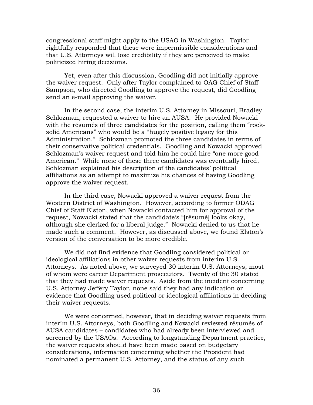congressional staff might apply to the USAO in Washington. Taylor rightfully responded that these were impermissible considerations and that U.S. Attorneys will lose credibility if they are perceived to make politicized hiring decisions.

Yet, even after this discussion, Goodling did not initially approve the waiver request. Only after Taylor complained to OAG Chief of Staff Sampson, who directed Goodling to approve the request, did Goodling send an e-mail approving the waiver.

In the second case, the interim U.S. Attorney in Missouri, Bradley Schlozman, requested a waiver to hire an AUSA. He provided Nowacki with the résumés of three candidates for the position, calling them "rocksolid Americans" who would be a "hugely positive legacy for this Administration." Schlozman promoted the three candidates in terms of their conservative political credentials. Goodling and Nowacki approved Schlozman's waiver request and told him he could hire "one more good American." While none of these three candidates was eventually hired, Schlozman explained his description of the candidates' political affiliations as an attempt to maximize his chances of having Goodling approve the waiver request.

In the third case, Nowacki approved a waiver request from the Western District of Washington. However, according to former ODAG Chief of Staff Elston, when Nowacki contacted him for approval of the request, Nowacki stated that the candidate's "[résumé] looks okay, although she clerked for a liberal judge." Nowacki denied to us that he made such a comment. However, as discussed above, we found Elston's version of the conversation to be more credible.

We did not find evidence that Goodling considered political or ideological affiliations in other waiver requests from interim U.S. Attorneys. As noted above, we surveyed 30 interim U.S. Attorneys, most of whom were career Department prosecutors. Twenty of the 30 stated that they had made waiver requests. Aside from the incident concerning U.S. Attorney Jeffery Taylor, none said they had any indication or evidence that Goodling used political or ideological affiliations in deciding their waiver requests.

We were concerned, however, that in deciding waiver requests from interim U.S. Attorneys, both Goodling and Nowacki reviewed résumés of AUSA candidates – candidates who had already been interviewed and screened by the USAOs. According to longstanding Department practice, the waiver requests should have been made based on budgetary considerations, information concerning whether the President had nominated a permanent U.S. Attorney, and the status of any such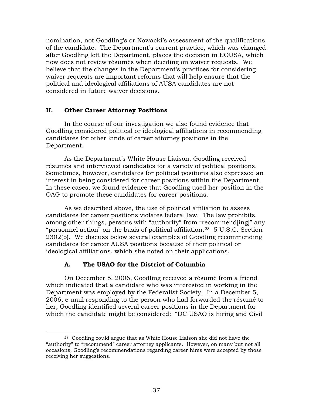<span id="page-41-0"></span>nomination, not Goodling's or Nowacki's assessment of the qualifications of the candidate. The Department's current practice, which was changed after Goodling left the Department, places the decision in EOUSA, which now does not review résumés when deciding on waiver requests. We believe that the changes in the Department's practices for considering waiver requests are important reforms that will help ensure that the political and ideological affiliations of AUSA candidates are not considered in future waiver decisions.

#### **II. Other Career Attorney Positions**

In the course of our investigation we also found evidence that Goodling considered political or ideological affiliations in recommending candidates for other kinds of career attorney positions in the Department.

As the Department's White House Liaison, Goodling received résumés and interviewed candidates for a variety of political positions. Sometimes, however, candidates for political positions also expressed an interest in being considered for career positions within the Department. In these cases, we found evidence that Goodling used her position in the OAG to promote these candidates for career positions.

As we described above, the use of political affiliation to assess candidates for career positions violates federal law. The law prohibits, among other things, persons with "authority" from "recommend[ing]" any "personnel action" on the basis of political affiliation.[2](#page-41-0)8 5 U.S.C. Section 2302(b). We discuss below several examples of Goodling recommending candidates for career AUSA positions because of their political or ideological affiliations, which she noted on their applications.

### **A. The USAO for the District of Columbia**

On December 5, 2006, Goodling received a résumé from a friend which indicated that a candidate who was interested in working in the Department was employed by the Federalist Society. In a December 5, 2006, e-mail responding to the person who had forwarded the résumé to her, Goodling identified several career positions in the Department for which the candidate might be considered: "DC USAO is hiring and Civil

 <sup>28</sup> Goodling could argue that as White House Liaison she did not have the "authority" to "recommend" career attorney applicants. However, on many but not all occasions, Goodling's recommendations regarding career hires were accepted by those receiving her suggestions.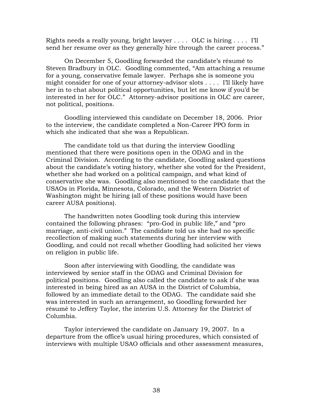Rights needs a really young, bright lawyer . . . . OLC is hiring . . . . I'll send her resume over as they generally hire through the career process."

On December 5, Goodling forwarded the candidate's résumé to Steven Bradbury in OLC. Goodling commented, "Am attaching a resume for a young, conservative female lawyer. Perhaps she is someone you might consider for one of your attorney-advisor slots . . . . I'll likely have her in to chat about political opportunities, but let me know if you'd be interested in her for OLC." Attorney-advisor positions in OLC are career, not political, positions.

Goodling interviewed this candidate on December 18, 2006. Prior to the interview, the candidate completed a Non-Career PPO form in which she indicated that she was a Republican.

The candidate told us that during the interview Goodling mentioned that there were positions open in the ODAG and in the Criminal Division. According to the candidate, Goodling asked questions about the candidate's voting history, whether she voted for the President, whether she had worked on a political campaign, and what kind of conservative she was. Goodling also mentioned to the candidate that the USAOs in Florida, Minnesota, Colorado, and the Western District of Washington might be hiring (all of these positions would have been career AUSA positions).

The handwritten notes Goodling took during this interview contained the following phrases: "pro-God in public life," and "pro marriage, anti-civil union." The candidate told us she had no specific recollection of making such statements during her interview with Goodling, and could not recall whether Goodling had solicited her views on religion in public life.

Soon after interviewing with Goodling, the candidate was interviewed by senior staff in the ODAG and Criminal Division for political positions. Goodling also called the candidate to ask if she was interested in being hired as an AUSA in the District of Columbia, followed by an immediate detail to the ODAG. The candidate said she was interested in such an arrangement, so Goodling forwarded her résumé to Jeffery Taylor, the interim U.S. Attorney for the District of Columbia.

Taylor interviewed the candidate on January 19, 2007. In a departure from the office's usual hiring procedures, which consisted of interviews with multiple USAO officials and other assessment measures,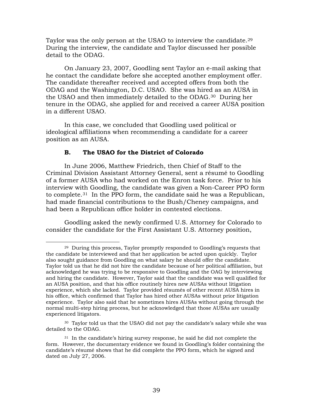<span id="page-43-0"></span>Taylor was the only person at the USAO to interview the candidate.<sup>[2](#page-43-0)9</sup> During the interview, the candidate and Taylor discussed her possible detail to the ODAG.

On January 23, 2007, Goodling sent Taylor an e-mail asking that he contact the candidate before she accepted another employment offer. The candidate thereafter received and accepted offers from both the ODAG and the Washington, D.C. USAO. She was hired as an AUSA in the USAO and then immediately detailed to the ODAG.[30](#page-43-0) During her tenure in the ODAG, she applied for and received a career AUSA position in a different USAO.

In this case, we concluded that Goodling used political or ideological affiliations when recommending a candidate for a career position as an AUSA.

#### **B. The USAO for the District of Colorado**

In June 2006, Matthew Friedrich, then Chief of Staff to the Criminal Division Assistant Attorney General, sent a résumé to Goodling of a former AUSA who had worked on the Enron task force. Prior to his interview with Goodling, the candidate was given a Non-Career PPO form to complete.[31](#page-43-0) In the PPO form, the candidate said he was a Republican, had made financial contributions to the Bush/Cheney campaigns, and had been a Republican office holder in contested elections.

Goodling asked the newly confirmed U.S. Attorney for Colorado to consider the candidate for the First Assistant U.S. Attorney position,

<sup>30</sup> Taylor told us that the USAO did not pay the candidate's salary while she was detailed to the ODAG.

 <sup>29</sup> During this process, Taylor promptly responded to Goodling's requests that the candidate be interviewed and that her application be acted upon quickly. Taylor also sought guidance from Goodling on what salary he should offer the candidate. Taylor told us that he did not hire the candidate because of her political affiliation, but acknowledged he was trying to be responsive to Goodling and the OAG by interviewing and hiring the candidate. However, Taylor said that the candidate was well qualified for an AUSA position, and that his office routinely hires new AUSAs without litigation experience, which she lacked. Taylor provided résumés of other recent AUSA hires in his office, which confirmed that Taylor has hired other AUSAs without prior litigation experience. Taylor also said that he sometimes hires AUSAs without going through the normal multi-step hiring process, but he acknowledged that those AUSAs are usually experienced litigators.

<sup>31</sup> In the candidate's hiring survey response, he said he did not complete the form. However, the documentary evidence we found in Goodling's folder containing the candidate's résumé shows that he did complete the PPO form, which he signed and dated on July 27, 2006.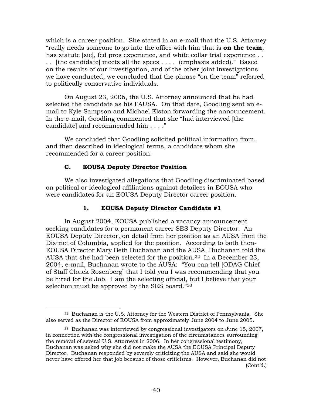<span id="page-44-0"></span>which is a career position. She stated in an e-mail that the U.S. Attorney "really needs someone to go into the office with him that is **on the team**, has statute [sic], fed pros experience, and white collar trial experience.. . . [the candidate] meets all the specs . . . . (emphasis added)." Based on the results of our investigation, and of the other joint investigations we have conducted, we concluded that the phrase "on the team" referred to politically conservative individuals.

On August 23, 2006, the U.S. Attorney announced that he had selected the candidate as his FAUSA. On that date, Goodling sent an email to Kyle Sampson and Michael Elston forwarding the announcement. In the e-mail, Goodling commented that she "had interviewed [the candidate] and recommended him . . . ."

We concluded that Goodling solicited political information from, and then described in ideological terms, a candidate whom she recommended for a career position.

### **C. EOUSA Deputy Director Position**

We also investigated allegations that Goodling discriminated based on political or ideological affiliations against detailees in EOUSA who were candidates for an EOUSA Deputy Director career position.

# **1. EOUSA Deputy Director Candidate #1**

In August 2004, EOUSA published a vacancy announcement seeking candidates for a permanent career SES Deputy Director. An EOUSA Deputy Director, on detail from her position as an AUSA from the District of Columbia, applied for the position. According to both then-EOUSA Director Mary Beth Buchanan and the AUSA, Buchanan told the AUSA that she had been selected for the position.<sup>[3](#page-44-0)2</sup> In a December 23, 2004, e-mail, Buchanan wrote to the AUSA: "You can tell [ODAG Chief of Staff Chuck Rosenberg] that I told you I was recommending that you be hired for the Job. I am the selecting official, but I believe that your selection must be approved by the SES board."[33](#page-44-0)

 <sup>32</sup> Buchanan is the U.S. Attorney for the Western District of Pennsylvania. She also served as the Director of EOUSA from approximately June 2004 to June 2005.

<sup>33</sup> Buchanan was interviewed by congressional investigators on June 15, 2007, in connection with the congressional investigation of the circumstances surrounding the removal of several U.S. Attorneys in 2006. In her congressional testimony, Buchanan was asked why she did not make the AUSA the EOUSA Principal Deputy Director. Buchanan responded by severely criticizing the AUSA and said she would never have offered her that job because of those criticisms. However, Buchanan did not (Cont'd.)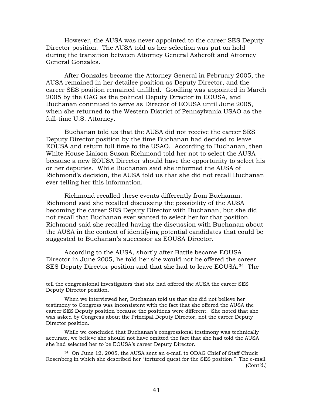<span id="page-45-0"></span>However, the AUSA was never appointed to the career SES Deputy Director position. The AUSA told us her selection was put on hold during the transition between Attorney General Ashcroft and Attorney General Gonzales.

After Gonzales became the Attorney General in February 2005, the AUSA remained in her detailee position as Deputy Director, and the career SES position remained unfilled. Goodling was appointed in March 2005 by the OAG as the political Deputy Director in EOUSA, and Buchanan continued to serve as Director of EOUSA until June 2005, when she returned to the Western District of Pennsylvania USAO as the full-time U.S. Attorney.

Buchanan told us that the AUSA did not receive the career SES Deputy Director position by the time Buchanan had decided to leave EOUSA and return full time to the USAO. According to Buchanan, then White House Liaison Susan Richmond told her not to select the AUSA because a new EOUSA Director should have the opportunity to select his or her deputies. While Buchanan said she informed the AUSA of Richmond's decision, the AUSA told us that she did not recall Buchanan ever telling her this information.

Richmond recalled these events differently from Buchanan. Richmond said she recalled discussing the possibility of the AUSA becoming the career SES Deputy Director with Buchanan, but she did not recall that Buchanan ever wanted to select her for that position. Richmond said she recalled having the discussion with Buchanan about the AUSA in the context of identifying potential candidates that could be suggested to Buchanan's successor as EOUSA Director.

According to the AUSA, shortly after Battle became EOUSA Director in June 2005, he told her she would not be offered the career SES Deputy Director position and that she had to leave EOUSA.[3](#page-45-0)4 The

-

While we concluded that Buchanan's congressional testimony was technically accurate, we believe she should not have omitted the fact that she had told the AUSA she had selected her to be EOUSA's career Deputy Director.

34 On June 12, 2005, the AUSA sent an e-mail to ODAG Chief of Staff Chuck Rosenberg in which she described her "tortured quest for the SES position." The e-mail (Cont'd.)

tell the congressional investigators that she had offered the AUSA the career SES Deputy Director position.

When we interviewed her, Buchanan told us that she did not believe her testimony to Congress was inconsistent with the fact that she offered the AUSA the career SES Deputy position because the positions were different. She noted that she was asked by Congress about the Principal Deputy Director, not the career Deputy Director position.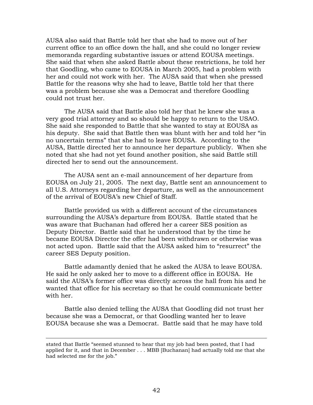AUSA also said that Battle told her that she had to move out of her current office to an office down the hall, and she could no longer review memoranda regarding substantive issues or attend EOUSA meetings. She said that when she asked Battle about these restrictions, he told her that Goodling, who came to EOUSA in March 2005, had a problem with her and could not work with her. The AUSA said that when she pressed Battle for the reasons why she had to leave, Battle told her that there was a problem because she was a Democrat and therefore Goodling could not trust her.

The AUSA said that Battle also told her that he knew she was a very good trial attorney and so should be happy to return to the USAO. She said she responded to Battle that she wanted to stay at EOUSA as his deputy. She said that Battle then was blunt with her and told her "in no uncertain terms" that she had to leave EOUSA. According to the AUSA, Battle directed her to announce her departure publicly. When she noted that she had not yet found another position, she said Battle still directed her to send out the announcement.

The AUSA sent an e-mail announcement of her departure from EOUSA on July 21, 2005. The next day, Battle sent an announcement to all U.S. Attorneys regarding her departure, as well as the announcement of the arrival of EOUSA's new Chief of Staff.

Battle provided us with a different account of the circumstances surrounding the AUSA's departure from EOUSA. Battle stated that he was aware that Buchanan had offered her a career SES position as Deputy Director. Battle said that he understood that by the time he became EOUSA Director the offer had been withdrawn or otherwise was not acted upon. Battle said that the AUSA asked him to "resurrect" the career SES Deputy position.

Battle adamantly denied that he asked the AUSA to leave EOUSA. He said he only asked her to move to a different office in EOUSA. He said the AUSA's former office was directly across the hall from his and he wanted that office for his secretary so that he could communicate better with her.

Battle also denied telling the AUSA that Goodling did not trust her because she was a Democrat, or that Goodling wanted her to leave EOUSA because she was a Democrat. Battle said that he may have told

 $\overline{a}$ 

stated that Battle "seemed stunned to hear that my job had been posted, that I had applied for it, and that in December . . . MBB [Buchanan] had actually told me that she had selected me for the job."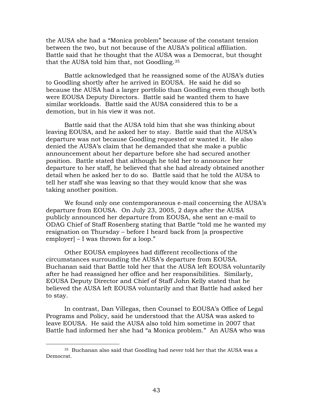<span id="page-47-0"></span>the AUSA she had a "Monica problem" because of the constant tension between the two, but not because of the AUSA's political affiliation. Battle said that he thought that the AUSA was a Democrat, but thought that the AUSA told him that, not Goodling.[35](#page-47-0)

Battle acknowledged that he reassigned some of the AUSA's duties to Goodling shortly after he arrived in EOUSA. He said he did so because the AUSA had a larger portfolio than Goodling even though both were EOUSA Deputy Directors. Battle said he wanted them to have similar workloads. Battle said the AUSA considered this to be a demotion, but in his view it was not.

Battle said that the AUSA told him that she was thinking about leaving EOUSA, and he asked her to stay. Battle said that the AUSA's departure was not because Goodling requested or wanted it. He also denied the AUSA's claim that he demanded that she make a public announcement about her departure before she had secured another position. Battle stated that although he told her to announce her departure to her staff, he believed that she had already obtained another detail when he asked her to do so. Battle said that he told the AUSA to tell her staff she was leaving so that they would know that she was taking another position.

We found only one contemporaneous e-mail concerning the AUSA's departure from EOUSA. On July 23, 2005, 2 days after the AUSA publicly announced her departure from EOUSA, she sent an e-mail to ODAG Chief of Staff Rosenberg stating that Battle "told me he wanted my resignation on Thursday – before I heard back from [a prospective employer] – I was thrown for a loop."

Other EOUSA employees had different recollections of the circumstances surrounding the AUSA's departure from EOUSA. Buchanan said that Battle told her that the AUSA left EOUSA voluntarily after he had reassigned her office and her responsibilities. Similarly, EOUSA Deputy Director and Chief of Staff John Kelly stated that he believed the AUSA left EOUSA voluntarily and that Battle had asked her to stay.

In contrast, Dan Villegas, then Counsel to EOUSA's Office of Legal Programs and Policy, said he understood that the AUSA was asked to leave EOUSA. He said the AUSA also told him sometime in 2007 that Battle had informed her she had "a Monica problem." An AUSA who was

 $35$  Buchanan also said that Goodling had never told her that the AUSA was a Democrat.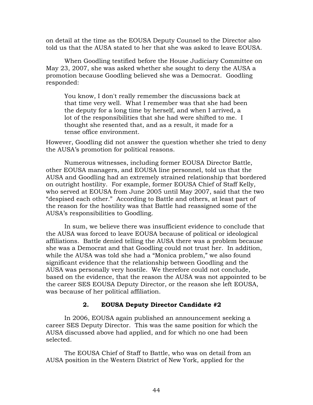on detail at the time as the EOUSA Deputy Counsel to the Director also told us that the AUSA stated to her that she was asked to leave EOUSA.

When Goodling testified before the House Judiciary Committee on May 23, 2007, she was asked whether she sought to deny the AUSA a promotion because Goodling believed she was a Democrat. Goodling responded:

You know, I don't really remember the discussions back at that time very well. What I remember was that she had been the deputy for a long time by herself, and when I arrived, a lot of the responsibilities that she had were shifted to me. I thought she resented that, and as a result, it made for a tense office environment.

However, Goodling did not answer the question whether she tried to deny the AUSA's promotion for political reasons.

Numerous witnesses, including former EOUSA Director Battle, other EOUSA managers, and EOUSA line personnel, told us that the AUSA and Goodling had an extremely strained relationship that bordered on outright hostility. For example, former EOUSA Chief of Staff Kelly, who served at EOUSA from June 2005 until May 2007, said that the two "despised each other." According to Battle and others, at least part of the reason for the hostility was that Battle had reassigned some of the AUSA's responsibilities to Goodling.

In sum, we believe there was insufficient evidence to conclude that the AUSA was forced to leave EOUSA because of political or ideological affiliations. Battle denied telling the AUSA there was a problem because she was a Democrat and that Goodling could not trust her. In addition, while the AUSA was told she had a "Monica problem," we also found significant evidence that the relationship between Goodling and the AUSA was personally very hostile. We therefore could not conclude, based on the evidence, that the reason the AUSA was not appointed to be the career SES EOUSA Deputy Director, or the reason she left EOUSA, was because of her political affiliation.

### **2. EOUSA Deputy Director Candidate #2**

In 2006, EOUSA again published an announcement seeking a career SES Deputy Director. This was the same position for which the AUSA discussed above had applied, and for which no one had been selected.

The EOUSA Chief of Staff to Battle, who was on detail from an AUSA position in the Western District of New York, applied for the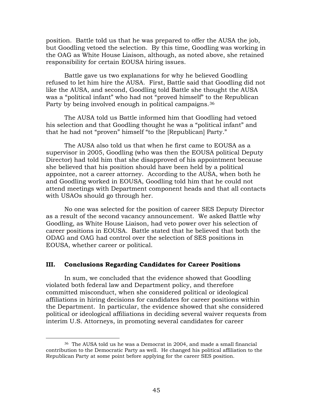<span id="page-49-0"></span>position. Battle told us that he was prepared to offer the AUSA the job, but Goodling vetoed the selection. By this time, Goodling was working in the OAG as White House Liaison, although, as noted above, she retained responsibility for certain EOUSA hiring issues.

Battle gave us two explanations for why he believed Goodling refused to let him hire the AUSA. First, Battle said that Goodling did not like the AUSA, and second, Goodling told Battle she thought the AUSA was a "political infant" who had not "proved himself" to the Republican Party by being involved enough in political campaigns.<sup>[36](#page-49-0)</sup>

The AUSA told us Battle informed him that Goodling had vetoed his selection and that Goodling thought he was a "political infant" and that he had not "proven" himself "to the [Republican] Party."

The AUSA also told us that when he first came to EOUSA as a supervisor in 2005, Goodling (who was then the EOUSA political Deputy Director) had told him that she disapproved of his appointment because she believed that his position should have been held by a political appointee, not a career attorney. According to the AUSA, when both he and Goodling worked in EOUSA, Goodling told him that he could not attend meetings with Department component heads and that all contacts with USAOs should go through her.

No one was selected for the position of career SES Deputy Director as a result of the second vacancy announcement. We asked Battle why Goodling, as White House Liaison, had veto power over his selection of career positions in EOUSA. Battle stated that he believed that both the ODAG and OAG had control over the selection of SES positions in EOUSA, whether career or political.

#### **III. Conclusions Regarding Candidates for Career Positions**

In sum, we concluded that the evidence showed that Goodling violated both federal law and Department policy, and therefore committed misconduct, when she considered political or ideological affiliations in hiring decisions for candidates for career positions within the Department. In particular, the evidence showed that she considered political or ideological affiliations in deciding several waiver requests from interim U.S. Attorneys, in promoting several candidates for career

 <sup>36</sup> The AUSA told us he was a Democrat in 2004, and made a small financial contribution to the Democratic Party as well. He changed his political affiliation to the Republican Party at some point before applying for the career SES position.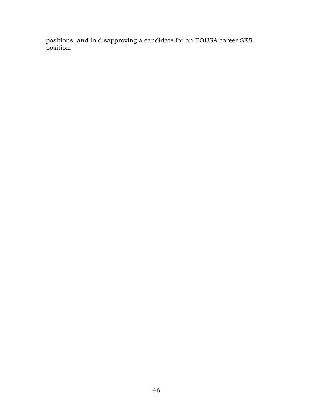positions, and in disapproving a candidate for an EOUSA career SES position.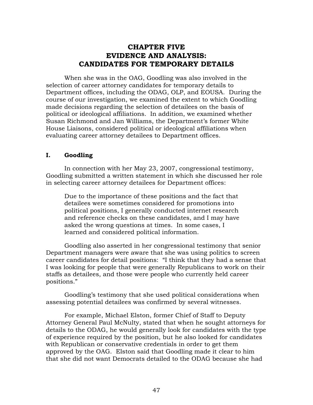# **CHAPTER FIVE EVIDENCE AND ANALYSIS: CANDIDATES FOR TEMPORARY DETAILS**

When she was in the OAG, Goodling was also involved in the selection of career attorney candidates for temporary details to Department offices, including the ODAG, OLP, and EOUSA. During the course of our investigation, we examined the extent to which Goodling made decisions regarding the selection of detailees on the basis of political or ideological affiliations. In addition, we examined whether Susan Richmond and Jan Williams, the Department's former White House Liaisons, considered political or ideological affiliations when evaluating career attorney detailees to Department offices.

### **I. Goodling**

In connection with her May 23, 2007, congressional testimony, Goodling submitted a written statement in which she discussed her role in selecting career attorney detailees for Department offices:

Due to the importance of these positions and the fact that detailees were sometimes considered for promotions into political positions, I generally conducted internet research and reference checks on these candidates, and I may have asked the wrong questions at times. In some cases, I learned and considered political information.

Goodling also asserted in her congressional testimony that senior Department managers were aware that she was using politics to screen career candidates for detail positions: "I think that they had a sense that I was looking for people that were generally Republicans to work on their staffs as detailees, and those were people who currently held career positions."

Goodling's testimony that she used political considerations when assessing potential detailees was confirmed by several witnesses.

For example, Michael Elston, former Chief of Staff to Deputy Attorney General Paul McNulty, stated that when he sought attorneys for details to the ODAG, he would generally look for candidates with the type of experience required by the position, but he also looked for candidates with Republican or conservative credentials in order to get them approved by the OAG. Elston said that Goodling made it clear to him that she did not want Democrats detailed to the ODAG because she had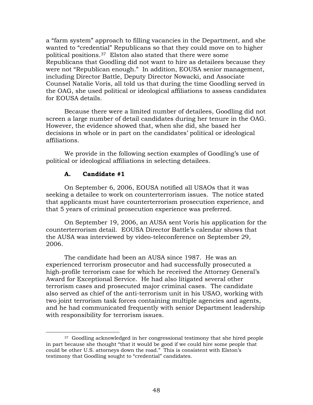<span id="page-52-0"></span>a "farm system" approach to filling vacancies in the Department, and she wanted to "credential" Republicans so that they could move on to higher political positions.[3](#page-52-0)7 Elston also stated that there were some Republicans that Goodling did not want to hire as detailees because they were not "Republican enough." In addition, EOUSA senior management, including Director Battle, Deputy Director Nowacki, and Associate Counsel Natalie Voris, all told us that during the time Goodling served in the OAG, she used political or ideological affiliations to assess candidates for EOUSA details.

Because there were a limited number of detailees, Goodling did not screen a large number of detail candidates during her tenure in the OAG. However, the evidence showed that, when she did, she based her decisions in whole or in part on the candidates' political or ideological affiliations.

We provide in the following section examples of Goodling's use of political or ideological affiliations in selecting detailees.

#### **A. Candidate #1**

On September 6, 2006, EOUSA notified all USAOs that it was seeking a detailee to work on counterterrorism issues. The notice stated that applicants must have counterterrorism prosecution experience, and that 5 years of criminal prosecution experience was preferred.

On September 19, 2006, an AUSA sent Voris his application for the counterterrorism detail. EOUSA Director Battle's calendar shows that the AUSA was interviewed by video-teleconference on September 29, 2006.

The candidate had been an AUSA since 1987. He was an experienced terrorism prosecutor and had successfully prosecuted a high-profile terrorism case for which he received the Attorney General's Award for Exceptional Service. He had also litigated several other terrorism cases and prosecuted major criminal cases. The candidate also served as chief of the anti-terrorism unit in his USAO, working with two joint terrorism task forces containing multiple agencies and agents, and he had communicated frequently with senior Department leadership with responsibility for terrorism issues.

 <sup>37</sup> Goodling acknowledged in her congressional testimony that she hired people in part because she thought "that it would be good if we could hire some people that could be other U.S. attorneys down the road." This is consistent with Elston's testimony that Goodling sought to "credential" candidates.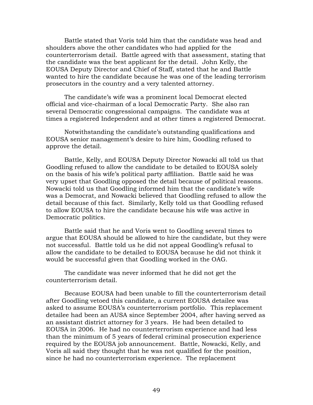Battle stated that Voris told him that the candidate was head and shoulders above the other candidates who had applied for the counterterrorism detail. Battle agreed with that assessment, stating that the candidate was the best applicant for the detail. John Kelly, the EOUSA Deputy Director and Chief of Staff, stated that he and Battle wanted to hire the candidate because he was one of the leading terrorism prosecutors in the country and a very talented attorney.

The candidate's wife was a prominent local Democrat elected official and vice-chairman of a local Democratic Party. She also ran several Democratic congressional campaigns. The candidate was at times a registered Independent and at other times a registered Democrat.

Notwithstanding the candidate's outstanding qualifications and EOUSA senior management's desire to hire him, Goodling refused to approve the detail.

Battle, Kelly, and EOUSA Deputy Director Nowacki all told us that Goodling refused to allow the candidate to be detailed to EOUSA solely on the basis of his wife's political party affiliation. Battle said he was very upset that Goodling opposed the detail because of political reasons. Nowacki told us that Goodling informed him that the candidate's wife was a Democrat, and Nowacki believed that Goodling refused to allow the detail because of this fact. Similarly, Kelly told us that Goodling refused to allow EOUSA to hire the candidate because his wife was active in Democratic politics.

Battle said that he and Voris went to Goodling several times to argue that EOUSA should be allowed to hire the candidate, but they were not successful. Battle told us he did not appeal Goodling's refusal to allow the candidate to be detailed to EOUSA because he did not think it would be successful given that Goodling worked in the OAG.

The candidate was never informed that he did not get the counterterrorism detail.

Because EOUSA had been unable to fill the counterterrorism detail after Goodling vetoed this candidate, a current EOUSA detailee was asked to assume EOUSA's counterterrorism portfolio. This replacement detailee had been an AUSA since September 2004, after having served as an assistant district attorney for 3 years. He had been detailed to EOUSA in 2006. He had no counterterrorism experience and had less than the minimum of 5 years of federal criminal prosecution experience required by the EOUSA job announcement. Battle, Nowacki, Kelly, and Voris all said they thought that he was not qualified for the position, since he had no counterterrorism experience. The replacement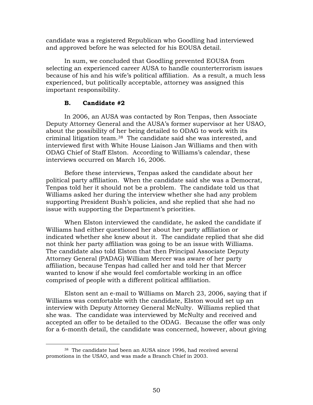<span id="page-54-0"></span>candidate was a registered Republican who Goodling had interviewed and approved before he was selected for his EOUSA detail.

In sum, we concluded that Goodling prevented EOUSA from selecting an experienced career AUSA to handle counterterrorism issues because of his and his wife's political affiliation. As a result, a much less experienced, but politically acceptable, attorney was assigned this important responsibility.

### **B. Candidate #2**

In 2006, an AUSA was contacted by Ron Tenpas, then Associate Deputy Attorney General and the AUSA's former supervisor at her USAO, about the possibility of her being detailed to ODAG to work with its criminal litigation team.[3](#page-54-0)8 The candidate said she was interested, and interviewed first with White House Liaison Jan Williams and then with ODAG Chief of Staff Elston. According to Williams's calendar, these interviews occurred on March 16, 2006.

Before these interviews, Tenpas asked the candidate about her political party affiliation. When the candidate said she was a Democrat, Tenpas told her it should not be a problem. The candidate told us that Williams asked her during the interview whether she had any problem supporting President Bush's policies, and she replied that she had no issue with supporting the Department's priorities.

When Elston interviewed the candidate, he asked the candidate if Williams had either questioned her about her party affiliation or indicated whether she knew about it. The candidate replied that she did not think her party affiliation was going to be an issue with Williams. The candidate also told Elston that then Principal Associate Deputy Attorney General (PADAG) William Mercer was aware of her party affiliation, because Tenpas had called her and told her that Mercer wanted to know if she would feel comfortable working in an office comprised of people with a different political affiliation.

Elston sent an e-mail to Williams on March 23, 2006, saying that if Williams was comfortable with the candidate, Elston would set up an interview with Deputy Attorney General McNulty. Williams replied that she was. The candidate was interviewed by McNulty and received and accepted an offer to be detailed to the ODAG. Because the offer was only for a 6-month detail, the candidate was concerned, however, about giving

 <sup>38</sup> The candidate had been an AUSA since 1996, had received several promotions in the USAO, and was made a Branch Chief in 2003.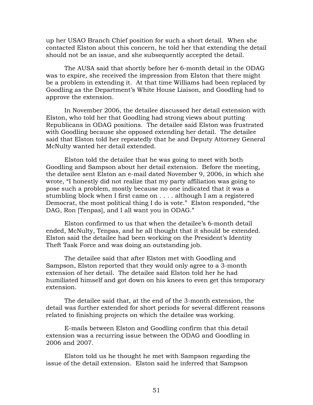up her USAO Branch Chief position for such a short detail. When she contacted Elston about this concern, he told her that extending the detail should not be an issue, and she subsequently accepted the detail.

The AUSA said that shortly before her 6-month detail in the ODAG was to expire, she received the impression from Elston that there might be a problem in extending it. At that time Williams had been replaced by Goodling as the Department's White House Liaison, and Goodling had to approve the extension.

In November 2006, the detailee discussed her detail extension with Elston, who told her that Goodling had strong views about putting Republicans in ODAG positions. The detailee said Elston was frustrated with Goodling because she opposed extending her detail. The detailee said that Elston told her repeatedly that he and Deputy Attorney General McNulty wanted her detail extended.

Elston told the detailee that he was going to meet with both Goodling and Sampson about her detail extension. Before the meeting, the detailee sent Elston an e-mail dated November 9, 2006, in which she wrote, "I honestly did not realize that my party affiliation was going to pose such a problem, mostly because no one indicated that it was a stumbling block when I first came on . . . . although I am a registered Democrat, the most political thing I do is vote." Elston responded, "the DAG, Ron [Tenpas], and I all want you in ODAG."

Elston confirmed to us that when the detailee's 6-month detail ended, McNulty, Tenpas, and he all thought that it should be extended. Elston said the detailee had been working on the President's Identity Theft Task Force and was doing an outstanding job.

The detailee said that after Elston met with Goodling and Sampson, Elston reported that they would only agree to a 3-month extension of her detail. The detailee said Elston told her he had humiliated himself and got down on his knees to even get this temporary extension.

The detailee said that, at the end of the 3-month extension, the detail was further extended for short periods for several different reasons related to finishing projects on which the detailee was working.

E-mails between Elston and Goodling confirm that this detail extension was a recurring issue between the ODAG and Goodling in 2006 and 2007.

Elston told us he thought he met with Sampson regarding the issue of the detail extension. Elston said he inferred that Sampson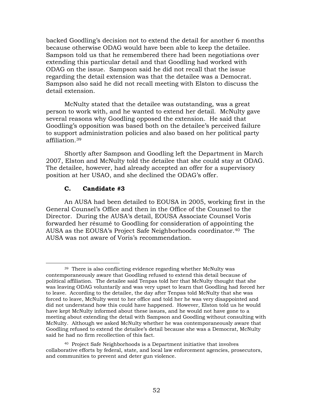<span id="page-56-0"></span>backed Goodling's decision not to extend the detail for another 6 months because otherwise ODAG would have been able to keep the detailee. Sampson told us that he remembered there had been negotiations over extending this particular detail and that Goodling had worked with ODAG on the issue. Sampson said he did not recall that the issue regarding the detail extension was that the detailee was a Democrat. Sampson also said he did not recall meeting with Elston to discuss the detail extension.

McNulty stated that the detailee was outstanding, was a great person to work with, and he wanted to extend her detail. McNulty gave several reasons why Goodling opposed the extension. He said that Goodling's opposition was based both on the detailee's perceived failure to support administration policies and also based on her political party affiliation.[3](#page-56-0)9

Shortly after Sampson and Goodling left the Department in March 2007, Elston and McNulty told the detailee that she could stay at ODAG. The detailee, however, had already accepted an offer for a supervisory position at her USAO, and she declined the ODAG's offer.

#### **C. Candidate #3**

An AUSA had been detailed to EOUSA in 2005, working first in the General Counsel's Office and then in the Office of the Counsel to the Director. During the AUSA's detail, EOUSA Associate Counsel Voris forwarded her résumé to Goodling for consideration of appointing the AUSA as the EOUSA's Project Safe Neighborhoods coordinator.[4](#page-56-0)0 The AUSA was not aware of Voris's recommendation.

 <sup>39</sup> There is also conflicting evidence regarding whether McNulty was contemporaneously aware that Goodling refused to extend this detail because of political affiliation. The detailee said Tenpas told her that McNulty thought that she was leaving ODAG voluntarily and was very upset to learn that Goodling had forced her to leave. According to the detailee, the day after Tenpas told McNulty that she was forced to leave, McNulty went to her office and told her he was very disappointed and did not understand how this could have happened. However, Elston told us he would have kept McNulty informed about these issues, and he would not have gone to a meeting about extending the detail with Sampson and Goodling without consulting with McNulty. Although we asked McNulty whether he was contemporaneously aware that Goodling refused to extend the detailee's detail because she was a Democrat, McNulty said he had no firm recollection of this fact.

<sup>40</sup> Project Safe Neighborhoods is a Department initiative that involves collaborative efforts by federal, state, and local law enforcement agencies, prosecutors, and communities to prevent and deter gun violence.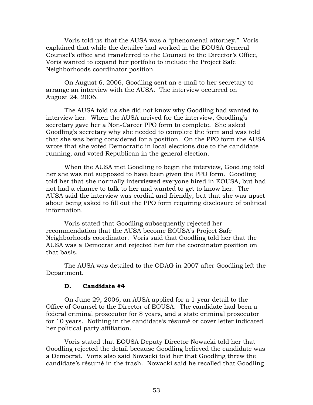Voris told us that the AUSA was a "phenomenal attorney." Voris explained that while the detailee had worked in the EOUSA General Counsel's office and transferred to the Counsel to the Director's Office, Voris wanted to expand her portfolio to include the Project Safe Neighborhoods coordinator position.

On August 6, 2006, Goodling sent an e-mail to her secretary to arrange an interview with the AUSA. The interview occurred on August 24, 2006.

The AUSA told us she did not know why Goodling had wanted to interview her. When the AUSA arrived for the interview, Goodling's secretary gave her a Non-Career PPO form to complete. She asked Goodling's secretary why she needed to complete the form and was told that she was being considered for a position. On the PPO form the AUSA wrote that she voted Democratic in local elections due to the candidate running, and voted Republican in the general election.

When the AUSA met Goodling to begin the interview, Goodling told her she was not supposed to have been given the PPO form. Goodling told her that she normally interviewed everyone hired in EOUSA, but had not had a chance to talk to her and wanted to get to know her. The AUSA said the interview was cordial and friendly, but that she was upset about being asked to fill out the PPO form requiring disclosure of political information.

Voris stated that Goodling subsequently rejected her recommendation that the AUSA become EOUSA's Project Safe Neighborhoods coordinator. Voris said that Goodling told her that the AUSA was a Democrat and rejected her for the coordinator position on that basis.

The AUSA was detailed to the ODAG in 2007 after Goodling left the Department.

### **D. Candidate #4**

On June 29, 2006, an AUSA applied for a 1-year detail to the Office of Counsel to the Director of EOUSA. The candidate had been a federal criminal prosecutor for 8 years, and a state criminal prosecutor for 10 years. Nothing in the candidate's résumé or cover letter indicated her political party affiliation.

Voris stated that EOUSA Deputy Director Nowacki told her that Goodling rejected the detail because Goodling believed the candidate was a Democrat. Voris also said Nowacki told her that Goodling threw the candidate's résumé in the trash. Nowacki said he recalled that Goodling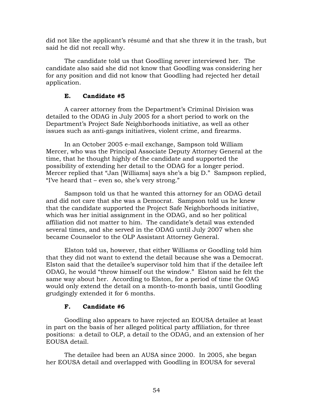did not like the applicant's résumé and that she threw it in the trash, but said he did not recall why.

The candidate told us that Goodling never interviewed her. The candidate also said she did not know that Goodling was considering her for any position and did not know that Goodling had rejected her detail application.

### **E. Candidate #5**

A career attorney from the Department's Criminal Division was detailed to the ODAG in July 2005 for a short period to work on the Department's Project Safe Neighborhoods initiative, as well as other issues such as anti-gangs initiatives, violent crime, and firearms.

In an October 2005 e-mail exchange, Sampson told William Mercer, who was the Principal Associate Deputy Attorney General at the time, that he thought highly of the candidate and supported the possibility of extending her detail to the ODAG for a longer period. Mercer replied that "Jan [Williams] says she's a big D." Sampson replied, "I've heard that – even so, she's very strong."

Sampson told us that he wanted this attorney for an ODAG detail and did not care that she was a Democrat. Sampson told us he knew that the candidate supported the Project Safe Neighborhoods initiative, which was her initial assignment in the ODAG, and so her political affiliation did not matter to him. The candidate's detail was extended several times, and she served in the ODAG until July 2007 when she became Counselor to the OLP Assistant Attorney General.

Elston told us, however, that either Williams or Goodling told him that they did not want to extend the detail because she was a Democrat. Elston said that the detailee's supervisor told him that if the detailee left ODAG, he would "throw himself out the window." Elston said he felt the same way about her. According to Elston, for a period of time the OAG would only extend the detail on a month-to-month basis, until Goodling grudgingly extended it for 6 months.

# **F. Candidate #6**

Goodling also appears to have rejected an EOUSA detailee at least in part on the basis of her alleged political party affiliation, for three positions: a detail to OLP, a detail to the ODAG, and an extension of her EOUSA detail.

The detailee had been an AUSA since 2000. In 2005, she began her EOUSA detail and overlapped with Goodling in EOUSA for several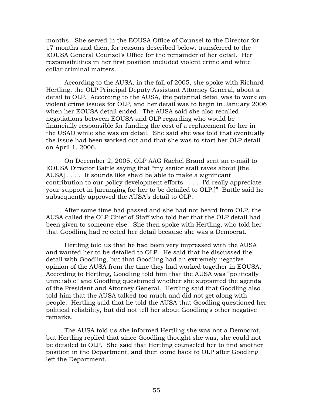months. She served in the EOUSA Office of Counsel to the Director for 17 months and then, for reasons described below, transferred to the EOUSA General Counsel's Office for the remainder of her detail. Her responsibilities in her first position included violent crime and white collar criminal matters.

According to the AUSA, in the fall of 2005, she spoke with Richard Hertling, the OLP Principal Deputy Assistant Attorney General, about a detail to OLP. According to the AUSA, the potential detail was to work on violent crime issues for OLP, and her detail was to begin in January 2006 when her EOUSA detail ended. The AUSA said she also recalled negotiations between EOUSA and OLP regarding who would be financially responsible for funding the cost of a replacement for her in the USAO while she was on detail. She said she was told that eventually the issue had been worked out and that she was to start her OLP detail on April 1, 2006.

On December 2, 2005, OLP AAG Rachel Brand sent an e-mail to EOUSA Director Battle saying that "my senior staff raves about [the AUSA] . . . . It sounds like she'd be able to make a significant contribution to our policy development efforts . . . . I'd really appreciate your support in [arranging for her to be detailed to OLP.]" Battle said he subsequently approved the AUSA's detail to OLP.

After some time had passed and she had not heard from OLP, the AUSA called the OLP Chief of Staff who told her that the OLP detail had been given to someone else. She then spoke with Hertling, who told her that Goodling had rejected her detail because she was a Democrat.

Hertling told us that he had been very impressed with the AUSA and wanted her to be detailed to OLP. He said that he discussed the detail with Goodling, but that Goodling had an extremely negative opinion of the AUSA from the time they had worked together in EOUSA. According to Hertling, Goodling told him that the AUSA was "politically unreliable" and Goodling questioned whether she supported the agenda of the President and Attorney General. Hertling said that Goodling also told him that the AUSA talked too much and did not get along with people. Hertling said that he told the AUSA that Goodling questioned her political reliability, but did not tell her about Goodling's other negative remarks.

The AUSA told us she informed Hertling she was not a Democrat, but Hertling replied that since Goodling thought she was, she could not be detailed to OLP. She said that Hertling counseled her to find another position in the Department, and then come back to OLP after Goodling left the Department.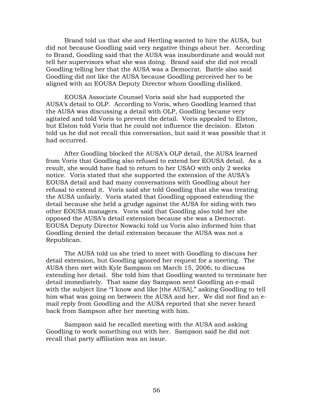Brand told us that she and Hertling wanted to hire the AUSA, but did not because Goodling said very negative things about her. According to Brand, Goodling said that the AUSA was insubordinate and would not tell her supervisors what she was doing. Brand said she did not recall Goodling telling her that the AUSA was a Democrat. Battle also said Goodling did not like the AUSA because Goodling perceived her to be aligned with an EOUSA Deputy Director whom Goodling disliked.

EOUSA Associate Counsel Voris said she had supported the AUSA's detail to OLP. According to Voris, when Goodling learned that the AUSA was discussing a detail with OLP, Goodling became very agitated and told Voris to prevent the detail. Voris appealed to Elston, but Elston told Voris that he could not influence the decision. Elston told us he did not recall this conversation, but said it was possible that it had occurred.

After Goodling blocked the AUSA's OLP detail, the AUSA learned from Voris that Goodling also refused to extend her EOUSA detail. As a result, she would have had to return to her USAO with only 2 weeks notice. Voris stated that she supported the extension of the AUSA's EOUSA detail and had many conversations with Goodling about her refusal to extend it. Voris said she told Goodling that she was treating the AUSA unfairly. Voris stated that Goodling opposed extending the detail because she held a grudge against the AUSA for siding with two other EOUSA managers. Voris said that Goodling also told her she opposed the AUSA's detail extension because she was a Democrat. EOUSA Deputy Director Nowacki told us Voris also informed him that Goodling denied the detail extension because the AUSA was not a Republican.

The AUSA told us she tried to meet with Goodling to discuss her detail extension, but Goodling ignored her request for a meeting. The AUSA then met with Kyle Sampson on March 15, 2006, to discuss extending her detail. She told him that Goodling wanted to terminate her detail immediately. That same day Sampson sent Goodling an e-mail with the subject line "I know and like [the AUSA]," asking Goodling to tell him what was going on between the AUSA and her. We did not find an email reply from Goodling and the AUSA reported that she never heard back from Sampson after her meeting with him.

Sampson said he recalled meeting with the AUSA and asking Goodling to work something out with her. Sampson said he did not recall that party affiliation was an issue.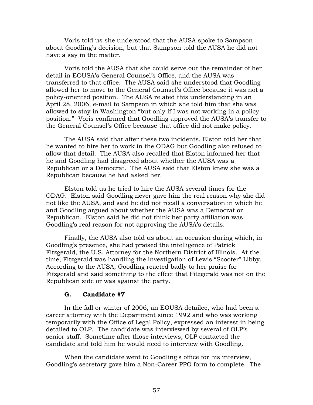Voris told us she understood that the AUSA spoke to Sampson about Goodling's decision, but that Sampson told the AUSA he did not have a say in the matter.

Voris told the AUSA that she could serve out the remainder of her detail in EOUSA's General Counsel's Office, and the AUSA was transferred to that office. The AUSA said she understood that Goodling allowed her to move to the General Counsel's Office because it was not a policy-oriented position. The AUSA related this understanding in an April 28, 2006, e-mail to Sampson in which she told him that she was allowed to stay in Washington "but only if I was not working in a policy position." Voris confirmed that Goodling approved the AUSA's transfer to the General Counsel's Office because that office did not make policy.

The AUSA said that after these two incidents, Elston told her that he wanted to hire her to work in the ODAG but Goodling also refused to allow that detail. The AUSA also recalled that Elston informed her that he and Goodling had disagreed about whether the AUSA was a Republican or a Democrat. The AUSA said that Elston knew she was a Republican because he had asked her.

Elston told us he tried to hire the AUSA several times for the ODAG. Elston said Goodling never gave him the real reason why she did not like the AUSA, and said he did not recall a conversation in which he and Goodling argued about whether the AUSA was a Democrat or Republican. Elston said he did not think her party affiliation was Goodling's real reason for not approving the AUSA's details.

Finally, the AUSA also told us about an occasion during which, in Goodling's presence, she had praised the intelligence of Patrick Fitzgerald, the U.S. Attorney for the Northern District of Illinois. At the time, Fitzgerald was handling the investigation of Lewis "Scooter" Libby. According to the AUSA, Goodling reacted badly to her praise for Fitzgerald and said something to the effect that Fitzgerald was not on the Republican side or was against the party.

#### **G. Candidate #7**

In the fall or winter of 2006, an EOUSA detailee, who had been a career attorney with the Department since 1992 and who was working temporarily with the Office of Legal Policy, expressed an interest in being detailed to OLP. The candidate was interviewed by several of OLP's senior staff. Sometime after those interviews, OLP contacted the candidate and told him he would need to interview with Goodling.

When the candidate went to Goodling's office for his interview, Goodling's secretary gave him a Non-Career PPO form to complete. The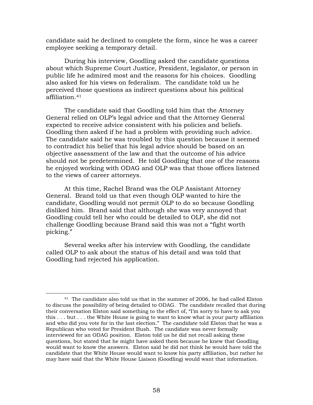<span id="page-62-0"></span>candidate said he declined to complete the form, since he was a career employee seeking a temporary detail.

During his interview, Goodling asked the candidate questions about which Supreme Court Justice, President, legislator, or person in public life he admired most and the reasons for his choices. Goodling also asked for his views on federalism. The candidate told us he perceived those questions as indirect questions about his political affiliation.[4](#page-62-0)1

The candidate said that Goodling told him that the Attorney General relied on OLP's legal advice and that the Attorney General expected to receive advice consistent with his policies and beliefs. Goodling then asked if he had a problem with providing such advice. The candidate said he was troubled by this question because it seemed to contradict his belief that his legal advice should be based on an objective assessment of the law and that the outcome of his advice should not be predetermined. He told Goodling that one of the reasons he enjoyed working with ODAG and OLP was that those offices listened to the views of career attorneys.

At this time, Rachel Brand was the OLP Assistant Attorney General. Brand told us that even though OLP wanted to hire the candidate, Goodling would not permit OLP to do so because Goodling disliked him. Brand said that although she was very annoyed that Goodling could tell her who could be detailed to OLP, she did not challenge Goodling because Brand said this was not a "fight worth picking."

Several weeks after his interview with Goodling, the candidate called OLP to ask about the status of his detail and was told that Goodling had rejected his application.

 <sup>41</sup> The candidate also told us that in the summer of 2006, he had called Elston to discuss the possibility of being detailed to ODAG. The candidate recalled that during their conversation Elston said something to the effect of, "I'm sorry to have to ask you this . . . but . . . the White House is going to want to know what is your party affiliation and who did you vote for in the last election." The candidate told Elston that he was a Republican who voted for President Bush. The candidate was never formally interviewed for an ODAG position. Elston told us he did not recall asking these questions, but stated that he might have asked them because he knew that Goodling would want to know the answers. Elston said he did not think he would have told the candidate that the White House would want to know his party affiliation, but rather he may have said that the White House Liaison (Goodling) would want that information.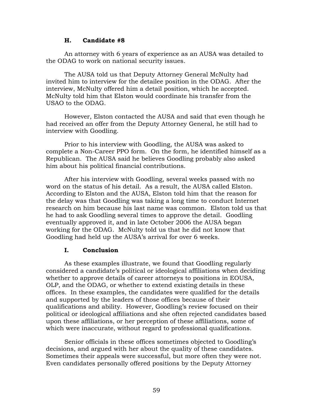#### **H. Candidate #8**

An attorney with 6 years of experience as an AUSA was detailed to the ODAG to work on national security issues.

The AUSA told us that Deputy Attorney General McNulty had invited him to interview for the detailee position in the ODAG. After the interview, McNulty offered him a detail position, which he accepted. McNulty told him that Elston would coordinate his transfer from the USAO to the ODAG.

However, Elston contacted the AUSA and said that even though he had received an offer from the Deputy Attorney General, he still had to interview with Goodling.

Prior to his interview with Goodling, the AUSA was asked to complete a Non-Career PPO form. On the form, he identified himself as a Republican. The AUSA said he believes Goodling probably also asked him about his political financial contributions.

After his interview with Goodling, several weeks passed with no word on the status of his detail. As a result, the AUSA called Elston. According to Elston and the AUSA, Elston told him that the reason for the delay was that Goodling was taking a long time to conduct Internet research on him because his last name was common. Elston told us that he had to ask Goodling several times to approve the detail. Goodling eventually approved it, and in late October 2006 the AUSA began working for the ODAG. McNulty told us that he did not know that Goodling had held up the AUSA's arrival for over 6 weeks.

#### **I. Conclusion**

As these examples illustrate, we found that Goodling regularly considered a candidate's political or ideological affiliations when deciding whether to approve details of career attorneys to positions in EOUSA, OLP, and the ODAG, or whether to extend existing details in these offices. In these examples, the candidates were qualified for the details and supported by the leaders of those offices because of their qualifications and ability. However, Goodling's review focused on their political or ideological affiliations and she often rejected candidates based upon these affiliations, or her perception of these affiliations, some of which were inaccurate, without regard to professional qualifications.

Senior officials in these offices sometimes objected to Goodling's decisions, and argued with her about the quality of these candidates. Sometimes their appeals were successful, but more often they were not. Even candidates personally offered positions by the Deputy Attorney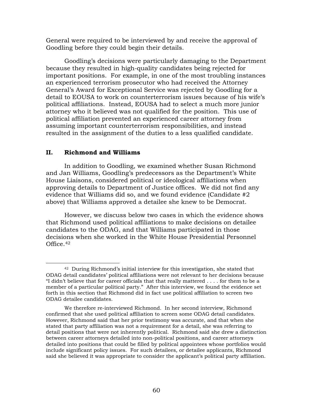<span id="page-64-0"></span>General were required to be interviewed by and receive the approval of Goodling before they could begin their details.

Goodling's decisions were particularly damaging to the Department because they resulted in high-quality candidates being rejected for important positions. For example, in one of the most troubling instances an experienced terrorism prosecutor who had received the Attorney General's Award for Exceptional Service was rejected by Goodling for a detail to EOUSA to work on counterterrorism issues because of his wife's political affiliations. Instead, EOUSA had to select a much more junior attorney who it believed was not qualified for the position. This use of political affiliation prevented an experienced career attorney from assuming important counterterrorism responsibilities, and instead resulted in the assignment of the duties to a less qualified candidate.

#### **II. Richmond and Williams**

In addition to Goodling, we examined whether Susan Richmond and Jan Williams, Goodling's predecessors as the Department's White House Liaisons, considered political or ideological affiliations when approving details to Department of Justice offices. We did not find any evidence that Williams did so, and we found evidence (Candidate #2 above) that Williams approved a detailee she knew to be Democrat.

However, we discuss below two cases in which the evidence shows that Richmond used political affiliations to make decisions on detailee candidates to the ODAG, and that Williams participated in those decisions when she worked in the White House Presidential Personnel Office. $42$ 

 <sup>42</sup> During Richmond's initial interview for this investigation, she stated that ODAG detail candidates' political affiliations were not relevant to her decisions because "I didn't believe that for career officials that that really mattered . . . . for them to be a member of a particular political party." After this interview, we found the evidence set forth in this section that Richmond did in fact use political affiliation to screen two ODAG detailee candidates.

We therefore re-interviewed Richmond. In her second interview, Richmond confirmed that she used political affiliation to screen some ODAG detail candidates. However, Richmond said that her prior testimony was accurate, and that when she stated that party affiliation was not a requirement for a detail, she was referring to detail positions that were not inherently political. Richmond said she drew a distinction between career attorneys detailed into non-political positions, and career attorneys detailed into positions that could be filled by political appointees whose portfolios would include significant policy issues. For such detailees, or detailee applicants, Richmond said she believed it was appropriate to consider the applicant's political party affiliation.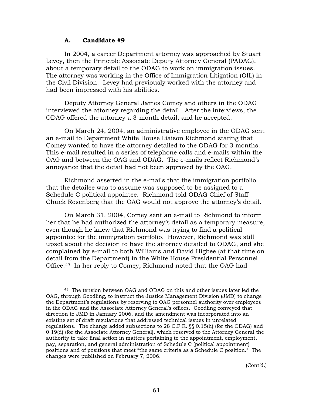#### **A. Candidate #9**

<span id="page-65-0"></span>In 2004, a career Department attorney was approached by Stuart Levey, then the Principle Associate Deputy Attorney General (PADAG), about a temporary detail to the ODAG to work on immigration issues. The attorney was working in the Office of Immigration Litigation (OIL) in the Civil Division. Levey had previously worked with the attorney and had been impressed with his abilities.

Deputy Attorney General James Comey and others in the ODAG interviewed the attorney regarding the detail. After the interviews, the ODAG offered the attorney a 3-month detail, and he accepted.

On March 24, 2004, an administrative employee in the ODAG sent an e-mail to Department White House Liaison Richmond stating that Comey wanted to have the attorney detailed to the ODAG for 3 months. This e-mail resulted in a series of telephone calls and e-mails within the OAG and between the OAG and ODAG. The e-mails reflect Richmond's annoyance that the detail had not been approved by the OAG.

Richmond asserted in the e-mails that the immigration portfolio that the detailee was to assume was supposed to be assigned to a Schedule C political appointee. Richmond told ODAG Chief of Staff Chuck Rosenberg that the OAG would not approve the attorney's detail.

On March 31, 2004, Comey sent an e-mail to Richmond to inform her that he had authorized the attorney's detail as a temporary measure, even though he knew that Richmond was trying to find a political appointee for the immigration portfolio. However, Richmond was still upset about the decision to have the attorney detailed to ODAG, and she complained by e-mail to both Williams and David Higbee (at that time on detail from the Department) in the White House Presidential Personnel Office.[43](#page-65-0) In her reply to Comey, Richmond noted that the OAG had

 <sup>43</sup> The tension between OAG and ODAG on this and other issues later led the OAG, through Goodling, to instruct the Justice Management Division (JMD) to change the Department's regulations by reserving to OAG personnel authority over employees in the ODAG and the Associate Attorney General's offices. Goodling conveyed that direction to JMD in January 2006, and the amendment was incorporated into an existing set of draft regulations that addressed technical issues in unrelated regulations. The change added subsections to 28 C.F.R. §§ 0.15(h) (for the ODAG) and 0.19(d) (for the Associate Attorney General), which reserved to the Attorney General the authority to take final action in matters pertaining to the appointment, employment, pay, separation, and general administration of Schedule C (political appointment) positions and of positions that meet "the same criteria as a Schedule C position." The changes were published on February 7, 2006.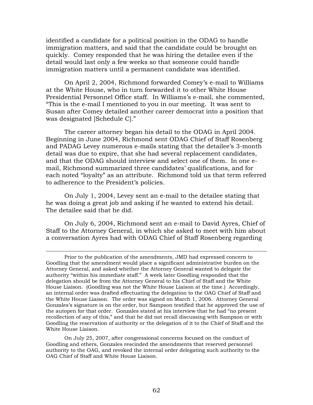identified a candidate for a political position in the ODAG to handle immigration matters, and said that the candidate could be brought on quickly. Comey responded that he was hiring the detailee even if the detail would last only a few weeks so that someone could handle immigration matters until a permanent candidate was identified.

On April 2, 2004, Richmond forwarded Comey's e-mail to Williams at the White House, who in turn forwarded it to other White House Presidential Personnel Office staff. In Williams's e-mail, she commented, "This is the e-mail I mentioned to you in our meeting. It was sent to Susan after Comey detailed another career democrat into a position that was designated [Schedule C]."

The career attorney began his detail to the ODAG in April 2004. Beginning in June 2004, Richmond sent ODAG Chief of Staff Rosenberg and PADAG Levey numerous e-mails stating that the detailee's 3-month detail was due to expire, that she had several replacement candidates, and that the ODAG should interview and select one of them. In one email, Richmond summarized three candidates' qualifications, and for each noted "loyalty" as an attribute. Richmond told us that term referred to adherence to the President's policies.

On July 1, 2004, Levey sent an e-mail to the detailee stating that he was doing a great job and asking if he wanted to extend his detail. The detailee said that he did.

On July 6, 2004, Richmond sent an e-mail to David Ayres, Chief of Staff to the Attorney General, in which she asked to meet with him about a conversation Ayres had with ODAG Chief of Staff Rosenberg regarding

 $\overline{a}$ 

Prior to the publication of the amendments, JMD had expressed concern to Goodling that the amendment would place a significant administrative burden on the Attorney General, and asked whether the Attorney General wanted to delegate the authority "within his immediate staff." A week later Goodling responded that the delegation should be from the Attorney General to his Chief of Staff and the White House Liaison. (Goodling was not the White House Liaison at the time.) Accordingly, an internal order was drafted effectuating the delegation to the OAG Chief of Staff and the White House Liaison. The order was signed on March 1, 2006. Attorney General Gonzales's signature is on the order, but Sampson testified that he approved the use of the autopen for that order. Gonzales stated at his interview that he had "no present recollection of any of this," and that he did not recall discussing with Sampson or with Goodling the reservation of authority or the delegation of it to the Chief of Staff and the White House Liaison.

On July 25, 2007, after congressional concerns focused on the conduct of Goodling and others, Gonzales rescinded the amendments that reserved personnel authority to the OAG, and revoked the internal order delegating such authority to the OAG Chief of Staff and White House Liaison.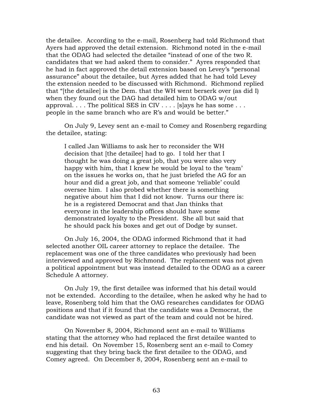the detailee. According to the e-mail, Rosenberg had told Richmond that Ayers had approved the detail extension. Richmond noted in the e-mail that the ODAG had selected the detailee "instead of one of the two R. candidates that we had asked them to consider." Ayres responded that he had in fact approved the detail extension based on Levey's "personal assurance" about the detailee, but Ayres added that he had told Levey the extension needed to be discussed with Richmond. Richmond replied that "[the detailee] is the Dem. that the WH went berserk over (as did I) when they found out the DAG had detailed him to ODAG w/out approval.  $\ldots$  The political SES in CIV  $\ldots$  [s] ays he has some  $\ldots$ people in the same branch who are R's and would be better."

On July 9, Levey sent an e-mail to Comey and Rosenberg regarding the detailee, stating:

I called Jan Williams to ask her to reconsider the WH decision that [the detailee] had to go. I told her that I thought he was doing a great job, that you were also very happy with him, that I knew he would be loyal to the 'team' on the issues he works on, that he just briefed the AG for an hour and did a great job, and that someone 'reliable' could oversee him. I also probed whether there is something negative about him that I did not know. Turns our there is: he is a registered Democrat and that Jan thinks that everyone in the leadership offices should have some demonstrated loyalty to the President. She all but said that he should pack his boxes and get out of Dodge by sunset.

On July 16, 2004, the ODAG informed Richmond that it had selected another OIL career attorney to replace the detailee. The replacement was one of the three candidates who previously had been interviewed and approved by Richmond. The replacement was not given a political appointment but was instead detailed to the ODAG as a career Schedule A attorney.

On July 19, the first detailee was informed that his detail would not be extended. According to the detailee, when he asked why he had to leave, Rosenberg told him that the OAG researches candidates for ODAG positions and that if it found that the candidate was a Democrat, the candidate was not viewed as part of the team and could not be hired.

On November 8, 2004, Richmond sent an e-mail to Williams stating that the attorney who had replaced the first detailee wanted to end his detail. On November 15, Rosenberg sent an e-mail to Comey suggesting that they bring back the first detailee to the ODAG, and Comey agreed. On December 8, 2004, Rosenberg sent an e-mail to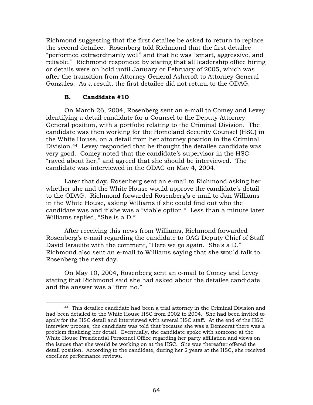<span id="page-68-0"></span>Richmond suggesting that the first detailee be asked to return to replace the second detailee. Rosenberg told Richmond that the first detailee "performed extraordinarily well" and that he was "smart, aggressive, and reliable." Richmond responded by stating that all leadership office hiring or details were on hold until January or February of 2005, which was after the transition from Attorney General Ashcroft to Attorney General Gonzales. As a result, the first detailee did not return to the ODAG.

### **B. Candidate #10**

On March 26, 2004, Rosenberg sent an e-mail to Comey and Levey identifying a detail candidate for a Counsel to the Deputy Attorney General position, with a portfolio relating to the Criminal Division. The candidate was then working for the Homeland Security Counsel (HSC) in the White House, on a detail from her attorney position in the Criminal Division.<sup>[44](#page-68-0)</sup> Levey responded that he thought the detailee candidate was very good. Comey noted that the candidate's supervisor in the HSC "raved about her," and agreed that she should be interviewed. The candidate was interviewed in the ODAG on May 4, 2004.

Later that day, Rosenberg sent an e-mail to Richmond asking her whether she and the White House would approve the candidate's detail to the ODAG. Richmond forwarded Rosenberg's e-mail to Jan Williams in the White House, asking Williams if she could find out who the candidate was and if she was a "viable option." Less than a minute later Williams replied, "She is a D."

After receiving this news from Williams, Richmond forwarded Rosenberg's e-mail regarding the candidate to OAG Deputy Chief of Staff David Israelite with the comment, "Here we go again. She's a D." Richmond also sent an e-mail to Williams saying that she would talk to Rosenberg the next day.

On May 10, 2004, Rosenberg sent an e-mail to Comey and Levey stating that Richmond said she had asked about the detailee candidate and the answer was a "firm no."

 <sup>44</sup> This detailee candidate had been a trial attorney in the Criminal Division and had been detailed to the White House HSC from 2002 to 2004. She had been invited to apply for the HSC detail and interviewed with several HSC staff. At the end of the HSC interview process, the candidate was told that because she was a Democrat there was a problem finalizing her detail. Eventually, the candidate spoke with someone at the White House Presidential Personnel Office regarding her party affiliation and views on the issues that she would be working on at the HSC. She was thereafter offered the detail position. According to the candidate, during her 2 years at the HSC, she received excellent performance reviews.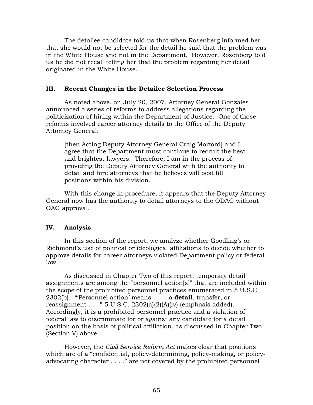The detailee candidate told us that when Rosenberg informed her that she would not be selected for the detail he said that the problem was in the White House and not in the Department. However, Rosenberg told us he did not recall telling her that the problem regarding her detail originated in the White House.

#### **III. Recent Changes in the Detailee Selection Process**

As noted above, on July 20, 2007, Attorney General Gonzales announced a series of reforms to address allegations regarding the politicization of hiring within the Department of Justice. One of those reforms involved career attorney details to the Office of the Deputy Attorney General:

[then Acting Deputy Attorney General Craig Morford] and I agree that the Department must continue to recruit the best and brightest lawyers. Therefore, I am in the process of providing the Deputy Attorney General with the authority to detail and hire attorneys that he believes will best fill positions within his division.

With this change in procedure, it appears that the Deputy Attorney General now has the authority to detail attorneys to the ODAG without OAG approval.

#### **IV. Analysis**

In this section of the report, we analyze whether Goodling's or Richmond's use of political or ideological affiliations to decide whether to approve details for career attorneys violated Department policy or federal law.

As discussed in Chapter Two of this report, temporary detail assignments are among the "personnel action[s]" that are included within the scope of the prohibited personnel practices enumerated in 5 U.S.C. 2302(b). "'Personnel action' means . . . . a **detail**, transfer, or reassignment . . . " 5 U.S.C. 2302(a)(2)(A)(iv) (emphasis added). Accordingly, it is a prohibited personnel practice and a violation of federal law to discriminate for or against any candidate for a detail position on the basis of political affiliation, as discussed in Chapter Two (Section V) above.

However, the *Civil Service Reform Act* makes clear that positions which are of a "confidential, policy-determining, policy-making, or policyadvocating character . . . ." are not covered by the prohibited personnel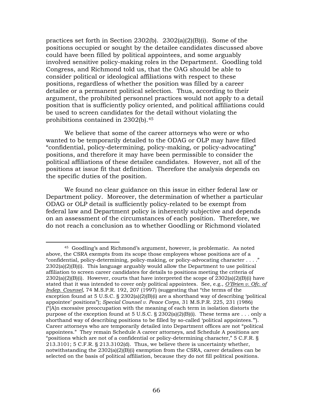<span id="page-70-0"></span>practices set forth in Section 2302(b).  $2302(a)(2)(B)(i)$ . Some of the positions occupied or sought by the detailee candidates discussed above could have been filled by political appointees, and some arguably involved sensitive policy-making roles in the Department. Goodling told Congress, and Richmond told us, that the OAG should be able to consider political or ideological affiliations with respect to these positions, regardless of whether the position was filled by a career detailee or a permanent political selection. Thus, according to their argument, the prohibited personnel practices would not apply to a detail position that is sufficiently policy oriented, and political affiliations could be used to screen candidates for the detail without violating the prohibitions contained in 2302(b).[4](#page-70-0)5

We believe that some of the career attorneys who were or who wanted to be temporarily detailed to the ODAG or OLP may have filled "confidential, policy-determining, policy-making, or policy-advocating" positions, and therefore it may have been permissible to consider the political affiliations of these detailee candidates. However, not all of the positions at issue fit that definition. Therefore the analysis depends on the specific duties of the position.

We found no clear guidance on this issue in either federal law or Department policy. Moreover, the determination of whether a particular ODAG or OLP detail is sufficiently policy-related to be exempt from federal law and Department policy is inherently subjective and depends on an assessment of the circumstances of each position. Therefore, we do not reach a conclusion as to whether Goodling or Richmond violated

 <sup>45</sup> Goodling's and Richmond's argument, however, is problematic. As noted above, the CSRA exempts from its scope those employees whose positions are of a "confidential, policy-determining, policy-making, or policy-advocating character . . . ."  $2302(a)(2)(B)(i)$ . This language arguably would allow the Department to use political affiliation to screen career candidates for details to positions meeting the criteria of  $2302(a)(2)(B)(i)$ . However, courts that have interpreted the scope of  $2302(a)(2)(B)(i)$  have stated that it was intended to cover only political appointees. See, e.g., *O'Brien v. Ofc. of Indep. Counsel*, 74 M.S.P.R. 192, 207 (1997) (suggesting that "the terms of the exception found at 5 U.S.C.  $\S 2302(a)(2)(B)(i)$  are a shorthand way of describing 'political appointee' positions"); *Special Counsel v. Peace Corps*, 31 M.S.P.R. 225, 231 (1986)  $\lceil n \rceil$  excessive preoccupation with the meaning of each term in isolation distorts the purpose of the exception found at 5 U.S.C. § 2302(a)(2)(B)(i). These terms are . . . only a shorthand way of describing positions to be filled by so-called 'political appointees.'"). Career attorneys who are temporarily detailed into Department offices are not "political appointees." They remain Schedule A career attorneys, and Schedule A positions are "positions which are not of a confidential or policy-determining character," 5 C.F.R. § 213.3101; 5 C.F.R. § 213.3102(d). Thus, we believe there is uncertainty whether, notwithstanding the  $2302(a)(2)(B)(i)$  exemption from the CSRA, career detailees can be selected on the basis of political affiliation, because they do not fill political positions.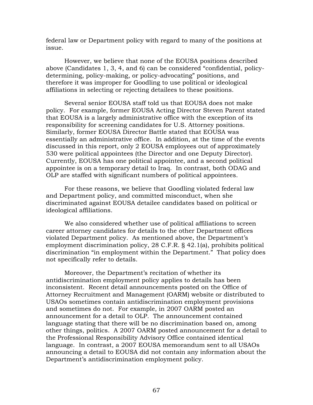federal law or Department policy with regard to many of the positions at issue.

However, we believe that none of the EOUSA positions described above (Candidates 1, 3, 4, and 6) can be considered "confidential, policydetermining, policy-making, or policy-advocating" positions, and therefore it was improper for Goodling to use political or ideological affiliations in selecting or rejecting detailees to these positions.

Several senior EOUSA staff told us that EOUSA does not make policy. For example, former EOUSA Acting Director Steven Parent stated that EOUSA is a largely administrative office with the exception of its responsibility for screening candidates for U.S. Attorney positions. Similarly, former EOUSA Director Battle stated that EOUSA was essentially an administrative office. In addition, at the time of the events discussed in this report, only 2 EOUSA employees out of approximately 530 were political appointees (the Director and one Deputy Director). Currently, EOUSA has one political appointee, and a second political appointee is on a temporary detail to Iraq. In contrast, both ODAG and OLP are staffed with significant numbers of political appointees.

For these reasons, we believe that Goodling violated federal law and Department policy, and committed misconduct, when she discriminated against EOUSA detailee candidates based on political or ideological affiliations.

We also considered whether use of political affiliations to screen career attorney candidates for details to the other Department offices violated Department policy. As mentioned above, the Department's employment discrimination policy, 28 C.F.R. § 42.1(a), prohibits political discrimination "in employment within the Department." That policy does not specifically refer to details.

Moreover, the Department's recitation of whether its antidiscrimination employment policy applies to details has been inconsistent. Recent detail announcements posted on the Office of Attorney Recruitment and Management (OARM) website or distributed to USAOs sometimes contain antidiscrimination employment provisions and sometimes do not. For example, in 2007 OARM posted an announcement for a detail to OLP. The announcement contained language stating that there will be no discrimination based on, among other things, politics. A 2007 OARM posted announcement for a detail to the Professional Responsibility Advisory Office contained identical language. In contrast, a 2007 EOUSA memorandum sent to all USAOs announcing a detail to EOUSA did not contain any information about the Department's antidiscrimination employment policy.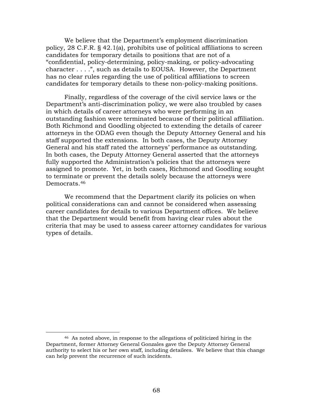<span id="page-72-0"></span>We believe that the Department's employment discrimination policy, 28 C.F.R. § 42.1(a), prohibits use of political affiliations to screen candidates for temporary details to positions that are not of a "confidential, policy-determining, policy-making, or policy-advocating character . . . .", such as details to EOUSA. However, the Department has no clear rules regarding the use of political affiliations to screen candidates for temporary details to these non-policy-making positions.

Finally, regardless of the coverage of the civil service laws or the Department's anti-discrimination policy, we were also troubled by cases in which details of career attorneys who were performing in an outstanding fashion were terminated because of their political affiliation. Both Richmond and Goodling objected to extending the details of career attorneys in the ODAG even though the Deputy Attorney General and his staff supported the extensions. In both cases, the Deputy Attorney General and his staff rated the attorneys' performance as outstanding. In both cases, the Deputy Attorney General asserted that the attorneys fully supported the Administration's policies that the attorneys were assigned to promote. Yet, in both cases, Richmond and Goodling sought to terminate or prevent the details solely because the attorneys were Democrats.[4](#page-72-0)6

We recommend that the Department clarify its policies on when political considerations can and cannot be considered when assessing career candidates for details to various Department offices. We believe that the Department would benefit from having clear rules about the criteria that may be used to assess career attorney candidates for various types of details.

 <sup>46</sup> As noted above, in response to the allegations of politicized hiring in the Department, former Attorney General Gonzales gave the Deputy Attorney General authority to select his or her own staff, including detailees. We believe that this change can help prevent the recurrence of such incidents.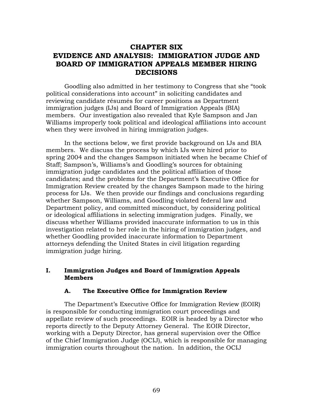# **CHAPTER SIX EVIDENCE AND ANALYSIS: IMMIGRATION JUDGE AND BOARD OF IMMIGRATION APPEALS MEMBER HIRING DECISIONS**

Goodling also admitted in her testimony to Congress that she "took political considerations into account" in soliciting candidates and reviewing candidate résumés for career positions as Department immigration judges (IJs) and Board of Immigration Appeals (BIA) members. Our investigation also revealed that Kyle Sampson and Jan Williams improperly took political and ideological affiliations into account when they were involved in hiring immigration judges.

In the sections below, we first provide background on IJs and BIA members. We discuss the process by which IJs were hired prior to spring 2004 and the changes Sampson initiated when he became Chief of Staff; Sampson's, Williams's and Goodling's sources for obtaining immigration judge candidates and the political affiliation of those candidates; and the problems for the Department's Executive Office for Immigration Review created by the changes Sampson made to the hiring process for IJs. We then provide our findings and conclusions regarding whether Sampson, Williams, and Goodling violated federal law and Department policy, and committed misconduct, by considering political or ideological affiliations in selecting immigration judges. Finally, we discuss whether Williams provided inaccurate information to us in this investigation related to her role in the hiring of immigration judges, and whether Goodling provided inaccurate information to Department attorneys defending the United States in civil litigation regarding immigration judge hiring.

## **I. Immigration Judges and Board of Immigration Appeals Members**

### **A. The Executive Office for Immigration Review**

The Department's Executive Office for Immigration Review (EOIR) is responsible for conducting immigration court proceedings and appellate review of such proceedings. EOIR is headed by a Director who reports directly to the Deputy Attorney General. The EOIR Director, working with a Deputy Director, has general supervision over the Office of the Chief Immigration Judge (OCIJ), which is responsible for managing immigration courts throughout the nation. In addition, the OCIJ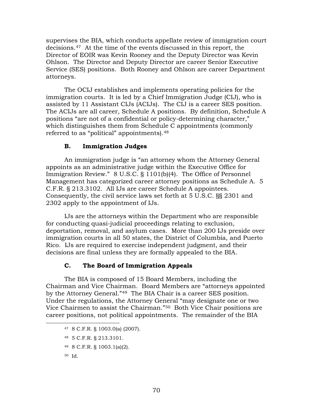<span id="page-74-0"></span>supervises the BIA, which conducts appellate review of immigration court decisions.[4](#page-74-0)7 At the time of the events discussed in this report, the Director of EOIR was Kevin Rooney and the Deputy Director was Kevin Ohlson. The Director and Deputy Director are career Senior Executive Service (SES) positions. Both Rooney and Ohlson are career Department attorneys.

The OCIJ establishes and implements operating policies for the immigration courts. It is led by a Chief Immigration Judge (CIJ), who is assisted by 11 Assistant CIJs (ACIJs). The CIJ is a career SES position. The ACIJs are all career, Schedule A positions. By definition, Schedule A positions "are not of a confidential or policy-determining character," which distinguishes them from Schedule C appointments (commonly referred to as "political" appointments).<sup>[4](#page-74-0)8</sup>

## **B. Immigration Judges**

An immigration judge is "an attorney whom the Attorney General appoints as an administrative judge within the Executive Office for Immigration Review." 8 U.S.C. § 1101(b)(4). The Office of Personnel Management has categorized career attorney positions as Schedule A. 5 C.F.R. § 213.3102. All IJs are career Schedule A appointees. Consequently, the civil service laws set forth at 5 U.S.C. §§ 2301 and 2302 apply to the appointment of IJs.

IJs are the attorneys within the Department who are responsible for conducting quasi-judicial proceedings relating to exclusion, deportation, removal, and asylum cases. More than 200 IJs preside over immigration courts in all 50 states, the District of Columbia, and Puerto Rico. IJs are required to exercise independent judgment, and their decisions are final unless they are formally appealed to the BIA.

### **C. The Board of Immigration Appeals**

The BIA is composed of 15 Board Members, including the Chairman and Vice Chairman. Board Members are "attorneys appointed by the Attorney General."[49](#page-74-0) The BIA Chair is a career SES position. Under the regulations, the Attorney General "may designate one or two Vice Chairmen to assist the Chairman."[5](#page-74-0)0 Both Vice Chair positions are career positions, not political appointments. The remainder of the BIA

- 49 8 C.F.R. § 1003.1(a)(2).
- 50 Id.

 <sup>47 8</sup> C.F.R. § 1003.0(a) (2007).

<sup>48 5</sup> C.F.R. § 213.3101.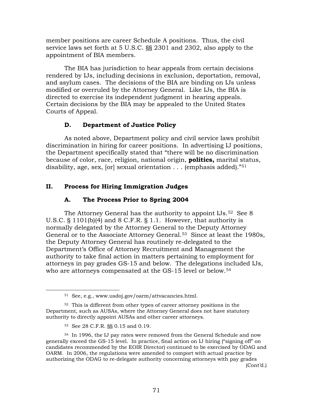<span id="page-75-0"></span>member positions are career Schedule A positions. Thus, the civil service laws set forth at 5 U.S.C. §§ 2301 and 2302, also apply to the appointment of BIA members.

The BIA has jurisdiction to hear appeals from certain decisions rendered by IJs, including decisions in exclusion, deportation, removal, and asylum cases. The decisions of the BIA are binding on IJs unless modified or overruled by the Attorney General. Like IJs, the BIA is directed to exercise its independent judgment in hearing appeals. Certain decisions by the BIA may be appealed to the United States Courts of Appeal.

## **D. Department of Justice Policy**

As noted above, Department policy and civil service laws prohibit discrimination in hiring for career positions. In advertising IJ positions, the Department specifically stated that "there will be no discrimination because of color, race, religion, national origin, **politics,** marital status, disability, age, sex, [or] sexual orientation  $\ldots$  (emphasis added).<sup>"[51](#page-75-0)</sup>

## **II. Process for Hiring Immigration Judges**

## **A. The Process Prior to Spring 2004**

The Attorney General has the authority to appoint IJs.<sup>[52](#page-75-0)</sup> See 8 U.S.C. § 1101(b)(4) and 8 C.F.R. § 1.1. However, that authority is normally delegated by the Attorney General to the Deputy Attorney General or to the Associate Attorney General.<sup>[53](#page-75-0)</sup> Since at least the 1980s, the Deputy Attorney General has routinely re-delegated to the Department's Office of Attorney Recruitment and Management the authority to take final action in matters pertaining to employment for attorneys in pay grades GS-15 and below. The delegations included IJs, who are attorneys compensated at the GS-1[5](#page-75-0) level or below.<sup>54</sup>

53 See 28 C.F.R. §§ 0.15 and 0.19.

 <sup>51</sup> See, e.g., www.usdoj.gov/oarm/attvacancies.html.

<sup>52</sup> This is different from other types of career attorney positions in the Department, such as AUSAs, where the Attorney General does not have statutory authority to directly appoint AUSAs and other career attorneys.

<sup>54</sup> In 1996, the IJ pay rates were removed from the General Schedule and now generally exceed the GS-15 level. In practice, final action on IJ hiring ("signing off" on candidates recommended by the EOIR Director) continued to be exercised by ODAG and OARM. In 2006, the regulations were amended to comport with actual practice by authorizing the ODAG to re-delegate authority concerning attorneys with pay grades (Cont'd.)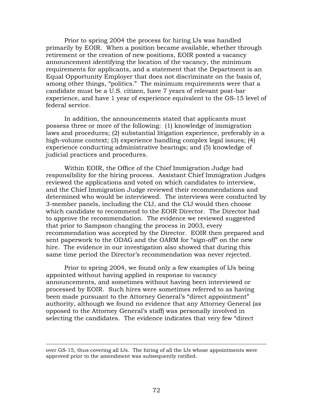Prior to spring 2004 the process for hiring IJs was handled primarily by EOIR. When a position became available, whether through retirement or the creation of new positions, EOIR posted a vacancy announcement identifying the location of the vacancy, the minimum requirements for applicants, and a statement that the Department is an Equal Opportunity Employer that does not discriminate on the basis of, among other things, "politics." The minimum requirements were that a candidate must be a U.S. citizen, have 7 years of relevant post-bar experience, and have 1 year of experience equivalent to the GS-15 level of federal service.

In addition, the announcements stated that applicants must possess three or more of the following: (1) knowledge of immigration laws and procedures; (2) substantial litigation experience, preferably in a high-volume context; (3) experience handling complex legal issues; (4) experience conducting administrative hearings; and (5) knowledge of judicial practices and procedures.

Within EOIR, the Office of the Chief Immigration Judge had responsibility for the hiring process. Assistant Chief Immigration Judges reviewed the applications and voted on which candidates to interview, and the Chief Immigration Judge reviewed their recommendations and determined who would be interviewed. The interviews were conducted by 3-member panels, including the CIJ, and the CIJ would then choose which candidate to recommend to the EOIR Director. The Director had to approve the recommendation. The evidence we reviewed suggested that prior to Sampson changing the process in 2003, every recommendation was accepted by the Director. EOIR then prepared and sent paperwork to the ODAG and the OARM for "sign-off" on the new hire. The evidence in our investigation also showed that during this same time period the Director's recommendation was never rejected.

Prior to spring 2004, we found only a few examples of IJs being appointed without having applied in response to vacancy announcements, and sometimes without having been interviewed or processed by EOIR. Such hires were sometimes referred to as having been made pursuant to the Attorney General's "direct appointment" authority, although we found no evidence that any Attorney General (as opposed to the Attorney General's staff) was personally involved in selecting the candidates. The evidence indicates that very few "direct

 $\overline{a}$ 

over GS-15, thus covering all IJs. The hiring of all the IJs whose appointments were approved prior to the amendment was subsequently ratified.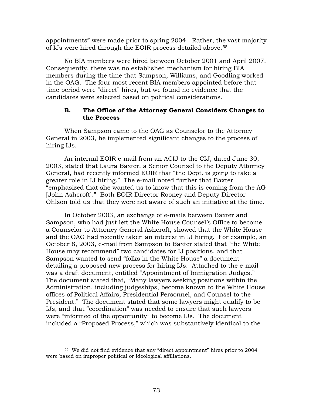<span id="page-77-0"></span>appointments" were made prior to spring 2004. Rather, the vast majority of IJs were hired through the EOIR process detailed above.[5](#page-77-0)5

No BIA members were hired between October 2001 and April 2007. Consequently, there was no established mechanism for hiring BIA members during the time that Sampson, Williams, and Goodling worked in the OAG. The four most recent BIA members appointed before that time period were "direct" hires, but we found no evidence that the candidates were selected based on political considerations.

## **B. The Office of the Attorney General Considers Changes to the Process**

When Sampson came to the OAG as Counselor to the Attorney General in 2003, he implemented significant changes to the process of hiring IJs.

An internal EOIR e-mail from an ACIJ to the CIJ, dated June 30, 2003, stated that Laura Baxter, a Senior Counsel to the Deputy Attorney General, had recently informed EOIR that "the Dept. is going to take a greater role in IJ hiring." The e-mail noted further that Baxter "emphasized that she wanted us to know that this is coming from the AG [John Ashcroft]." Both EOIR Director Rooney and Deputy Director Ohlson told us that they were not aware of such an initiative at the time.

In October 2003, an exchange of e-mails between Baxter and Sampson, who had just left the White House Counsel's Office to become a Counselor to Attorney General Ashcroft, showed that the White House and the OAG had recently taken an interest in IJ hiring. For example, an October 8, 2003, e-mail from Sampson to Baxter stated that "the White House may recommend" two candidates for IJ positions, and that Sampson wanted to send "folks in the White House" a document detailing a proposed new process for hiring IJs. Attached to the e-mail was a draft document, entitled "Appointment of Immigration Judges." The document stated that, "Many lawyers seeking positions within the Administration, including judgeships, become known to the White House offices of Political Affairs, Presidential Personnel, and Counsel to the President." The document stated that some lawyers might qualify to be IJs, and that "coordination" was needed to ensure that such lawyers were "informed of the opportunity" to become IJs. The document included a "Proposed Process," which was substantively identical to the

 <sup>55</sup> We did not find evidence that any "direct appointment" hires prior to 2004 were based on improper political or ideological affiliations.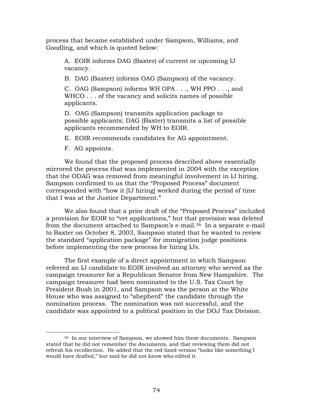<span id="page-78-0"></span>process that became established under Sampson, Williams, and Goodling, and which is quoted below:

A. EOIR informs DAG (Baxter) of current or upcoming IJ vacancy.

B. DAG (Baxter) informs OAG (Sampson) of the vacancy.

C. OAG (Sampson) informs WH OPA . . ., WH PPO . . ., and WHCO . . . of the vacancy and solicits names of possible applicants.

D. OAG (Sampson) transmits application package to possible applicants; DAG (Baxter) transmits a list of possible applicants recommended by WH to EOIR.

E. EOIR recommends candidates for AG appointment.

F. AG appoints.

We found that the proposed process described above essentially mirrored the process that was implemented in 2004 with the exception that the ODAG was removed from meaningful involvement in IJ hiring. Sampson confirmed to us that the "Proposed Process" document corresponded with "how it [IJ hiring] worked during the period of time that I was at the Justice Department."

We also found that a prior draft of the "Proposed Process" included a provision for EOIR to "vet applications," but that provision was deleted from the document attached to Sampson's e-mail.<sup>[56](#page-78-0)</sup> In a separate e-mail to Baxter on October 8, 2003, Sampson stated that he wanted to review the standard "application package" for immigration judge positions before implementing the new process for hiring IJs.

The first example of a direct appointment in which Sampson referred an IJ candidate to EOIR involved an attorney who served as the campaign treasurer for a Republican Senator from New Hampshire. The campaign treasurer had been nominated to the U.S. Tax Court by President Bush in 2001, and Sampson was the person at the White House who was assigned to "shepherd" the candidate through the nomination process. The nomination was not successful, and the candidate was appointed to a political position in the DOJ Tax Division.

 <sup>56</sup> In our interview of Sampson, we showed him these documents. Sampson stated that he did not remember the documents, and that reviewing them did not refresh his recollection. He added that the red-lined version "looks like something I would have drafted," but said he did not know who edited it.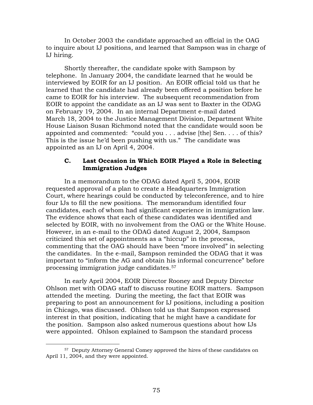<span id="page-79-0"></span>In October 2003 the candidate approached an official in the OAG to inquire about IJ positions, and learned that Sampson was in charge of IJ hiring.

Shortly thereafter, the candidate spoke with Sampson by telephone. In January 2004, the candidate learned that he would be interviewed by EOIR for an IJ position. An EOIR official told us that he learned that the candidate had already been offered a position before he came to EOIR for his interview. The subsequent recommendation from EOIR to appoint the candidate as an IJ was sent to Baxter in the ODAG on February 19, 2004. In an internal Department e-mail dated March 18, 2004 to the Justice Management Division, Department White House Liaison Susan Richmond noted that the candidate would soon be appointed and commented: "could you . . . advise [the] Sen. . . . of this? This is the issue he'd been pushing with us." The candidate was appointed as an IJ on April 4, 2004.

## **C. Last Occasion in Which EOIR Played a Role in Selecting Immigration Judges**

In a memorandum to the ODAG dated April 5, 2004, EOIR requested approval of a plan to create a Headquarters Immigration Court, where hearings could be conducted by teleconference, and to hire four IJs to fill the new positions. The memorandum identified four candidates, each of whom had significant experience in immigration law. The evidence shows that each of these candidates was identified and selected by EOIR, with no involvement from the OAG or the White House. However, in an e-mail to the ODAG dated August 2, 2004, Sampson criticized this set of appointments as a "hiccup" in the process, commenting that the OAG should have been "more involved" in selecting the candidates. In the e-mail, Sampson reminded the ODAG that it was important to "inform the AG and obtain his informal concurrence" before processing immigration judge candidates.[57](#page-79-0)

In early April 2004, EOIR Director Rooney and Deputy Director Ohlson met with ODAG staff to discuss routine EOIR matters. Sampson attended the meeting. During the meeting, the fact that EOIR was preparing to post an announcement for IJ positions, including a position in Chicago, was discussed. Ohlson told us that Sampson expressed interest in that position, indicating that he might have a candidate for the position. Sampson also asked numerous questions about how IJs were appointed. Ohlson explained to Sampson the standard process

 <sup>57</sup> Deputy Attorney General Comey approved the hires of these candidates on April 11, 2004, and they were appointed.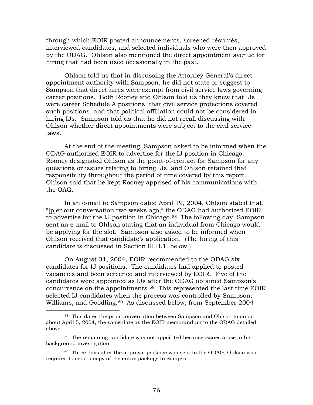<span id="page-80-0"></span>through which EOIR posted announcements, screened résumés, interviewed candidates, and selected individuals who were then approved by the ODAG. Ohlson also mentioned the direct appointment avenue for hiring that had been used occasionally in the past.

Ohlson told us that in discussing the Attorney General's direct appointment authority with Sampson, he did not state or suggest to Sampson that direct hires were exempt from civil service laws governing career positions. Both Rooney and Ohlson told us they knew that IJs were career Schedule A positions, that civil service protections covered such positions, and that political affiliation could not be considered in hiring IJs. Sampson told us that he did not recall discussing with Ohlson whether direct appointments were subject to the civil service laws.

At the end of the meeting, Sampson asked to be informed when the ODAG authorized EOIR to advertise for the IJ position in Chicago. Rooney designated Ohlson as the point-of-contact for Sampson for any questions or issues relating to hiring IJs, and Ohlson retained that responsibility throughout the period of time covered by this report. Ohlson said that he kept Rooney apprised of his communications with the OAG.

In an e-mail to Sampson dated April 19, 2004, Ohlson stated that, "[p]er our conversation two weeks ago," the ODAG had authorized EOIR to advertise for the IJ position in Chicago.<sup>[5](#page-80-0)8</sup> The following day, Sampson sent an e-mail to Ohlson stating that an individual from Chicago would be applying for the slot. Sampson also asked to be informed when Ohlson received that candidate's application. (The hiring of this candidate is discussed in Section III.B.1. below.)

On August 31, 2004, EOIR recommended to the ODAG six candidates for IJ positions. The candidates had applied to posted vacancies and been screened and interviewed by EOIR. Five of the candidates were appointed as IJs after the ODAG obtained Sampson's concurrence on the appointments.[5](#page-80-0)9 This represented the last time EOIR selected IJ candidates when the process was controlled by Sampson, Williams, and Goodling.<sup>[60](#page-80-0)</sup> As discussed below, from September 2004

 <sup>58</sup> This dates the prior conversation between Sampson and Ohlson to on or about April 5, 2004, the same date as the EOIR memorandum to the ODAG detailed above.

<sup>59</sup> The remaining candidate was not appointed because issues arose in his background investigation.

 $60$  Three days after the approval package was sent to the ODAG, Ohlson was required to send a copy of the entire package to Sampson.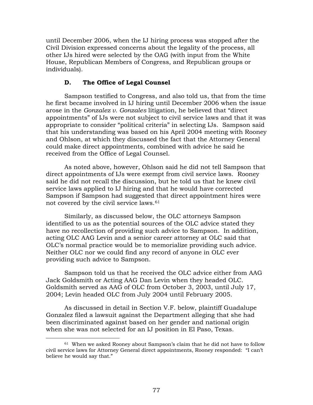<span id="page-81-0"></span>until December 2006, when the IJ hiring process was stopped after the Civil Division expressed concerns about the legality of the process, all other IJs hired were selected by the OAG (with input from the White House, Republican Members of Congress, and Republican groups or individuals).

### **D. The Office of Legal Counsel**

Sampson testified to Congress, and also told us, that from the time he first became involved in IJ hiring until December 2006 when the issue arose in the *Gonzalez v. Gonzales* litigation, he believed that "direct appointments" of IJs were not subject to civil service laws and that it was appropriate to consider "political criteria" in selecting IJs. Sampson said that his understanding was based on his April 2004 meeting with Rooney and Ohlson, at which they discussed the fact that the Attorney General could make direct appointments, combined with advice he said he received from the Office of Legal Counsel.

As noted above, however, Ohlson said he did not tell Sampson that direct appointments of IJs were exempt from civil service laws. Rooney said he did not recall the discussion, but he told us that he knew civil service laws applied to IJ hiring and that he would have corrected Sampson if Sampson had suggested that direct appointment hires were not covered by the civil service laws.<sup>[6](#page-81-0)1</sup>

Similarly, as discussed below, the OLC attorneys Sampson identified to us as the potential sources of the OLC advice stated they have no recollection of providing such advice to Sampson. In addition, acting OLC AAG Levin and a senior career attorney at OLC said that OLC's normal practice would be to memorialize providing such advice. Neither OLC nor we could find any record of anyone in OLC ever providing such advice to Sampson.

Sampson told us that he received the OLC advice either from AAG Jack Goldsmith or Acting AAG Dan Levin when they headed OLC. Goldsmith served as AAG of OLC from October 3, 2003, until July 17, 2004; Levin headed OLC from July 2004 until February 2005.

As discussed in detail in Section V.F. below, plaintiff Guadalupe Gonzalez filed a lawsuit against the Department alleging that she had been discriminated against based on her gender and national origin when she was not selected for an IJ position in El Paso, Texas.

 $61$  When we asked Rooney about Sampson's claim that he did not have to follow civil service laws for Attorney General direct appointments, Rooney responded: "I can't believe he would say that."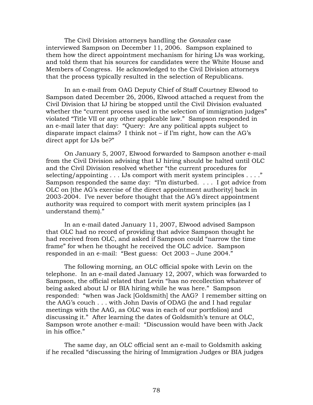The Civil Division attorneys handling the *Gonzalez* case interviewed Sampson on December 11, 2006. Sampson explained to them how the direct appointment mechanism for hiring IJs was working, and told them that his sources for candidates were the White House and Members of Congress. He acknowledged to the Civil Division attorneys that the process typically resulted in the selection of Republicans.

In an e-mail from OAG Deputy Chief of Staff Courtney Elwood to Sampson dated December 26, 2006, Elwood attached a request from the Civil Division that IJ hiring be stopped until the Civil Division evaluated whether the "current process used in the selection of immigration judges" violated "Title VII or any other applicable law." Sampson responded in an e-mail later that day: "Query: Are any political appts subject to disparate impact claims? I think not – if I'm right, how can the AG's direct appt for IJs be?"

On January 5, 2007, Elwood forwarded to Sampson another e-mail from the Civil Division advising that IJ hiring should be halted until OLC and the Civil Division resolved whether "the current procedures for selecting/appointing . . . IJs comport with merit system principles . . . ." Sampson responded the same day: "I'm disturbed. . . . I got advice from OLC on [the AG's exercise of the direct appointment authority] back in 2003-2004. I've never before thought that the AG's direct appointment authority was required to comport with merit system principles (as I understand them)."

In an e-mail dated January 11, 2007, Elwood advised Sampson that OLC had no record of providing that advice Sampson thought he had received from OLC, and asked if Sampson could "narrow the time frame" for when he thought he received the OLC advice. Sampson responded in an e-mail: "Best guess: Oct 2003 – June 2004."

The following morning, an OLC official spoke with Levin on the telephone. In an e-mail dated January 12, 2007, which was forwarded to Sampson, the official related that Levin "has no recollection whatever of being asked about IJ or BIA hiring while he was here." Sampson responded: "when was Jack [Goldsmith] the AAG? I remember sitting on the AAG's couch . . . with John Davis of ODAG (he and I had regular meetings with the AAG, as OLC was in each of our portfolios) and discussing it." After learning the dates of Goldsmith's tenure at OLC, Sampson wrote another e-mail: "Discussion would have been with Jack in his office."

The same day, an OLC official sent an e-mail to Goldsmith asking if he recalled "discussing the hiring of Immigration Judges or BIA judges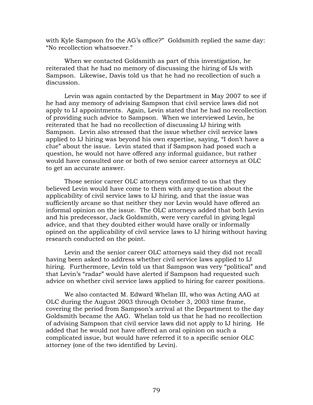with Kyle Sampson fro the AG's office?" Goldsmith replied the same day: "No recollection whatsoever."

When we contacted Goldsmith as part of this investigation, he reiterated that he had no memory of discussing the hiring of IJs with Sampson. Likewise, Davis told us that he had no recollection of such a discussion.

Levin was again contacted by the Department in May 2007 to see if he had any memory of advising Sampson that civil service laws did not apply to IJ appointments. Again, Levin stated that he had no recollection of providing such advice to Sampson. When we interviewed Levin, he reiterated that he had no recollection of discussing IJ hiring with Sampson. Levin also stressed that the issue whether civil service laws applied to IJ hiring was beyond his own expertise, saying, "I don't have a clue" about the issue. Levin stated that if Sampson had posed such a question, he would not have offered any informal guidance, but rather would have consulted one or both of two senior career attorneys at OLC to get an accurate answer.

Those senior career OLC attorneys confirmed to us that they believed Levin would have come to them with any question about the applicability of civil service laws to IJ hiring, and that the issue was sufficiently arcane so that neither they nor Levin would have offered an informal opinion on the issue. The OLC attorneys added that both Levin and his predecessor, Jack Goldsmith, were very careful in giving legal advice, and that they doubted either would have orally or informally opined on the applicability of civil service laws to IJ hiring without having research conducted on the point.

Levin and the senior career OLC attorneys said they did not recall having been asked to address whether civil service laws applied to IJ hiring. Furthermore, Levin told us that Sampson was very "political" and that Levin's "radar" would have alerted if Sampson had requested such advice on whether civil service laws applied to hiring for career positions.

We also contacted M. Edward Whelan III, who was Acting AAG at OLC during the August 2003 through October 3, 2003 time frame, covering the period from Sampson's arrival at the Department to the day Goldsmith became the AAG. Whelan told us that he had no recollection of advising Sampson that civil service laws did not apply to IJ hiring. He added that he would not have offered an oral opinion on such a complicated issue, but would have referred it to a specific senior OLC attorney (one of the two identified by Levin).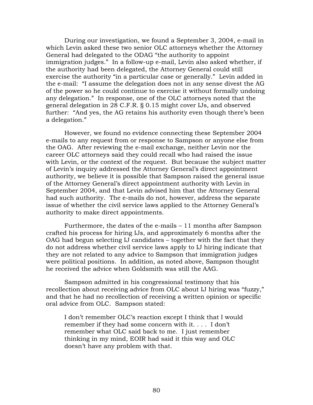During our investigation, we found a September 3, 2004, e-mail in which Levin asked these two senior OLC attorneys whether the Attorney General had delegated to the ODAG "the authority to appoint immigration judges." In a follow-up e-mail, Levin also asked whether, if the authority had been delegated, the Attorney General could still exercise the authority "in a particular case or generally." Levin added in the e-mail: "I assume the delegation does not in any sense divest the AG of the power so he could continue to exercise it without formally undoing any delegation." In response, one of the OLC attorneys noted that the general delegation in 28 C.F.R. § 0.15 might cover IJs, and observed further: "And yes, the AG retains his authority even though there's been a delegation."

However, we found no evidence connecting these September 2004 e-mails to any request from or response to Sampson or anyone else from the OAG. After reviewing the e-mail exchange, neither Levin nor the career OLC attorneys said they could recall who had raised the issue with Levin, or the context of the request. But because the subject matter of Levin's inquiry addressed the Attorney General's direct appointment authority, we believe it is possible that Sampson raised the general issue of the Attorney General's direct appointment authority with Levin in September 2004, and that Levin advised him that the Attorney General had such authority. The e-mails do not, however, address the separate issue of whether the civil service laws applied to the Attorney General's authority to make direct appointments.

Furthermore, the dates of the e-mails – 11 months after Sampson crafted his process for hiring IJs, and approximately 6 months after the OAG had begun selecting IJ candidates – together with the fact that they do not address whether civil service laws apply to IJ hiring indicate that they are not related to any advice to Sampson that immigration judges were political positions. In addition, as noted above, Sampson thought he received the advice when Goldsmith was still the AAG.

Sampson admitted in his congressional testimony that his recollection about receiving advice from OLC about IJ hiring was "fuzzy," and that he had no recollection of receiving a written opinion or specific oral advice from OLC. Sampson stated:

I don't remember OLC's reaction except I think that I would remember if they had some concern with it. . . . I don't remember what OLC said back to me. I just remember thinking in my mind, EOIR had said it this way and OLC doesn't have any problem with that.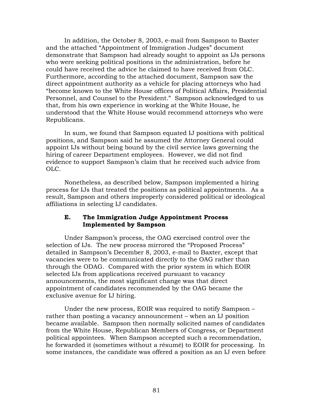In addition, the October 8, 2003, e-mail from Sampson to Baxter and the attached "Appointment of Immigration Judges" document demonstrate that Sampson had already sought to appoint as IJs persons who were seeking political positions in the administration, before he could have received the advice he claimed to have received from OLC. Furthermore, according to the attached document, Sampson saw the direct appointment authority as a vehicle for placing attorneys who had "become known to the White House offices of Political Affairs, Presidential Personnel, and Counsel to the President." Sampson acknowledged to us that, from his own experience in working at the White House, he understood that the White House would recommend attorneys who were Republicans.

In sum, we found that Sampson equated IJ positions with political positions, and Sampson said he assumed the Attorney General could appoint IJs without being bound by the civil service laws governing the hiring of career Department employees. However, we did not find evidence to support Sampson's claim that he received such advice from OLC.

Nonetheless, as described below, Sampson implemented a hiring process for IJs that treated the positions as political appointments. As a result, Sampson and others improperly considered political or ideological affiliations in selecting IJ candidates.

### **E. The Immigration Judge Appointment Process Implemented by Sampson**

Under Sampson's process, the OAG exercised control over the selection of IJs. The new process mirrored the "Proposed Process" detailed in Sampson's December 8, 2003, e-mail to Baxter, except that vacancies were to be communicated directly to the OAG rather than through the ODAG. Compared with the prior system in which EOIR selected IJs from applications received pursuant to vacancy announcements, the most significant change was that direct appointment of candidates recommended by the OAG became the exclusive avenue for IJ hiring.

Under the new process, EOIR was required to notify Sampson – rather than posting a vacancy announcement – when an IJ position became available. Sampson then normally solicited names of candidates from the White House, Republican Members of Congress, or Department political appointees. When Sampson accepted such a recommendation, he forwarded it (sometimes without a résumé) to EOIR for processing. In some instances, the candidate was offered a position as an IJ even before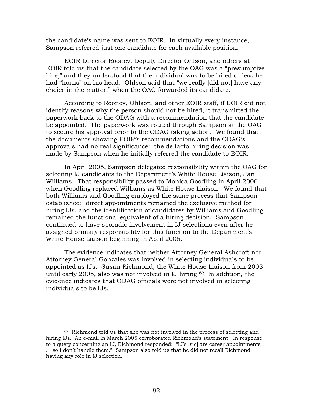<span id="page-86-0"></span>the candidate's name was sent to EOIR. In virtually every instance, Sampson referred just one candidate for each available position.

EOIR Director Rooney, Deputy Director Ohlson, and others at EOIR told us that the candidate selected by the OAG was a "presumptive hire," and they understood that the individual was to be hired unless he had "horns" on his head. Ohlson said that "we really [did not] have any choice in the matter," when the OAG forwarded its candidate.

According to Rooney, Ohlson, and other EOIR staff, if EOIR did not identify reasons why the person should not be hired, it transmitted the paperwork back to the ODAG with a recommendation that the candidate be appointed. The paperwork was routed through Sampson at the OAG to secure his approval prior to the ODAG taking action. We found that the documents showing EOIR's recommendations and the ODAG's approvals had no real significance: the de facto hiring decision was made by Sampson when he initially referred the candidate to EOIR.

In April 2005, Sampson delegated responsibility within the OAG for selecting IJ candidates to the Department's White House Liaison, Jan Williams. That responsibility passed to Monica Goodling in April 2006 when Goodling replaced Williams as White House Liaison. We found that both Williams and Goodling employed the same process that Sampson established: direct appointments remained the exclusive method for hiring IJs, and the identification of candidates by Williams and Goodling remained the functional equivalent of a hiring decision. Sampson continued to have sporadic involvement in IJ selections even after he assigned primary responsibility for this function to the Department's White House Liaison beginning in April 2005.

The evidence indicates that neither Attorney General Ashcroft nor Attorney General Gonzales was involved in selecting individuals to be appointed as IJs. Susan Richmond, the White House Liaison from 2003 until early 2005, also was not involved in IJ hiring.<sup>[62](#page-86-0)</sup> In addition, the evidence indicates that ODAG officials were not involved in selecting individuals to be IJs.

 $62$  Richmond told us that she was not involved in the process of selecting and hiring IJs. An e-mail in March 2005 corroborated Richmond's statement. In response to a query concerning an IJ, Richmond responded: "IJ's [sic] are career appointments . . . so I don't handle them." Sampson also told us that he did not recall Richmond having any role in IJ selection.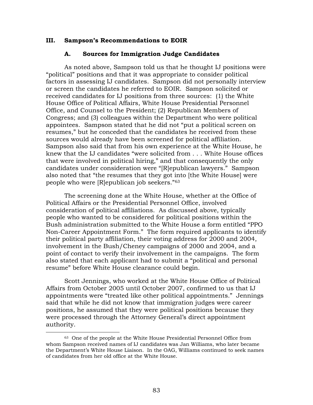### <span id="page-87-0"></span>**III. Sampson's Recommendations to EOIR**

### **A. Sources for Immigration Judge Candidates**

As noted above, Sampson told us that he thought IJ positions were "political" positions and that it was appropriate to consider political factors in assessing IJ candidates. Sampson did not personally interview or screen the candidates he referred to EOIR. Sampson solicited or received candidates for IJ positions from three sources: (1) the White House Office of Political Affairs, White House Presidential Personnel Office, and Counsel to the President; (2) Republican Members of Congress; and (3) colleagues within the Department who were political appointees. Sampson stated that he did not "put a political screen on resumes," but he conceded that the candidates he received from these sources would already have been screened for political affiliation. Sampson also said that from his own experience at the White House, he knew that the IJ candidates "were solicited from . . . White House offices that were involved in political hiring," and that consequently the only candidates under consideration were "[R]epublican lawyers." Sampson also noted that "the resumes that they got into [the White House] were people who were [R]epublican job seekers."[6](#page-87-0)3

The screening done at the White House, whether at the Office of Political Affairs or the Presidential Personnel Office, involved consideration of political affiliations. As discussed above, typically people who wanted to be considered for political positions within the Bush administration submitted to the White House a form entitled "PPO Non-Career Appointment Form." The form required applicants to identify their political party affiliation, their voting address for 2000 and 2004, involvement in the Bush/Cheney campaigns of 2000 and 2004, and a point of contact to verify their involvement in the campaigns. The form also stated that each applicant had to submit a "political and personal resume" before White House clearance could begin.

Scott Jennings, who worked at the White House Office of Political Affairs from October 2005 until October 2007, confirmed to us that IJ appointments were "treated like other political appointments." Jennings said that while he did not know that immigration judges were career positions, he assumed that they were political positions because they were processed through the Attorney General's direct appointment authority.

 <sup>63</sup> One of the people at the White House Presidential Personnel Office from whom Sampson received names of IJ candidates was Jan Williams, who later became the Department's White House Liaison. In the OAG, Williams continued to seek names of candidates from her old office at the White House.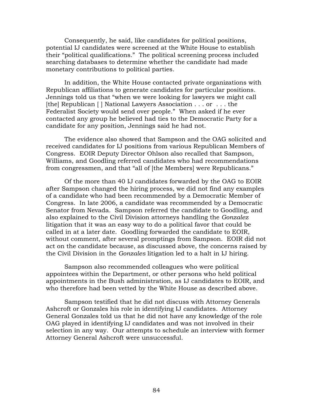Consequently, he said, like candidates for political positions, potential IJ candidates were screened at the White House to establish their "political qualifications." The political screening process included searching databases to determine whether the candidate had made monetary contributions to political parties.

In addition, the White House contacted private organizations with Republican affiliations to generate candidates for particular positions. Jennings told us that "when we were looking for lawyers we might call [the] Republican [ ] National Lawyers Association . . . or . . . the Federalist Society would send over people." When asked if he ever contacted any group he believed had ties to the Democratic Party for a candidate for any position, Jennings said he had not.

The evidence also showed that Sampson and the OAG solicited and received candidates for IJ positions from various Republican Members of Congress. EOIR Deputy Director Ohlson also recalled that Sampson, Williams, and Goodling referred candidates who had recommendations from congressmen, and that "all of [the Members] were Republicans."

Of the more than 40 IJ candidates forwarded by the OAG to EOIR after Sampson changed the hiring process, we did not find any examples of a candidate who had been recommended by a Democratic Member of Congress. In late 2006, a candidate was recommended by a Democratic Senator from Nevada. Sampson referred the candidate to Goodling, and also explained to the Civil Division attorneys handling the *Gonzalez* litigation that it was an easy way to do a political favor that could be called in at a later date. Goodling forwarded the candidate to EOIR, without comment, after several promptings from Sampson. EOIR did not act on the candidate because, as discussed above, the concerns raised by the Civil Division in the *Gonzales* litigation led to a halt in IJ hiring.

Sampson also recommended colleagues who were political appointees within the Department, or other persons who held political appointments in the Bush administration, as IJ candidates to EOIR, and who therefore had been vetted by the White House as described above.

Sampson testified that he did not discuss with Attorney Generals Ashcroft or Gonzales his role in identifying IJ candidates. Attorney General Gonzales told us that he did not have any knowledge of the role OAG played in identifying IJ candidates and was not involved in their selection in any way. Our attempts to schedule an interview with former Attorney General Ashcroft were unsuccessful.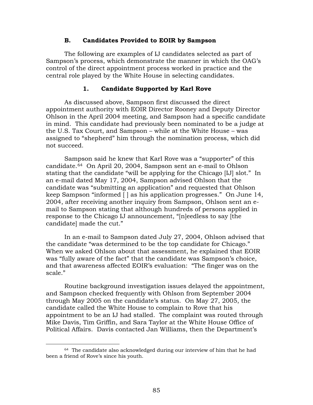### **B. Candidates Provided to EOIR by Sampson**

<span id="page-89-0"></span>The following are examples of IJ candidates selected as part of Sampson's process, which demonstrate the manner in which the OAG's control of the direct appointment process worked in practice and the central role played by the White House in selecting candidates.

### **1. Candidate Supported by Karl Rove**

As discussed above, Sampson first discussed the direct appointment authority with EOIR Director Rooney and Deputy Director Ohlson in the April 2004 meeting, and Sampson had a specific candidate in mind. This candidate had previously been nominated to be a judge at the U.S. Tax Court, and Sampson – while at the White House – was assigned to "shepherd" him through the nomination process, which did not succeed.

Sampson said he knew that Karl Rove was a "supporter" of this candidate.[64](#page-89-0) On April 20, 2004, Sampson sent an e-mail to Ohlson stating that the candidate "will be applying for the Chicago [IJ] slot." In an e-mail dated May 17, 2004, Sampson advised Ohlson that the candidate was "submitting an application" and requested that Ohlson keep Sampson "informed [ ] as his application progresses." On June 14, 2004, after receiving another inquiry from Sampson, Ohlson sent an email to Sampson stating that although hundreds of persons applied in response to the Chicago IJ announcement, "[n]eedless to say [the candidate] made the cut."

In an e-mail to Sampson dated July 27, 2004, Ohlson advised that the candidate "was determined to be the top candidate for Chicago." When we asked Ohlson about that assessment, he explained that EOIR was "fully aware of the fact" that the candidate was Sampson's choice, and that awareness affected EOIR's evaluation: "The finger was on the scale."

Routine background investigation issues delayed the appointment, and Sampson checked frequently with Ohlson from September 2004 through May 2005 on the candidate's status. On May 27, 2005, the candidate called the White House to complain to Rove that his appointment to be an IJ had stalled. The complaint was routed through Mike Davis, Tim Griffin, and Sara Taylor at the White House Office of Political Affairs. Davis contacted Jan Williams, then the Department's

 $64$  The candidate also acknowledged during our interview of him that he had been a friend of Rove's since his youth.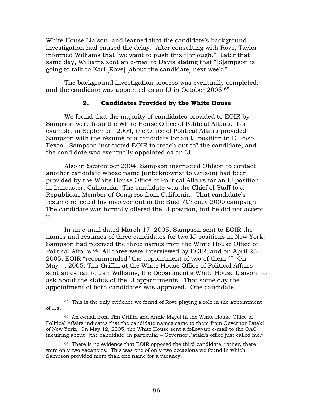<span id="page-90-0"></span>White House Liaison, and learned that the candidate's background investigation had caused the delay. After consulting with Rove, Taylor informed Williams that "we want to push this t[hr]ough." Later that same day, Williams sent an e-mail to Davis stating that "[S]ampson is going to talk to Karl [Rove] [about the candidate] next week."

The background investigation process was eventually completed, and the candidate was appointed as an IJ in October 2005.[65](#page-90-0)

### **2. Candidates Provided by the White House**

We found that the majority of candidates provided to EOIR by Sampson were from the White House Office of Political Affairs. For example, in September 2004, the Office of Political Affairs provided Sampson with the résumé of a candidate for an IJ position in El Paso, Texas. Sampson instructed EOIR to "reach out to" the candidate, and the candidate was eventually appointed as an IJ.

Also in September 2004, Sampson instructed Ohlson to contact another candidate whose name (unbeknownst to Ohlson) had been provided by the White House Office of Political Affairs for an IJ position in Lancaster, California. The candidate was the Chief of Staff to a Republican Member of Congress from California. That candidate's résumé reflected his involvement in the Bush/Cheney 2000 campaign. The candidate was formally offered the IJ position, but he did not accept it.

In an e-mail dated March 17, 2005, Sampson sent to EOIR the names and résumés of three candidates for two IJ positions in New York. Sampson had received the three names from the White House Office of Political Affairs.<sup>[6](#page-90-0)6</sup> All three were interviewed by EOIR, and on April 25, 2005, EOIR "recommended" the appointment of two of them.[67](#page-90-0) On May 4, 2005, Tim Griffin at the White House Office of Political Affairs sent an e-mail to Jan Williams, the Department's White House Liaison, to ask about the status of the IJ appointments. That same day the appointment of both candidates was approved. One candidate

 <sup>65</sup> This is the only evidence we found of Rove playing a role in the appointment of IJs.

<sup>66</sup> An e-mail from Tim Griffin and Annie Mayol in the White House Office of Political Affairs indicates that the candidate names came to them from Governor Pataki of New York. On May 12, 2005, the White House sent a follow-up e-mail to the OAG inquiring about "[the candidate] in particular – Governor Pataki's office just called me."

 $67$  There is no evidence that EOIR opposed the third candidate; rather, there were only two vacancies. This was one of only two occasions we found in which Sampson provided more than one name for a vacancy.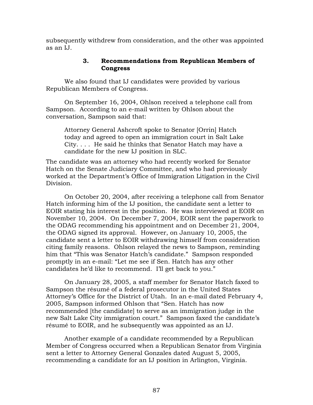subsequently withdrew from consideration, and the other was appointed as an IJ.

## **3. Recommendations from Republican Members of Congress**

We also found that IJ candidates were provided by various Republican Members of Congress.

On September 16, 2004, Ohlson received a telephone call from Sampson. According to an e-mail written by Ohlson about the conversation, Sampson said that:

Attorney General Ashcroft spoke to Senator [Orrin] Hatch today and agreed to open an immigration court in Salt Lake City. . . . He said he thinks that Senator Hatch may have a candidate for the new IJ position in SLC.

The candidate was an attorney who had recently worked for Senator Hatch on the Senate Judiciary Committee, and who had previously worked at the Department's Office of Immigration Litigation in the Civil Division.

On October 20, 2004, after receiving a telephone call from Senator Hatch informing him of the IJ position, the candidate sent a letter to EOIR stating his interest in the position. He was interviewed at EOIR on November 10, 2004. On December 7, 2004, EOIR sent the paperwork to the ODAG recommending his appointment and on December 21, 2004, the ODAG signed its approval. However, on January 10, 2005, the candidate sent a letter to EOIR withdrawing himself from consideration citing family reasons. Ohlson relayed the news to Sampson, reminding him that "This was Senator Hatch's candidate." Sampson responded promptly in an e-mail: "Let me see if Sen. Hatch has any other candidates he'd like to recommend. I'll get back to you."

On January 28, 2005, a staff member for Senator Hatch faxed to Sampson the résumé of a federal prosecutor in the United States Attorney's Office for the District of Utah. In an e-mail dated February 4, 2005, Sampson informed Ohlson that "Sen. Hatch has now recommended [the candidate] to serve as an immigration judge in the new Salt Lake City immigration court." Sampson faxed the candidate's résumé to EOIR, and he subsequently was appointed as an IJ.

Another example of a candidate recommended by a Republican Member of Congress occurred when a Republican Senator from Virginia sent a letter to Attorney General Gonzales dated August 5, 2005, recommending a candidate for an IJ position in Arlington, Virginia.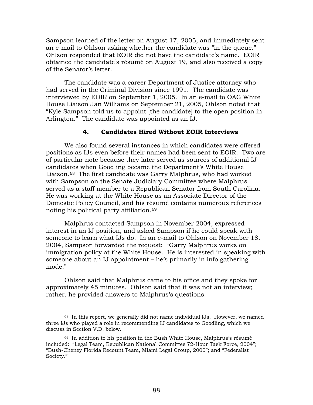<span id="page-92-0"></span>Sampson learned of the letter on August 17, 2005, and immediately sent an e-mail to Ohlson asking whether the candidate was "in the queue." Ohlson responded that EOIR did not have the candidate's name. EOIR obtained the candidate's résumé on August 19, and also received a copy of the Senator's letter.

The candidate was a career Department of Justice attorney who had served in the Criminal Division since 1991. The candidate was interviewed by EOIR on September 1, 2005. In an e-mail to OAG White House Liaison Jan Williams on September 21, 2005, Ohlson noted that "Kyle Sampson told us to appoint [the candidate] to the open position in Arlington." The candidate was appointed as an IJ.

### **4. Candidates Hired Without EOIR Interviews**

We also found several instances in which candidates were offered positions as IJs even before their names had been sent to EOIR. Two are of particular note because they later served as sources of additional IJ candidates when Goodling became the Department's White House Liaison.[6](#page-92-0)8 The first candidate was Garry Malphrus, who had worked with Sampson on the Senate Judiciary Committee where Malphrus served as a staff member to a Republican Senator from South Carolina. He was working at the White House as an Associate Director of the Domestic Policy Council, and his résumé contains numerous references noting his political party affiliation.<sup>[69](#page-92-0)</sup>

Malphrus contacted Sampson in November 2004, expressed interest in an IJ position, and asked Sampson if he could speak with someone to learn what IJs do. In an e-mail to Ohlson on November 18, 2004, Sampson forwarded the request: "Garry Malphrus works on immigration policy at the White House. He is interested in speaking with someone about an IJ appointment – he's primarily in info gathering mode."

Ohlson said that Malphrus came to his office and they spoke for approximately 45 minutes. Ohlson said that it was not an interview; rather, he provided answers to Malphrus's questions.

 <sup>68</sup> In this report, we generally did not name individual IJs. However, we named three IJs who played a role in recommending IJ candidates to Goodling, which we discuss in Section V.D. below.

<sup>69</sup> In addition to his position in the Bush White House, Malphrus's résumé included: "Legal Team, Republican National Committee 72-Hour Task Force, 2004"; "Bush-Cheney Florida Recount Team, Miami Legal Group, 2000"; and "Federalist Society."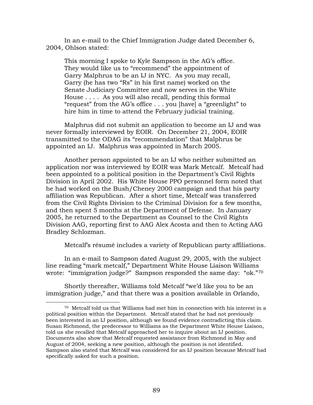<span id="page-93-0"></span>In an e-mail to the Chief Immigration Judge dated December 6, 2004, Ohlson stated:

This morning I spoke to Kyle Sampson in the AG's office. They would like us to "recommend" the appointment of Garry Malphrus to be an IJ in NYC. As you may recall, Garry (he has two "Rs" in his first name) worked on the Senate Judiciary Committee and now serves in the White House . . . . As you will also recall, pending this formal "request" from the AG's office . . . you [have] a "greenlight" to hire him in time to attend the February judicial training.

Malphrus did not submit an application to become an IJ and was never formally interviewed by EOIR. On December 21, 2004, EOIR transmitted to the ODAG its "recommendation" that Malphrus be appointed an IJ. Malphrus was appointed in March 2005.

Another person appointed to be an IJ who neither submitted an application nor was interviewed by EOIR was Mark Metcalf. Metcalf had been appointed to a political position in the Department's Civil Rights Division in April 2002. His White House PPO personnel form noted that he had worked on the Bush/Cheney 2000 campaign and that his party affiliation was Republican. After a short time, Metcalf was transferred from the Civil Rights Division to the Criminal Division for a few months, and then spent 5 months at the Department of Defense. In January 2005, he returned to the Department as Counsel to the Civil Rights Division AAG, reporting first to AAG Alex Acosta and then to Acting AAG Bradley Schlozman.

Metcalf's résumé includes a variety of Republican party affiliations.

In an e-mail to Sampson dated August 29, 2005, with the subject line reading "mark metcalf," Department White House Liaison Williams wrote: "immigration judge?" Sampson responded the same day: "ok."[7](#page-93-0)0

Shortly thereafter, Williams told Metcalf "we'd like you to be an immigration judge," and that there was a position available in Orlando,

 $70$  Metcalf told us that Williams had met him in connection with his interest in a political position within the Department. Metcalf stated that he had not previously been interested in an IJ position, although we found evidence contradicting this claim. Susan Richmond, the predecessor to Williams as the Department White House Liaison, told us she recalled that Metcalf approached her to inquire about an IJ position. Documents also show that Metcalf requested assistance from Richmond in May and August of 2004, seeking a new position, although the position is not identified. Sampson also stated that Metcalf was considered for an IJ position because Metcalf had specifically asked for such a position.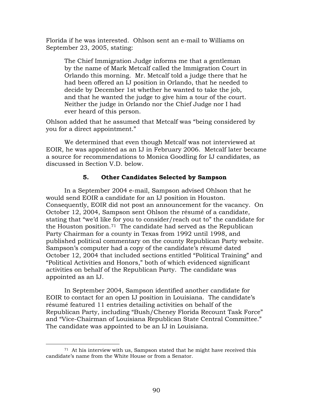<span id="page-94-0"></span>Florida if he was interested. Ohlson sent an e-mail to Williams on September 23, 2005, stating:

The Chief Immigration Judge informs me that a gentleman by the name of Mark Metcalf called the Immigration Court in Orlando this morning. Mr. Metcalf told a judge there that he had been offered an IJ position in Orlando, that he needed to decide by December 1st whether he wanted to take the job, and that he wanted the judge to give him a tour of the court. Neither the judge in Orlando nor the Chief Judge nor I had ever heard of this person.

Ohlson added that he assumed that Metcalf was "being considered by you for a direct appointment."

We determined that even though Metcalf was not interviewed at EOIR, he was appointed as an IJ in February 2006. Metcalf later became a source for recommendations to Monica Goodling for IJ candidates, as discussed in Section V.D. below.

## **5. Other Candidates Selected by Sampson**

In a September 2004 e-mail, Sampson advised Ohlson that he would send EOIR a candidate for an IJ position in Houston. Consequently, EOIR did not post an announcement for the vacancy. On October 12, 2004, Sampson sent Ohlson the résumé of a candidate, stating that "we'd like for you to consider/reach out to" the candidate for the Houston position.<sup>[7](#page-94-0)1</sup> The candidate had served as the Republican Party Chairman for a county in Texas from 1992 until 1998, and published political commentary on the county Republican Party website. Sampson's computer had a copy of the candidate's résumé dated October 12, 2004 that included sections entitled "Political Training" and "Political Activities and Honors," both of which evidenced significant activities on behalf of the Republican Party. The candidate was appointed as an IJ.

In September 2004, Sampson identified another candidate for EOIR to contact for an open IJ position in Louisiana. The candidate's résumé featured 11 entries detailing activities on behalf of the Republican Party, including "Bush/Cheney Florida Recount Task Force" and "Vice-Chairman of Louisiana Republican State Central Committee." The candidate was appointed to be an IJ in Louisiana.

 $71$  At his interview with us, Sampson stated that he might have received this candidate's name from the White House or from a Senator.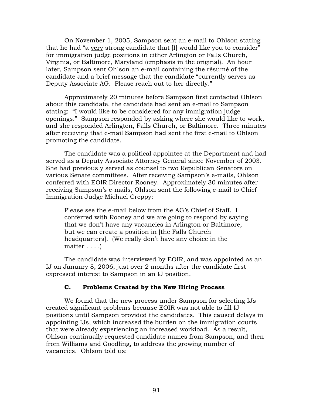On November 1, 2005, Sampson sent an e-mail to Ohlson stating that he had "a very strong candidate that [I] would like you to consider" for immigration judge positions in either Arlington or Falls Church, Virginia, or Baltimore, Maryland (emphasis in the original). An hour later, Sampson sent Ohlson an e-mail containing the résumé of the candidate and a brief message that the candidate "currently serves as Deputy Associate AG. Please reach out to her directly."

Approximately 20 minutes before Sampson first contacted Ohlson about this candidate, the candidate had sent an e-mail to Sampson stating: "I would like to be considered for any immigration judge openings." Sampson responded by asking where she would like to work, and she responded Arlington, Falls Church, or Baltimore. Three minutes after receiving that e-mail Sampson had sent the first e-mail to Ohlson promoting the candidate.

The candidate was a political appointee at the Department and had served as a Deputy Associate Attorney General since November of 2003. She had previously served as counsel to two Republican Senators on various Senate committees. After receiving Sampson's e-mails, Ohlson conferred with EOIR Director Rooney. Approximately 30 minutes after receiving Sampson's e-mails, Ohlson sent the following e-mail to Chief Immigration Judge Michael Creppy:

Please see the e-mail below from the AG's Chief of Staff. I conferred with Rooney and we are going to respond by saying that we don't have any vacancies in Arlington or Baltimore, but we can create a position in [the Falls Church headquarters]. (We really don't have any choice in the matter . . . .)

The candidate was interviewed by EOIR, and was appointed as an IJ on January 8, 2006, just over 2 months after the candidate first expressed interest to Sampson in an IJ position.

## **C. Problems Created by the New Hiring Process**

We found that the new process under Sampson for selecting IJs created significant problems because EOIR was not able to fill IJ positions until Sampson provided the candidates. This caused delays in appointing IJs, which increased the burden on the immigration courts that were already experiencing an increased workload. As a result, Ohlson continually requested candidate names from Sampson, and then from Williams and Goodling, to address the growing number of vacancies. Ohlson told us: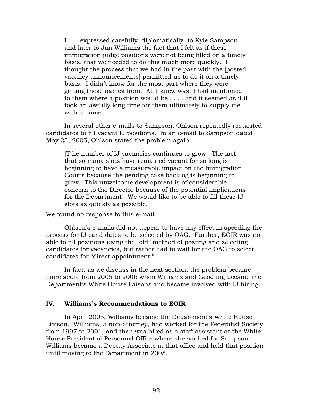I . . . expressed carefully, diplomatically, to Kyle Sampson and later to Jan Williams the fact that I felt as if these immigration judge positions were not being filled on a timely basis, that we needed to do this much more quickly. I thought the process that we had in the past with the [posted vacancy announcements] permitted us to do it on a timely basis. I didn't know for the most part where they were getting these names from. All I knew was, I had mentioned to them where a position would be . . . . and it seemed as if it took an awfully long time for them ultimately to supply me with a name.

In several other e-mails to Sampson, Ohlson repeatedly requested candidates to fill vacant IJ positions. In an e-mail to Sampson dated May 23, 2005, Ohlson stated the problem again:

[T]he number of IJ vacancies continues to grow. The fact that so many slots have remained vacant for so long is beginning to have a measurable impact on the Immigration Courts because the pending case backlog is beginning to grow. This unwelcome development is of considerable concern to the Director because of the potential implications for the Department. We would like to be able to fill these IJ slots as quickly as possible.

We found no response to this e-mail.

Ohlson's e-mails did not appear to have any effect in speeding the process for IJ candidates to be selected by OAG. Further, EOIR was not able to fill positions using the "old" method of posting and selecting candidates for vacancies, but rather had to wait for the OAG to select candidates for "direct appointment."

In fact, as we discuss in the next section, the problem became more acute from 2005 to 2006 when Williams and Goodling became the Department's White House liaisons and became involved with IJ hiring.

### **IV. Williams's Recommendations to EOIR**

In April 2005, Williams became the Department's White House Liaison. Williams, a non-attorney, had worked for the Federalist Society from 1997 to 2001, and then was hired as a staff assistant at the White House Presidential Personnel Office where she worked for Sampson. Williams became a Deputy Associate at that office and held that position until moving to the Department in 2005.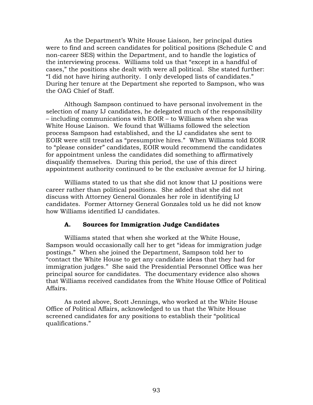As the Department's White House Liaison, her principal duties were to find and screen candidates for political positions (Schedule C and non-career SES) within the Department, and to handle the logistics of the interviewing process. Williams told us that "except in a handful of cases," the positions she dealt with were all political. She stated further: "I did not have hiring authority. I only developed lists of candidates." During her tenure at the Department she reported to Sampson, who was the OAG Chief of Staff.

Although Sampson continued to have personal involvement in the selection of many IJ candidates, he delegated much of the responsibility – including communications with EOIR – to Williams when she was White House Liaison. We found that Williams followed the selection process Sampson had established, and the IJ candidates she sent to EOIR were still treated as "presumptive hires." When Williams told EOIR to "please consider" candidates, EOIR would recommend the candidates for appointment unless the candidates did something to affirmatively disqualify themselves. During this period, the use of this direct appointment authority continued to be the exclusive avenue for IJ hiring.

Williams stated to us that she did not know that IJ positions were career rather than political positions. She added that she did not discuss with Attorney General Gonzales her role in identifying IJ candidates. Former Attorney General Gonzales told us he did not know how Williams identified IJ candidates.

### **A. Sources for Immigration Judge Candidates**

Williams stated that when she worked at the White House, Sampson would occasionally call her to get "ideas for immigration judge postings." When she joined the Department, Sampson told her to "contact the White House to get any candidate ideas that they had for immigration judges." She said the Presidential Personnel Office was her principal source for candidates. The documentary evidence also shows that Williams received candidates from the White House Office of Political Affairs.

As noted above, Scott Jennings, who worked at the White House Office of Political Affairs, acknowledged to us that the White House screened candidates for any positions to establish their "political qualifications."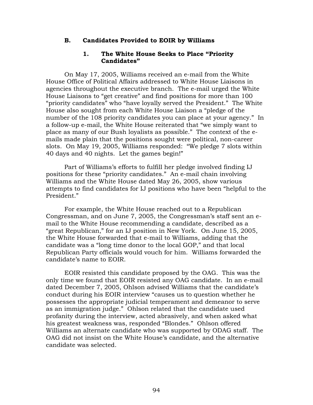### **B. Candidates Provided to EOIR by Williams**

### **1. The White House Seeks to Place "Priority Candidates"**

On May 17, 2005, Williams received an e-mail from the White House Office of Political Affairs addressed to White House Liaisons in agencies throughout the executive branch. The e-mail urged the White House Liaisons to "get creative" and find positions for more than 100 "priority candidates" who "have loyally served the President." The White House also sought from each White House Liaison a "pledge of the number of the 108 priority candidates you can place at your agency." In a follow-up e-mail, the White House reiterated that "we simply want to place as many of our Bush loyalists as possible." The context of the emails made plain that the positions sought were political, non-career slots. On May 19, 2005, Williams responded: "We pledge 7 slots within 40 days and 40 nights. Let the games begin!"

Part of Williams's efforts to fulfill her pledge involved finding IJ positions for these "priority candidates." An e-mail chain involving Williams and the White House dated May 26, 2005, show various attempts to find candidates for IJ positions who have been "helpful to the President."

For example, the White House reached out to a Republican Congressman, and on June 7, 2005, the Congressman's staff sent an email to the White House recommending a candidate, described as a "great Republican," for an IJ position in New York. On June 15, 2005, the White House forwarded that e-mail to Williams, adding that the candidate was a "long time donor to the local GOP," and that local Republican Party officials would vouch for him. Williams forwarded the candidate's name to EOIR.

EOIR resisted this candidate proposed by the OAG. This was the only time we found that EOIR resisted any OAG candidate. In an e-mail dated December 7, 2005, Ohlson advised Williams that the candidate's conduct during his EOIR interview "causes us to question whether he possesses the appropriate judicial temperament and demeanor to serve as an immigration judge." Ohlson related that the candidate used profanity during the interview, acted abrasively, and when asked what his greatest weakness was, responded "Blondes." Ohlson offered Williams an alternate candidate who was supported by ODAG staff. The OAG did not insist on the White House's candidate, and the alternative candidate was selected.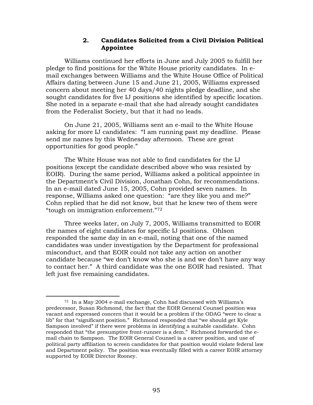## **2. Candidates Solicited from a Civil Division Political Appointee**

<span id="page-99-0"></span>Williams continued her efforts in June and July 2005 to fulfill her pledge to find positions for the White House priority candidates. In email exchanges between Williams and the White House Office of Political Affairs dating between June 15 and June 21, 2005, Williams expressed concern about meeting her 40 days/40 nights pledge deadline, and she sought candidates for five IJ positions she identified by specific location. She noted in a separate e-mail that she had already sought candidates from the Federalist Society, but that it had no leads.

On June 21, 2005, Williams sent an e-mail to the White House asking for more IJ candidates: "I am running past my deadline. Please send me names by this Wednesday afternoon. These are great opportunities for good people."

The White House was not able to find candidates for the IJ positions (except the candidate described above who was resisted by EOIR). During the same period, Williams asked a political appointee in the Department's Civil Division, Jonathan Cohn, for recommendations. In an e-mail dated June 15, 2005, Cohn provided seven names. In response, Williams asked one question: "are they like you and me?" Cohn replied that he did not know, but that he knew two of them were "tough on immigration enforcement."[72](#page-99-0)

Three weeks later, on July 7, 2005, Williams transmitted to EOIR the names of eight candidates for specific IJ positions. Ohlson responded the same day in an e-mail, noting that one of the named candidates was under investigation by the Department for professional misconduct, and that EOIR could not take any action on another candidate because "we don't know who she is and we don't have any way to contact her." A third candidate was the one EOIR had resisted. That left just five remaining candidates.

 <sup>72</sup> In a May 2004 e-mail exchange, Cohn had discussed with Williams's predecessor, Susan Richmond, the fact that the EOIR General Counsel position was vacant and expressed concern that it would be a problem if the ODAG "were to clear a lib" for that "significant position." Richmond responded that "we should get Kyle Sampson involved" if there were problems in identifying a suitable candidate. Cohn responded that "the presumptive front-runner is a dem." Richmond forwarded the email chain to Sampson. The EOIR General Counsel is a career position, and use of political party affiliation to screen candidates for that position would violate federal law and Department policy. The position was eventually filled with a career EOIR attorney supported by EOIR Director Rooney.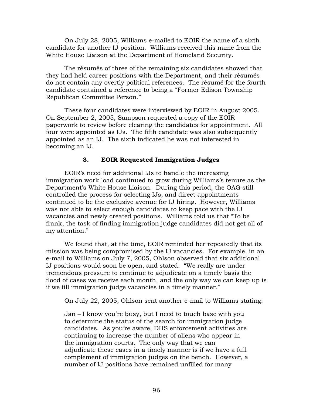On July 28, 2005, Williams e-mailed to EOIR the name of a sixth candidate for another IJ position. Williams received this name from the White House Liaison at the Department of Homeland Security.

The résumés of three of the remaining six candidates showed that they had held career positions with the Department, and their résumés do not contain any overtly political references. The résumé for the fourth candidate contained a reference to being a "Former Edison Township Republican Committee Person."

These four candidates were interviewed by EOIR in August 2005. On September 2, 2005, Sampson requested a copy of the EOIR paperwork to review before clearing the candidates for appointment. All four were appointed as IJs. The fifth candidate was also subsequently appointed as an IJ. The sixth indicated he was not interested in becoming an IJ.

## **3. EOIR Requested Immigration Judges**

EOIR's need for additional IJs to handle the increasing immigration work load continued to grow during Williams's tenure as the Department's White House Liaison. During this period, the OAG still controlled the process for selecting IJs, and direct appointments continued to be the exclusive avenue for IJ hiring. However, Williams was not able to select enough candidates to keep pace with the IJ vacancies and newly created positions. Williams told us that "To be frank, the task of finding immigration judge candidates did not get all of my attention."

We found that, at the time, EOIR reminded her repeatedly that its mission was being compromised by the IJ vacancies. For example, in an e-mail to Williams on July 7, 2005, Ohlson observed that six additional IJ positions would soon be open, and stated: "We really are under tremendous pressure to continue to adjudicate on a timely basis the flood of cases we receive each month, and the only way we can keep up is if we fill immigration judge vacancies in a timely manner."

On July 22, 2005, Ohlson sent another e-mail to Williams stating:

Jan – I know you're busy, but I need to touch base with you to determine the status of the search for immigration judge candidates. As you're aware, DHS enforcement activities are continuing to increase the number of aliens who appear in the immigration courts. The only way that we can adjudicate these cases in a timely manner is if we have a full complement of immigration judges on the bench. However, a number of IJ positions have remained unfilled for many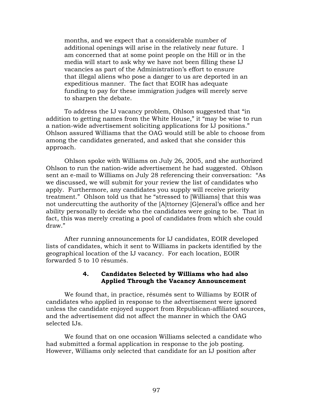months, and we expect that a considerable number of additional openings will arise in the relatively near future. I am concerned that at some point people on the Hill or in the media will start to ask why we have not been filling these IJ vacancies as part of the Administration's effort to ensure that illegal aliens who pose a danger to us are deported in an expeditious manner. The fact that EOIR has adequate funding to pay for these immigration judges will merely serve to sharpen the debate.

To address the IJ vacancy problem, Ohlson suggested that "in addition to getting names from the White House," it "may be wise to run a nation-wide advertisement soliciting applications for IJ positions." Ohlson assured Williams that the OAG would still be able to choose from among the candidates generated, and asked that she consider this approach.

Ohlson spoke with Williams on July 26, 2005, and she authorized Ohlson to run the nation-wide advertisement he had suggested. Ohlson sent an e-mail to Williams on July 28 referencing their conversation: "As we discussed, we will submit for your review the list of candidates who apply. Furthermore, any candidates you supply will receive priority treatment." Ohlson told us that he "stressed to [Williams] that this was not undercutting the authority of the [A]ttorney [G]eneral's office and her ability personally to decide who the candidates were going to be. That in fact, this was merely creating a pool of candidates from which she could draw."

After running announcements for IJ candidates, EOIR developed lists of candidates, which it sent to Williams in packets identified by the geographical location of the IJ vacancy. For each location, EOIR forwarded 5 to 10 résumés.

### **4. Candidates Selected by Williams who had also Applied Through the Vacancy Announcement**

We found that, in practice, résumés sent to Williams by EOIR of candidates who applied in response to the advertisement were ignored unless the candidate enjoyed support from Republican-affiliated sources, and the advertisement did not affect the manner in which the OAG selected IJs.

We found that on one occasion Williams selected a candidate who had submitted a formal application in response to the job posting. However, Williams only selected that candidate for an IJ position after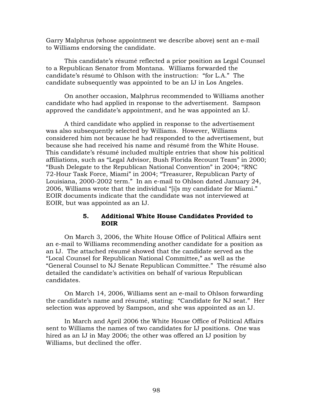Garry Malphrus (whose appointment we describe above) sent an e-mail to Williams endorsing the candidate.

This candidate's résumé reflected a prior position as Legal Counsel to a Republican Senator from Montana. Williams forwarded the candidate's résumé to Ohlson with the instruction: "for L.A." The candidate subsequently was appointed to be an IJ in Los Angeles.

On another occasion, Malphrus recommended to Williams another candidate who had applied in response to the advertisement. Sampson approved the candidate's appointment, and he was appointed an IJ.

A third candidate who applied in response to the advertisement was also subsequently selected by Williams. However, Williams considered him not because he had responded to the advertisement, but because she had received his name and résumé from the White House. This candidate's résumé included multiple entries that show his political affiliations, such as "Legal Advisor, Bush Florida Recount Team" in 2000; "Bush Delegate to the Republican National Convention" in 2004; "RNC 72-Hour Task Force, Miami" in 2004; "Treasurer, Republican Party of Louisiana, 2000-2002 term." In an e-mail to Ohlson dated January 24, 2006, Williams wrote that the individual "[i]s my candidate for Miami." EOIR documents indicate that the candidate was not interviewed at EOIR, but was appointed as an IJ.

## **5. Additional White House Candidates Provided to EOIR**

On March 3, 2006, the White House Office of Political Affairs sent an e-mail to Williams recommending another candidate for a position as an IJ. The attached résumé showed that the candidate served as the "Local Counsel for Republican National Committee," as well as the "General Counsel to NJ Senate Republican Committee." The résumé also detailed the candidate's activities on behalf of various Republican candidates.

On March 14, 2006, Williams sent an e-mail to Ohlson forwarding the candidate's name and résumé, stating: "Candidate for NJ seat." Her selection was approved by Sampson, and she was appointed as an IJ.

In March and April 2006 the White House Office of Political Affairs sent to Williams the names of two candidates for IJ positions. One was hired as an IJ in May 2006; the other was offered an IJ position by Williams, but declined the offer.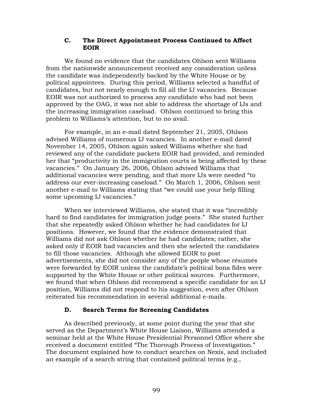## **C. The Direct Appointment Process Continued to Affect EOIR**

We found no evidence that the candidates Ohlson sent Williams from the nationwide announcement received any consideration unless the candidate was independently backed by the White House or by political appointees. During this period, Williams selected a handful of candidates, but not nearly enough to fill all the IJ vacancies. Because EOIR was not authorized to process any candidate who had not been approved by the OAG, it was not able to address the shortage of IJs and the increasing immigration caseload. Ohlson continued to bring this problem to Williams's attention, but to no avail.

For example, in an e-mail dated September 21, 2005, Ohlson advised Williams of numerous IJ vacancies. In another e-mail dated November 14, 2005, Ohlson again asked Williams whether she had reviewed any of the candidate packets EOIR had provided, and reminded her that "productivity in the immigration courts is being affected by these vacancies." On January 26, 2006, Ohlson advised Williams that additional vacancies were pending, and that more IJs were needed "to address our ever-increasing caseload." On March 1, 2006, Ohlson sent another e-mail to Williams stating that "we could use your help filling some upcoming IJ vacancies."

When we interviewed Williams, she stated that it was "incredibly hard to find candidates for immigration judge posts." She stated further that she repeatedly asked Ohlson whether he had candidates for IJ positions. However, we found that the evidence demonstrated that Williams did not ask Ohlson whether he had candidates; rather, she asked only if EOIR had vacancies and then she selected the candidates to fill those vacancies. Although she allowed EOIR to post advertisements, she did not consider any of the people whose résumés were forwarded by EOIR unless the candidate's political bona fides were supported by the White House or other political sources. Furthermore, we found that when Ohlson did recommend a specific candidate for an IJ position, Williams did not respond to his suggestion, even after Ohlson reiterated his recommendation in several additional e-mails.

### **D. Search Terms for Screening Candidates**

As described previously, at some point during the year that she served as the Department's White House Liaison, Williams attended a seminar held at the White House Presidential Personnel Office where she received a document entitled "The Thorough Process of Investigation." The document explained how to conduct searches on Nexis, and included an example of a search string that contained political terms (e.g.,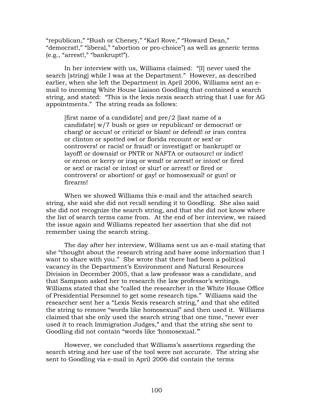"republican," "Bush or Cheney," "Karl Rove," "Howard Dean," "democrat!," "liberal," "abortion or pro-choice") as well as generic terms (e.g., "arrest!," "bankrupt!").

In her interview with us, Williams claimed: "[I] never used the search [string] while I was at the Department." However, as described earlier, when she left the Department in April 2006, Williams sent an email to incoming White House Liaison Goodling that contained a search string, and stated: "This is the lexis nexis search string that I use for AG appointments." The string reads as follows:

[first name of a candidate] and  $pre/2$  [last name of a candidate] w/7 bush or gore or republican! or democrat! or charg! or accus! or criticiz! or blam! or defend! or iran contra or clinton or spotted owl or florida recount or sex! or controvers! or racis! or fraud! or investigat! or bankrupt! or layoff! or downsiz! or PNTR or NAFTA or outsourc! or indict! or enron or kerry or iraq or wmd! or arrest! or intox! or fired or sex! or racis! or intox! or slur! or arrest! or fired or controvers! or abortion! or gay! or homosexual! or gun! or firearm!

When we showed Williams this e-mail and the attached search string, she said she did not recall sending it to Goodling. She also said she did not recognize the search string, and that she did not know where the list of search terms came from. At the end of her interview, we raised the issue again and Williams repeated her assertion that she did not remember using the search string.

The day after her interview, Williams sent us an e-mail stating that she "thought about the research string and have some information that I want to share with you." She wrote that there had been a political vacancy in the Department's Environment and Natural Resources Division in December 2005, that a law professor was a candidate, and that Sampson asked her to research the law professor's writings. Williams stated that she "called the researcher in the White House Office of Presidential Personnel to get some research tips." Williams said the researcher sent her a "Lexis Nexis research string," and that she edited the string to remove "words like homosexual" and then used it. Williams claimed that she only used the search string that one time, "never ever used it to reach Immigration Judges," and that the string she sent to Goodling did not contain "words like 'homosexual.'"

However, we concluded that Williams's assertions regarding the search string and her use of the tool were not accurate. The string she sent to Goodling via e-mail in April 2006 did contain the terms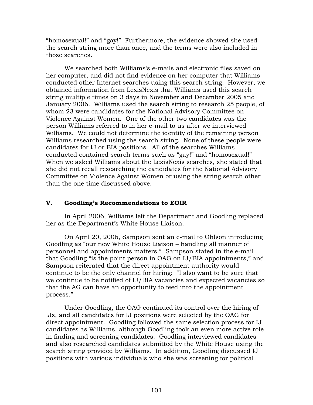"homosexual!" and "gay!" Furthermore, the evidence showed she used the search string more than once, and the terms were also included in those searches.

We searched both Williams's e-mails and electronic files saved on her computer, and did not find evidence on her computer that Williams conducted other Internet searches using this search string. However, we obtained information from LexisNexis that Williams used this search string multiple times on 3 days in November and December 2005 and January 2006. Williams used the search string to research 25 people, of whom 23 were candidates for the National Advisory Committee on Violence Against Women. One of the other two candidates was the person Williams referred to in her e-mail to us after we interviewed Williams. We could not determine the identity of the remaining person Williams researched using the search string. None of these people were candidates for IJ or BIA positions. All of the searches Williams conducted contained search terms such as "gay!" and "homosexual!" When we asked Williams about the LexisNexis searches, she stated that she did not recall researching the candidates for the National Advisory Committee on Violence Against Women or using the string search other than the one time discussed above.

## **V. Goodling's Recommendations to EOIR**

In April 2006, Williams left the Department and Goodling replaced her as the Department's White House Liaison.

On April 20, 2006, Sampson sent an e-mail to Ohlson introducing Goodling as "our new White House Liaison – handling all manner of personnel and appointments matters." Sampson stated in the e-mail that Goodling "is the point person in OAG on IJ/BIA appointments," and Sampson reiterated that the direct appointment authority would continue to be the only channel for hiring: "I also want to be sure that we continue to be notified of IJ/BIA vacancies and expected vacancies so that the AG can have an opportunity to feed into the appointment process."

Under Goodling, the OAG continued its control over the hiring of IJs, and all candidates for IJ positions were selected by the OAG for direct appointment. Goodling followed the same selection process for IJ candidates as Williams, although Goodling took an even more active role in finding and screening candidates. Goodling interviewed candidates and also researched candidates submitted by the White House using the search string provided by Williams. In addition, Goodling discussed IJ positions with various individuals who she was screening for political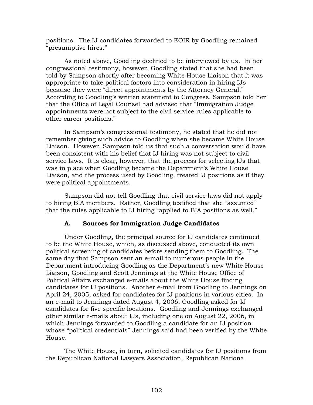positions. The IJ candidates forwarded to EOIR by Goodling remained "presumptive hires."

As noted above, Goodling declined to be interviewed by us. In her congressional testimony, however, Goodling stated that she had been told by Sampson shortly after becoming White House Liaison that it was appropriate to take political factors into consideration in hiring IJs because they were "direct appointments by the Attorney General." According to Goodling's written statement to Congress, Sampson told her that the Office of Legal Counsel had advised that "Immigration Judge appointments were not subject to the civil service rules applicable to other career positions."

In Sampson's congressional testimony, he stated that he did not remember giving such advice to Goodling when she became White House Liaison. However, Sampson told us that such a conversation would have been consistent with his belief that IJ hiring was not subject to civil service laws. It is clear, however, that the process for selecting IJs that was in place when Goodling became the Department's White House Liaison, and the process used by Goodling, treated IJ positions as if they were political appointments.

Sampson did not tell Goodling that civil service laws did not apply to hiring BIA members. Rather, Goodling testified that she "assumed" that the rules applicable to IJ hiring "applied to BIA positions as well."

## **A. Sources for Immigration Judge Candidates**

Under Goodling, the principal source for IJ candidates continued to be the White House, which, as discussed above, conducted its own political screening of candidates before sending them to Goodling. The same day that Sampson sent an e-mail to numerous people in the Department introducing Goodling as the Department's new White House Liaison, Goodling and Scott Jennings at the White House Office of Political Affairs exchanged e-mails about the White House finding candidates for IJ positions. Another e-mail from Goodling to Jennings on April 24, 2005, asked for candidates for IJ positions in various cities. In an e-mail to Jennings dated August 4, 2006, Goodling asked for IJ candidates for five specific locations. Goodling and Jennings exchanged other similar e-mails about IJs, including one on August 22, 2006, in which Jennings forwarded to Goodling a candidate for an IJ position whose "political credentials" Jennings said had been verified by the White House.

The White House, in turn, solicited candidates for IJ positions from the Republican National Lawyers Association, Republican National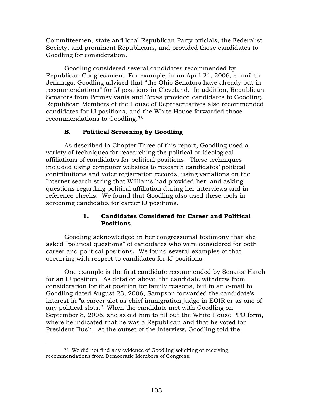<span id="page-107-0"></span>Committeemen, state and local Republican Party officials, the Federalist Society, and prominent Republicans, and provided those candidates to Goodling for consideration.

Goodling considered several candidates recommended by Republican Congressmen. For example, in an April 24, 2006, e-mail to Jennings, Goodling advised that "the Ohio Senators have already put in recommendations" for IJ positions in Cleveland. In addition, Republican Senators from Pennsylvania and Texas provided candidates to Goodling. Republican Members of the House of Representatives also recommended candidates for IJ positions, and the White House forwarded those recommendations to Goodling.[73](#page-107-0)

# **B. Political Screening by Goodling**

As described in Chapter Three of this report, Goodling used a variety of techniques for researching the political or ideological affiliations of candidates for political positions. These techniques included using computer websites to research candidates' political contributions and voter registration records, using variations on the Internet search string that Williams had provided her, and asking questions regarding political affiliation during her interviews and in reference checks. We found that Goodling also used these tools in screening candidates for career IJ positions.

## **1. Candidates Considered for Career and Political Positions**

Goodling acknowledged in her congressional testimony that she asked "political questions" of candidates who were considered for both career and political positions. We found several examples of that occurring with respect to candidates for IJ positions.

One example is the first candidate recommended by Senator Hatch for an IJ position. As detailed above, the candidate withdrew from consideration for that position for family reasons, but in an e-mail to Goodling dated August 23, 2006, Sampson forwarded the candidate's interest in "a career slot as chief immigration judge in EOIR or as one of any political slots." When the candidate met with Goodling on September 8, 2006, she asked him to fill out the White House PPO form, where he indicated that he was a Republican and that he voted for President Bush. At the outset of the interview, Goodling told the

 <sup>73</sup> We did not find any evidence of Goodling soliciting or receiving recommendations from Democratic Members of Congress.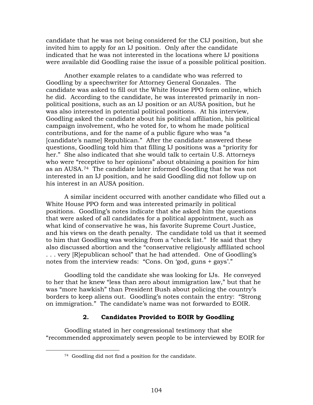<span id="page-108-0"></span>candidate that he was not being considered for the CIJ position, but she invited him to apply for an IJ position. Only after the candidate indicated that he was not interested in the locations where IJ positions were available did Goodling raise the issue of a possible political position.

Another example relates to a candidate who was referred to Goodling by a speechwriter for Attorney General Gonzales. The candidate was asked to fill out the White House PPO form online, which he did. According to the candidate, he was interested primarily in nonpolitical positions, such as an IJ position or an AUSA position, but he was also interested in potential political positions. At his interview, Goodling asked the candidate about his political affiliation, his political campaign involvement, who he voted for, to whom he made political contributions, and for the name of a public figure who was "a [candidate's name] Republican." After the candidate answered these questions, Goodling told him that filling IJ positions was a "priority for her." She also indicated that she would talk to certain U.S. Attorneys who were "receptive to her opinions" about obtaining a position for him as an AUSA.[74](#page-108-0) The candidate later informed Goodling that he was not interested in an IJ position, and he said Goodling did not follow up on his interest in an AUSA position.

A similar incident occurred with another candidate who filled out a White House PPO form and was interested primarily in political positions. Goodling's notes indicate that she asked him the questions that were asked of all candidates for a political appointment, such as what kind of conservative he was, his favorite Supreme Court Justice, and his views on the death penalty. The candidate told us that it seemed to him that Goodling was working from a "check list." He said that they also discussed abortion and the "conservative religiously affiliated school . . . very [R]epublican school" that he had attended. One of Goodling's notes from the interview reads: "Cons. On 'god, guns + gays'."

Goodling told the candidate she was looking for IJs. He conveyed to her that he knew "less than zero about immigration law," but that he was "more hawkish" than President Bush about policing the country's borders to keep aliens out. Goodling's notes contain the entry: "Strong on immigration." The candidate's name was not forwarded to EOIR.

# **2. Candidates Provided to EOIR by Goodling**

Goodling stated in her congressional testimony that she "recommended approximately seven people to be interviewed by EOIR for

 <sup>74</sup> Goodling did not find a position for the candidate.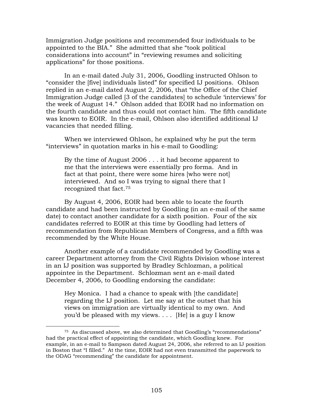<span id="page-109-0"></span>Immigration Judge positions and recommended four individuals to be appointed to the BIA." She admitted that she "took political considerations into account" in "reviewing resumes and soliciting applications" for those positions.

In an e-mail dated July 31, 2006, Goodling instructed Ohlson to "consider the [five] individuals listed" for specified IJ positions. Ohlson replied in an e-mail dated August 2, 2006, that "the Office of the Chief Immigration Judge called [3 of the candidates] to schedule 'interviews' for the week of August 14." Ohlson added that EOIR had no information on the fourth candidate and thus could not contact him. The fifth candidate was known to EOIR. In the e-mail, Ohlson also identified additional IJ vacancies that needed filling.

When we interviewed Ohlson, he explained why he put the term "interviews" in quotation marks in his e-mail to Goodling:

By the time of August 2006 . . . it had become apparent to me that the interviews were essentially pro forma. And in fact at that point, there were some hires [who were not] interviewed. And so I was trying to signal there that I recognized that fact.[7](#page-109-0)5

By August 4, 2006, EOIR had been able to locate the fourth candidate and had been instructed by Goodling (in an e-mail of the same date) to contact another candidate for a sixth position. Four of the six candidates referred to EOIR at this time by Goodling had letters of recommendation from Republican Members of Congress, and a fifth was recommended by the White House.

Another example of a candidate recommended by Goodling was a career Department attorney from the Civil Rights Division whose interest in an IJ position was supported by Bradley Schlozman, a political appointee in the Department. Schlozman sent an e-mail dated December 4, 2006, to Goodling endorsing the candidate:

Hey Monica. I had a chance to speak with [the candidate] regarding the IJ position. Let me say at the outset that his views on immigration are virtually identical to my own. And you'd be pleased with my views. . . . [He] is a guy I know

 <sup>75</sup> As discussed above, we also determined that Goodling's "recommendations" had the practical effect of appointing the candidate, which Goodling knew. For example, in an e-mail to Sampson dated August 24, 2006, she referred to an IJ position in Boston that "I filled." At the time, EOIR had not even transmitted the paperwork to the ODAG "recommending" the candidate for appointment.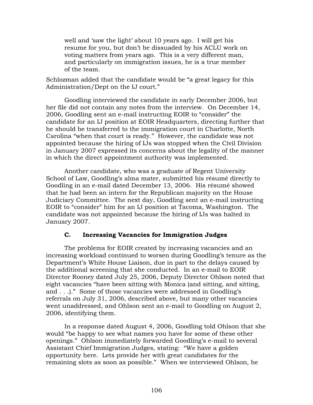well and 'saw the light' about 10 years ago. I will get his resume for you, but don't be dissuaded by his ACLU work on voting matters from years ago. This is a very different man, and particularly on immigration issues, he is a true member of the team.

Schlozman added that the candidate would be "a great legacy for this Administration/Dept on the IJ court."

Goodling interviewed the candidate in early December 2006, but her file did not contain any notes from the interview. On December 14, 2006, Goodling sent an e-mail instructing EOIR to "consider" the candidate for an IJ position at EOIR Headquarters, directing further that he should be transferred to the immigration court in Charlotte, North Carolina "when that court is ready." However, the candidate was not appointed because the hiring of IJs was stopped when the Civil Division in January 2007 expressed its concerns about the legality of the manner in which the direct appointment authority was implemented.

Another candidate, who was a graduate of Regent University School of Law, Goodling's alma mater, submitted his résumé directly to Goodling in an e-mail dated December 13, 2006. His résumé showed that he had been an intern for the Republican majority on the House Judiciary Committee. The next day, Goodling sent an e-mail instructing EOIR to "consider" him for an IJ position at Tacoma, Washington. The candidate was not appointed because the hiring of IJs was halted in January 2007.

### **C. Increasing Vacancies for Immigration Judges**

The problems for EOIR created by increasing vacancies and an increasing workload continued to worsen during Goodling's tenure as the Department's White House Liaison, due in part to the delays caused by the additional screening that she conducted. In an e-mail to EOIR Director Rooney dated July 25, 2006, Deputy Director Ohlson noted that eight vacancies "have been sitting with Monica (and sitting, and sitting, and . . .)." Some of those vacancies were addressed in Goodling's referrals on July 31, 2006, described above, but many other vacancies went unaddressed, and Ohlson sent an e-mail to Goodling on August 2, 2006, identifying them.

In a response dated August 4, 2006, Goodling told Ohlson that she would "be happy to see what names you have for some of these other openings." Ohlson immediately forwarded Goodling's e-mail to several Assistant Chief Immigration Judges, stating: "We have a golden opportunity here. Lets provide her with great candidates for the remaining slots as soon as possible." When we interviewed Ohlson, he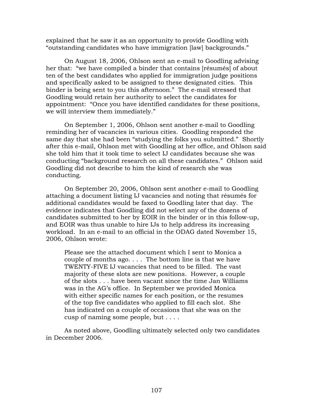explained that he saw it as an opportunity to provide Goodling with "outstanding candidates who have immigration [law] backgrounds."

On August 18, 2006, Ohlson sent an e-mail to Goodling advising her that: "we have compiled a binder that contains [résumés] of about ten of the best candidates who applied for immigration judge positions and specifically asked to be assigned to these designated cities. This binder is being sent to you this afternoon." The e-mail stressed that Goodling would retain her authority to select the candidates for appointment: "Once you have identified candidates for these positions, we will interview them immediately."

On September 1, 2006, Ohlson sent another e-mail to Goodling reminding her of vacancies in various cities. Goodling responded the same day that she had been "studying the folks you submitted." Shortly after this e-mail, Ohlson met with Goodling at her office, and Ohlson said she told him that it took time to select IJ candidates because she was conducting "background research on all these candidates." Ohlson said Goodling did not describe to him the kind of research she was conducting.

On September 20, 2006, Ohlson sent another e-mail to Goodling attaching a document listing IJ vacancies and noting that résumés for additional candidates would be faxed to Goodling later that day. The evidence indicates that Goodling did not select any of the dozens of candidates submitted to her by EOIR in the binder or in this follow-up, and EOIR was thus unable to hire IJs to help address its increasing workload. In an e-mail to an official in the ODAG dated November 15, 2006, Ohlson wrote:

Please see the attached document which I sent to Monica a couple of months ago. . . . The bottom line is that we have TWENTY-FIVE IJ vacancies that need to be filled. The vast majority of these slots are new positions. However, a couple of the slots . . . have been vacant since the time Jan Williams was in the AG's office. In September we provided Monica with either specific names for each position, or the resumes of the top five candidates who applied to fill each slot. She has indicated on a couple of occasions that she was on the cusp of naming some people, but . . . .

As noted above, Goodling ultimately selected only two candidates in December 2006.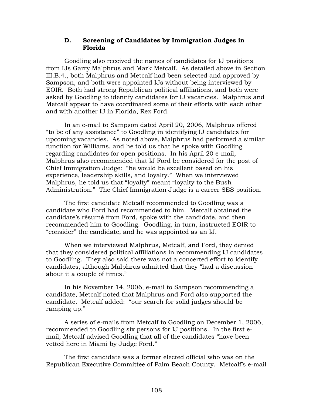### **D. Screening of Candidates by Immigration Judges in Florida**

Goodling also received the names of candidates for IJ positions from IJs Garry Malphrus and Mark Metcalf. As detailed above in Section III.B.4., both Malphrus and Metcalf had been selected and approved by Sampson, and both were appointed IJs without being interviewed by EOIR. Both had strong Republican political affiliations, and both were asked by Goodling to identify candidates for IJ vacancies. Malphrus and Metcalf appear to have coordinated some of their efforts with each other and with another IJ in Florida, Rex Ford.

In an e-mail to Sampson dated April 20, 2006, Malphrus offered "to be of any assistance" to Goodling in identifying IJ candidates for upcoming vacancies. As noted above, Malphrus had performed a similar function for Williams, and he told us that he spoke with Goodling regarding candidates for open positions. In his April 20 e-mail, Malphrus also recommended that IJ Ford be considered for the post of Chief Immigration Judge: "he would be excellent based on his experience, leadership skills, and loyalty." When we interviewed Malphrus, he told us that "loyalty" meant "loyalty to the Bush Administration." The Chief Immigration Judge is a career SES position.

The first candidate Metcalf recommended to Goodling was a candidate who Ford had recommended to him. Metcalf obtained the candidate's résumé from Ford, spoke with the candidate, and then recommended him to Goodling. Goodling, in turn, instructed EOIR to "consider" the candidate, and he was appointed as an IJ.

When we interviewed Malphrus, Metcalf, and Ford, they denied that they considered political affiliations in recommending IJ candidates to Goodling. They also said there was not a concerted effort to identify candidates, although Malphrus admitted that they "had a discussion about it a couple of times."

In his November 14, 2006, e-mail to Sampson recommending a candidate, Metcalf noted that Malphrus and Ford also supported the candidate. Metcalf added: "our search for solid judges should be ramping up."

A series of e-mails from Metcalf to Goodling on December 1, 2006, recommended to Goodling six persons for IJ positions. In the first email, Metcalf advised Goodling that all of the candidates "have been vetted here in Miami by Judge Ford."

The first candidate was a former elected official who was on the Republican Executive Committee of Palm Beach County. Metcalf's e-mail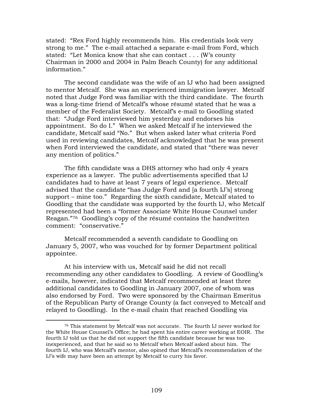<span id="page-113-0"></span>stated: "Rex Ford highly recommends him. His credentials look very strong to me." The e-mail attached a separate e-mail from Ford, which stated: "Let Monica know that she can contact . . . (W's county Chairman in 2000 and 2004 in Palm Beach County) for any additional information."

The second candidate was the wife of an IJ who had been assigned to mentor Metcalf. She was an experienced immigration lawyer. Metcalf noted that Judge Ford was familiar with the third candidate. The fourth was a long-time friend of Metcalf's whose résumé stated that he was a member of the Federalist Society. Metcalf's e-mail to Goodling stated that: "Judge Ford interviewed him yesterday and endorses his appointment. So do I." When we asked Metcalf if he interviewed the candidate, Metcalf said "No." But when asked later what criteria Ford used in reviewing candidates, Metcalf acknowledged that he was present when Ford interviewed the candidate, and stated that "there was never any mention of politics."

The fifth candidate was a DHS attorney who had only 4 years experience as a lawyer. The public advertisements specified that IJ candidates had to have at least 7 years of legal experience. Metcalf advised that the candidate "has Judge Ford and [a fourth IJ's] strong support – mine too." Regarding the sixth candidate, Metcalf stated to Goodling that the candidate was supported by the fourth IJ, who Metcalf represented had been a "former Associate White House Counsel under Reagan."[7](#page-113-0)6 Goodling's copy of the résumé contains the handwritten comment: "conservative."

Metcalf recommended a seventh candidate to Goodling on January 5, 2007, who was vouched for by former Department political appointee.

At his interview with us, Metcalf said he did not recall recommending any other candidates to Goodling. A review of Goodling's e-mails, however, indicated that Metcalf recommended at least three additional candidates to Goodling in January 2007, one of whom was also endorsed by Ford. Two were sponsored by the Chairman Emeritus of the Republican Party of Orange County (a fact conveyed to Metcalf and relayed to Goodling). In the e-mail chain that reached Goodling via

 <sup>76</sup> This statement by Metcalf was not accurate. The fourth IJ never worked for the White House Counsel's Office; he had spent his entire career working at EOIR. The fourth IJ told us that he did not support the fifth candidate because he was too inexperienced, and that he said so to Metcalf when Metcalf asked about him. The fourth IJ, who was Metcalf's mentor, also opined that Metcalf's recommendation of the IJ's wife may have been an attempt by Metcalf to curry his favor.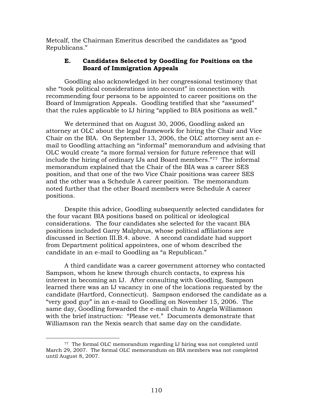<span id="page-114-0"></span>Metcalf, the Chairman Emeritus described the candidates as "good Republicans."

### **E. Candidates Selected by Goodling for Positions on the Board of Immigration Appeals**

Goodling also acknowledged in her congressional testimony that she "took political considerations into account" in connection with recommending four persons to be appointed to career positions on the Board of Immigration Appeals. Goodling testified that she "assumed" that the rules applicable to IJ hiring "applied to BIA positions as well."

We determined that on August 30, 2006, Goodling asked an attorney at OLC about the legal framework for hiring the Chair and Vice Chair on the BIA. On September 13, 2006, the OLC attorney sent an email to Goodling attaching an "informal" memorandum and advising that OLC would create "a more formal version for future reference that will include the hiring of ordinary IJs and Board members."[77](#page-114-0) The informal memorandum explained that the Chair of the BIA was a career SES position, and that one of the two Vice Chair positions was career SES and the other was a Schedule A career position. The memorandum noted further that the other Board members were Schedule A career positions.

Despite this advice, Goodling subsequently selected candidates for the four vacant BIA positions based on political or ideological considerations.The four candidates she selected for the vacant BIA positions included Garry Malphrus, whose political affiliations are discussed in Section III.B.4. above. A second candidate had support from Department political appointees, one of whom described the candidate in an e-mail to Goodling as "a Republican."

A third candidate was a career government attorney who contacted Sampson, whom he knew through church contacts, to express his interest in becoming an IJ. After consulting with Goodling, Sampson learned there was an IJ vacancy in one of the locations requested by the candidate (Hartford, Connecticut). Sampson endorsed the candidate as a "very good guy" in an e-mail to Goodling on November 15, 2006. The same day, Goodling forwarded the e-mail chain to Angela Williamson with the brief instruction: "Please vet." Documents demonstrate that Williamson ran the Nexis search that same day on the candidate.

 <sup>77</sup> The formal OLC memorandum regarding IJ hiring was not completed until March 29, 2007. The formal OLC memorandum on BIA members was not completed until August 8, 2007.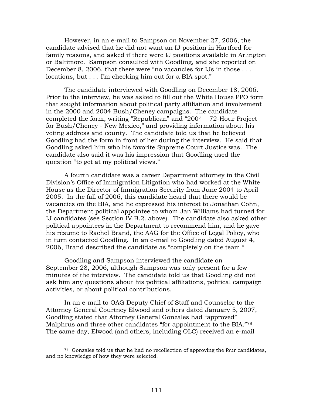<span id="page-115-0"></span>However, in an e-mail to Sampson on November 27, 2006, the candidate advised that he did not want an IJ position in Hartford for family reasons, and asked if there were IJ positions available in Arlington or Baltimore. Sampson consulted with Goodling, and she reported on December 8, 2006, that there were "no vacancies for IJs in those . . . locations, but . . . I'm checking him out for a BIA spot."

The candidate interviewed with Goodling on December 18, 2006. Prior to the interview, he was asked to fill out the White House PPO form that sought information about political party affiliation and involvement in the 2000 and 2004 Bush/Cheney campaigns. The candidate completed the form, writing "Republican" and "2004 – 72-Hour Project for Bush/Cheney - New Mexico," and providing information about his voting address and county. The candidate told us that he believed Goodling had the form in front of her during the interview. He said that Goodling asked him who his favorite Supreme Court Justice was. The candidate also said it was his impression that Goodling used the question "to get at my political views."

A fourth candidate was a career Department attorney in the Civil Division's Office of Immigration Litigation who had worked at the White House as the Director of Immigration Security from June 2004 to April 2005. In the fall of 2006, this candidate heard that there would be vacancies on the BIA, and he expressed his interest to Jonathan Cohn, the Department political appointee to whom Jan Williams had turned for IJ candidates (see Section IV.B.2. above). The candidate also asked other political appointees in the Department to recommend him, and he gave his résumé to Rachel Brand, the AAG for the Office of Legal Policy, who in turn contacted Goodling. In an e-mail to Goodling dated August 4, 2006, Brand described the candidate as "completely on the team."

Goodling and Sampson interviewed the candidate on September 28, 2006, although Sampson was only present for a few minutes of the interview. The candidate told us that Goodling did not ask him any questions about his political affiliations, political campaign activities, or about political contributions.

In an e-mail to OAG Deputy Chief of Staff and Counselor to the Attorney General Courtney Elwood and others dated January 5, 2007, Goodling stated that Attorney General Gonzales had "approved" Malphrus and three other candidates "for appointment to the BIA."[78](#page-115-0) The same day, Elwood (and others, including OLC) received an e-mail

 $78$  Gonzales told us that he had no recollection of approving the four candidates, and no knowledge of how they were selected.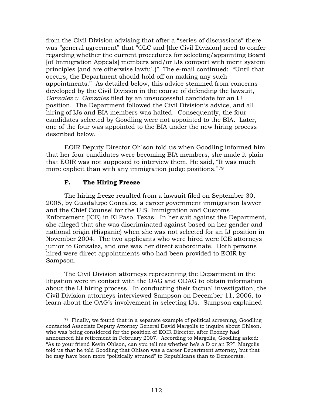<span id="page-116-0"></span>from the Civil Division advising that after a "series of discussions" there was "general agreement" that "OLC and [the Civil Division] need to confer regarding whether the current procedures for selecting/appointing Board [of Immigration Appeals] members and/or IJs comport with merit system principles (and are otherwise lawful.)" The e-mail continued: "Until that occurs, the Department should hold off on making any such appointments." As detailed below, this advice stemmed from concerns developed by the Civil Division in the course of defending the lawsuit, *Gonzalez v. Gonzales* filed by an unsuccessful candidate for an IJ position. The Department followed the Civil Division's advice, and all hiring of IJs and BIA members was halted. Consequently, the four candidates selected by Goodling were not appointed to the BIA. Later, one of the four was appointed to the BIA under the new hiring process described below.

EOIR Deputy Director Ohlson told us when Goodling informed him that her four candidates were becoming BIA members, she made it plain that EOIR was not supposed to interview them. He said, "It was much more explicit than with any immigration judge positions."[79](#page-116-0)

### **F. The Hiring Freeze**

The hiring freeze resulted from a lawsuit filed on September 30, 2005, by Guadalupe Gonzalez, a career government immigration lawyer and the Chief Counsel for the U.S. Immigration and Customs Enforcement (ICE) in El Paso, Texas. In her suit against the Department, she alleged that she was discriminated against based on her gender and national origin (Hispanic) when she was not selected for an IJ position in November 2004. The two applicants who were hired were ICE attorneys junior to Gonzalez, and one was her direct subordinate. Both persons hired were direct appointments who had been provided to EOIR by Sampson.

The Civil Division attorneys representing the Department in the litigation were in contact with the OAG and ODAG to obtain information about the IJ hiring process. In conducting their factual investigation, the Civil Division attorneys interviewed Sampson on December 11, 2006, to learn about the OAG's involvement in selecting IJs. Sampson explained

 <sup>79</sup> Finally, we found that in a separate example of political screening, Goodling contacted Associate Deputy Attorney General David Margolis to inquire about Ohlson, who was being considered for the position of EOIR Director, after Rooney had announced his retirement in February 2007. According to Margolis, Goodling asked: "As to your friend Kevin Ohlson, can you tell me whether he's a D or an R?" Margolis told us that he told Goodling that Ohlson was a career Department attorney, but that he may have been more "politically attuned" to Republicans than to Democrats.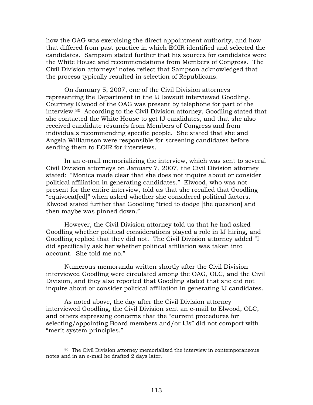<span id="page-117-0"></span>how the OAG was exercising the direct appointment authority, and how that differed from past practice in which EOIR identified and selected the candidates. Sampson stated further that his sources for candidates were the White House and recommendations from Members of Congress. The Civil Division attorneys' notes reflect that Sampson acknowledged that the process typically resulted in selection of Republicans.

On January 5, 2007, one of the Civil Division attorneys representing the Department in the IJ lawsuit interviewed Goodling. Courtney Elwood of the OAG was present by telephone for part of the interview.[8](#page-117-0)0 According to the Civil Division attorney, Goodling stated that she contacted the White House to get IJ candidates, and that she also received candidate résumés from Members of Congress and from individuals recommending specific people. She stated that she and Angela Williamson were responsible for screening candidates before sending them to EOIR for interviews.

In an e-mail memorializing the interview, which was sent to several Civil Division attorneys on January 7, 2007, the Civil Division attorney stated: "Monica made clear that she does not inquire about or consider political affiliation in generating candidates." Elwood, who was not present for the entire interview, told us that she recalled that Goodling "equivocat[ed]" when asked whether she considered political factors. Elwood stated further that Goodling "tried to dodge [the question] and then maybe was pinned down."

However, the Civil Division attorney told us that he had asked Goodling whether political considerations played a role in IJ hiring, and Goodling replied that they did not. The Civil Division attorney added "I did specifically ask her whether political affiliation was taken into account. She told me no."

Numerous memoranda written shortly after the Civil Division interviewed Goodling were circulated among the OAG, OLC, and the Civil Division, and they also reported that Goodling stated that she did not inquire about or consider political affiliation in generating IJ candidates.

As noted above, the day after the Civil Division attorney interviewed Goodling, the Civil Division sent an e-mail to Elwood, OLC, and others expressing concerns that the "current procedures for selecting/appointing Board members and/or IJs" did not comport with "merit system principles."

 <sup>80</sup> The Civil Division attorney memorialized the interview in contemporaneous notes and in an e-mail he drafted 2 days later.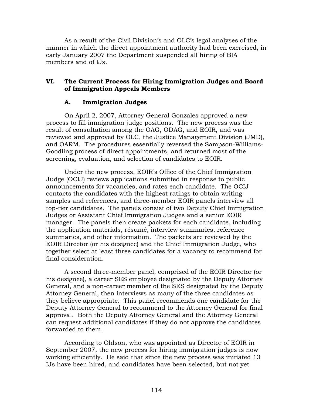As a result of the Civil Division's and OLC's legal analyses of the manner in which the direct appointment authority had been exercised, in early January 2007 the Department suspended all hiring of BIA members and of IJs.

## **VI. The Current Process for Hiring Immigration Judges and Board of Immigration Appeals Members**

### **A. Immigration Judges**

On April 2, 2007, Attorney General Gonzales approved a new process to fill immigration judge positions. The new process was the result of consultation among the OAG, ODAG, and EOIR, and was reviewed and approved by OLC, the Justice Management Division (JMD), and OARM. The procedures essentially reversed the Sampson-Williams-Goodling process of direct appointments, and returned most of the screening, evaluation, and selection of candidates to EOIR.

Under the new process, EOIR's Office of the Chief Immigration Judge (OCIJ) reviews applications submitted in response to public announcements for vacancies, and rates each candidate. The OCIJ contacts the candidates with the highest ratings to obtain writing samples and references, and three-member EOIR panels interview all top-tier candidates. The panels consist of two Deputy Chief Immigration Judges or Assistant Chief Immigration Judges and a senior EOIR manager. The panels then create packets for each candidate, including the application materials, résumé, interview summaries, reference summaries, and other information. The packets are reviewed by the EOIR Director (or his designee) and the Chief Immigration Judge, who together select at least three candidates for a vacancy to recommend for final consideration.

A second three-member panel, comprised of the EOIR Director (or his designee), a career SES employee designated by the Deputy Attorney General, and a non-career member of the SES designated by the Deputy Attorney General, then interviews as many of the three candidates as they believe appropriate. This panel recommends one candidate for the Deputy Attorney General to recommend to the Attorney General for final approval. Both the Deputy Attorney General and the Attorney General can request additional candidates if they do not approve the candidates forwarded to them.

According to Ohlson, who was appointed as Director of EOIR in September 2007, the new process for hiring immigration judges is now working efficiently. He said that since the new process was initiated 13 IJs have been hired, and candidates have been selected, but not yet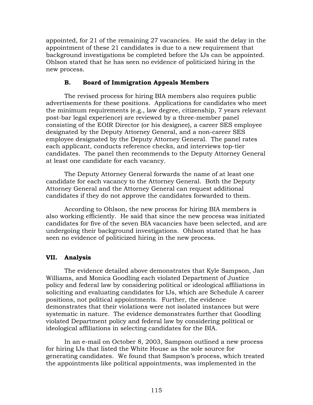appointed, for 21 of the remaining 27 vacancies. He said the delay in the appointment of these 21 candidates is due to a new requirement that background investigations be completed before the IJs can be appointed. Ohlson stated that he has seen no evidence of politicized hiring in the new process.

## **B. Board of Immigration Appeals Members**

The revised process for hiring BIA members also requires public advertisements for these positions. Applications for candidates who meet the minimum requirements (e.g., law degree, citizenship, 7 years relevant post-bar legal experience) are reviewed by a three-member panel consisting of the EOIR Director (or his designee), a career SES employee designated by the Deputy Attorney General, and a non-career SES employee designated by the Deputy Attorney General. The panel rates each applicant, conducts reference checks, and interviews top-tier candidates. The panel then recommends to the Deputy Attorney General at least one candidate for each vacancy.

The Deputy Attorney General forwards the name of at least one candidate for each vacancy to the Attorney General. Both the Deputy Attorney General and the Attorney General can request additional candidates if they do not approve the candidates forwarded to them.

According to Ohlson, the new process for hiring BIA members is also working efficiently. He said that since the new process was initiated candidates for five of the seven BIA vacancies have been selected, and are undergoing their background investigations. Ohlson stated that he has seen no evidence of politicized hiring in the new process.

# **VII. Analysis**

The evidence detailed above demonstrates that Kyle Sampson, Jan Williams, and Monica Goodling each violated Department of Justice policy and federal law by considering political or ideological affiliations in soliciting and evaluating candidates for IJs, which are Schedule A career positions, not political appointments. Further, the evidence demonstrates that their violations were not isolated instances but were systematic in nature. The evidence demonstrates further that Goodling violated Department policy and federal law by considering political or ideological affiliations in selecting candidates for the BIA.

In an e-mail on October 8, 2003, Sampson outlined a new process for hiring IJs that listed the White House as the sole source for generating candidates. We found that Sampson's process, which treated the appointments like political appointments, was implemented in the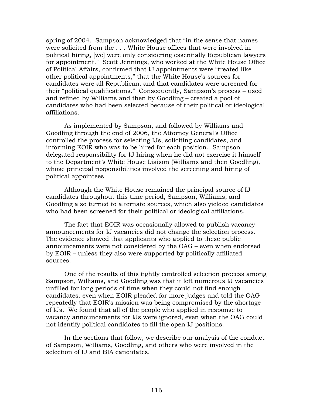spring of 2004. Sampson acknowledged that "in the sense that names were solicited from the . . . White House offices that were involved in political hiring, [we] were only considering essentially Republican lawyers for appointment." Scott Jennings, who worked at the White House Office of Political Affairs, confirmed that IJ appointments were "treated like other political appointments," that the White House's sources for candidates were all Republican, and that candidates were screened for their "political qualifications." Consequently, Sampson's process – used and refined by Williams and then by Goodling – created a pool of candidates who had been selected because of their political or ideological affiliations.

As implemented by Sampson, and followed by Williams and Goodling through the end of 2006, the Attorney General's Office controlled the process for selecting IJs, soliciting candidates, and informing EOIR who was to be hired for each position. Sampson delegated responsibility for IJ hiring when he did not exercise it himself to the Department's White House Liaison (Williams and then Goodling), whose principal responsibilities involved the screening and hiring of political appointees.

Although the White House remained the principal source of IJ candidates throughout this time period, Sampson, Williams, and Goodling also turned to alternate sources, which also yielded candidates who had been screened for their political or ideological affiliations.

The fact that EOIR was occasionally allowed to publish vacancy announcements for IJ vacancies did not change the selection process. The evidence showed that applicants who applied to these public announcements were not considered by the OAG – even when endorsed by EOIR – unless they also were supported by politically affiliated sources.

One of the results of this tightly controlled selection process among Sampson, Williams, and Goodling was that it left numerous IJ vacancies unfilled for long periods of time when they could not find enough candidates, even when EOIR pleaded for more judges and told the OAG repeatedly that EOIR's mission was being compromised by the shortage of IJs. We found that all of the people who applied in response to vacancy announcements for IJs were ignored, even when the OAG could not identify political candidates to fill the open IJ positions.

In the sections that follow, we describe our analysis of the conduct of Sampson, Williams, Goodling, and others who were involved in the selection of IJ and BIA candidates.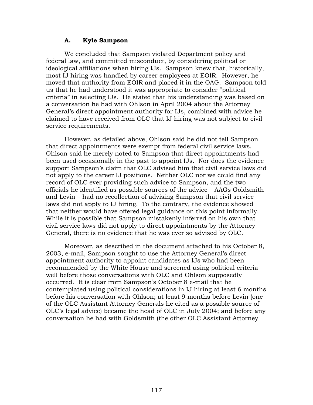#### **A. Kyle Sampson**

We concluded that Sampson violated Department policy and federal law, and committed misconduct, by considering political or ideological affiliations when hiring IJs. Sampson knew that, historically, most IJ hiring was handled by career employees at EOIR. However, he moved that authority from EOIR and placed it in the OAG. Sampson told us that he had understood it was appropriate to consider "political criteria" in selecting IJs. He stated that his understanding was based on a conversation he had with Ohlson in April 2004 about the Attorney General's direct appointment authority for IJs, combined with advice he claimed to have received from OLC that IJ hiring was not subject to civil service requirements.

However, as detailed above, Ohlson said he did not tell Sampson that direct appointments were exempt from federal civil service laws. Ohlson said he merely noted to Sampson that direct appointments had been used occasionally in the past to appoint IJs. Nor does the evidence support Sampson's claim that OLC advised him that civil service laws did not apply to the career IJ positions. Neither OLC nor we could find any record of OLC ever providing such advice to Sampson, and the two officials he identified as possible sources of the advice – AAGs Goldsmith and Levin – had no recollection of advising Sampson that civil service laws did not apply to IJ hiring. To the contrary, the evidence showed that neither would have offered legal guidance on this point informally. While it is possible that Sampson mistakenly inferred on his own that civil service laws did not apply to direct appointments by the Attorney General, there is no evidence that he was ever so advised by OLC.

Moreover, as described in the document attached to his October 8, 2003, e-mail, Sampson sought to use the Attorney General's direct appointment authority to appoint candidates as IJs who had been recommended by the White House and screened using political criteria well before those conversations with OLC and Ohlson supposedly occurred. It is clear from Sampson's October 8 e-mail that he contemplated using political considerations in IJ hiring at least 6 months before his conversation with Ohlson; at least 9 months before Levin (one of the OLC Assistant Attorney Generals he cited as a possible source of OLC's legal advice) became the head of OLC in July 2004; and before any conversation he had with Goldsmith (the other OLC Assistant Attorney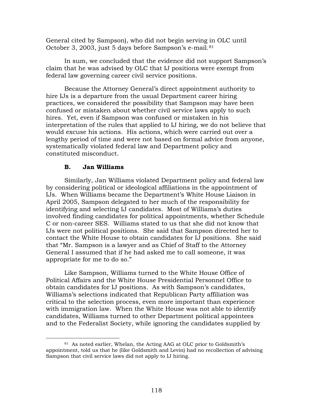<span id="page-122-0"></span>General cited by Sampson), who did not begin serving in OLC until October 3, 2003, just 5 days before Sampson's e-mail.<sup>[81](#page-122-0)</sup>

In sum, we concluded that the evidence did not support Sampson's claim that he was advised by OLC that IJ positions were exempt from federal law governing career civil service positions.

Because the Attorney General's direct appointment authority to hire IJs is a departure from the usual Department career hiring practices, we considered the possibility that Sampson may have been confused or mistaken about whether civil service laws apply to such hires. Yet, even if Sampson was confused or mistaken in his interpretation of the rules that applied to IJ hiring, we do not believe that would excuse his actions. His actions, which were carried out over a lengthy period of time and were not based on formal advice from anyone, systematically violated federal law and Department policy and constituted misconduct.

### **B. Jan Williams**

Similarly, Jan Williams violated Department policy and federal law by considering political or ideological affiliations in the appointment of IJs. When Williams became the Department's White House Liaison in April 2005, Sampson delegated to her much of the responsibility for identifying and selecting IJ candidates. Most of Williams's duties involved finding candidates for political appointments, whether Schedule C or non-career SES. Williams stated to us that she did not know that IJs were not political positions. She said that Sampson directed her to contact the White House to obtain candidates for IJ positions. She said that "Mr. Sampson is a lawyer and as Chief of Staff to the Attorney General I assumed that if he had asked me to call someone, it was appropriate for me to do so."

Like Sampson, Williams turned to the White House Office of Political Affairs and the White House Presidential Personnel Office to obtain candidates for IJ positions. As with Sampson's candidates, Williams's selections indicated that Republican Party affiliation was critical to the selection process, even more important than experience with immigration law. When the White House was not able to identify candidates, Williams turned to other Department political appointees and to the Federalist Society, while ignoring the candidates supplied by

 <sup>81</sup> As noted earlier, Whelan, the Acting AAG at OLC prior to Goldsmith's appointment, told us that he (like Goldsmith and Levin) had no recollection of advising Sampson that civil service laws did not apply to IJ hiring.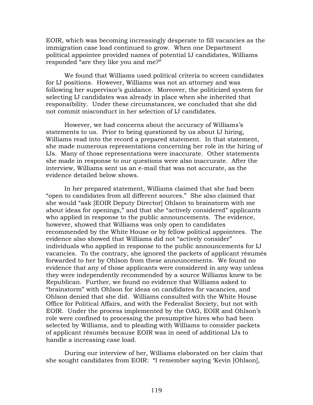EOIR, which was becoming increasingly desperate to fill vacancies as the immigration case load continued to grow. When one Department political appointee provided names of potential IJ candidates, Williams responded "are they like you and me?"

We found that Williams used political criteria to screen candidates for IJ positions. However, Williams was not an attorney and was following her supervisor's guidance. Moreover, the politicized system for selecting IJ candidates was already in place when she inherited that responsibility. Under these circumstances, we concluded that she did not commit misconduct in her selection of IJ candidates.

However, we had concerns about the accuracy of Williams's statements to us. Prior to being questioned by us about IJ hiring, Williams read into the record a prepared statement. In that statement, she made numerous representations concerning her role in the hiring of IJs. Many of those representations were inaccurate. Other statements she made in response to our questions were also inaccurate. After the interview, Williams sent us an e-mail that was not accurate, as the evidence detailed below shows.

In her prepared statement, Williams claimed that she had been "open to candidates from all different sources." She also claimed that she would "ask [EOIR Deputy Director] Ohlson to brainstorm with me about ideas for openings," and that she "actively considered" applicants who applied in response to the public announcements. The evidence, however, showed that Williams was only open to candidates recommended by the White House or by fellow political appointees. The evidence also showed that Williams did not "actively consider" individuals who applied in response to the public announcements for IJ vacancies. To the contrary, she ignored the packets of applicant résumés forwarded to her by Ohlson from these announcements. We found no evidence that any of those applicants were considered in any way unless they were independently recommended by a source Williams knew to be Republican. Further, we found no evidence that Williams asked to "brainstorm" with Ohlson for ideas on candidates for vacancies, and Ohlson denied that she did. Williams consulted with the White House Office for Political Affairs, and with the Federalist Society, but not with EOIR. Under the process implemented by the OAG, EOIR and Ohlson's role were confined to processing the presumptive hires who had been selected by Williams, and to pleading with Williams to consider packets of applicant résumés because EOIR was in need of additional IJs to handle a increasing case load.

During our interview of her, Williams elaborated on her claim that she sought candidates from EOIR: "I remember saying 'Kevin [Ohlson],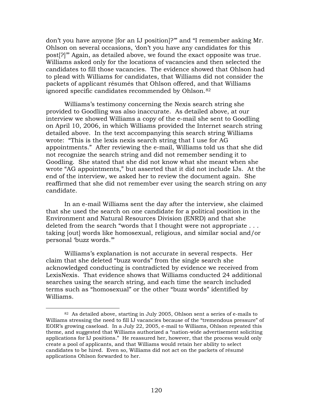<span id="page-124-0"></span>don't you have anyone [for an IJ position]?" and "I remember asking Mr. Ohlson on several occasions, 'don't you have any candidates for this post[?]'" Again, as detailed above, we found the exact opposite was true. Williams asked only for the locations of vacancies and then selected the candidates to fill those vacancies. The evidence showed that Ohlson had to plead with Williams for candidates, that Williams did not consider the packets of applicant résumés that Ohlson offered, and that Williams ignored specific candidates recommended by Ohlson.<sup>[8](#page-124-0)2</sup>

Williams's testimony concerning the Nexis search string she provided to Goodling was also inaccurate. As detailed above, at our interview we showed Williams a copy of the e-mail she sent to Goodling on April 10, 2006, in which Williams provided the Internet search string detailed above. In the text accompanying this search string Williams wrote: "This is the lexis nexis search string that I use for AG appointments." After reviewing the e-mail, Williams told us that she did not recognize the search string and did not remember sending it to Goodling. She stated that she did not know what she meant when she wrote "AG appointments," but asserted that it did not include IJs. At the end of the interview, we asked her to review the document again. She reaffirmed that she did not remember ever using the search string on any candidate.

In an e-mail Williams sent the day after the interview, she claimed that she used the search on one candidate for a political position in the Environment and Natural Resources Division (ENRD) and that she deleted from the search "words that I thought were not appropriate . . . taking [out] words like homosexual, religious, and similar social and/or personal 'buzz words.'"

Williams's explanation is not accurate in several respects. Her claim that she deleted "buzz words" from the single search she acknowledged conducting is contradicted by evidence we received from LexisNexis. That evidence shows that Williams conducted 24 additional searches using the search string, and each time the search included terms such as "homosexual" or the other "buzz words" identified by Williams.

 <sup>82</sup> As detailed above, starting in July 2005, Ohlson sent a series of e-mails to Williams stressing the need to fill IJ vacancies because of the "tremendous pressure" of EOIR's growing caseload. In a July 22, 2005, e-mail to Williams, Ohlson repeated this theme, and suggested that Williams authorized a "nation-wide advertisement soliciting applications for IJ positions." He reassured her, however, that the process would only create a pool of applicants, and that Williams would retain her ability to select candidates to be hired. Even so, Williams did not act on the packets of résumé applications Ohlson forwarded to her.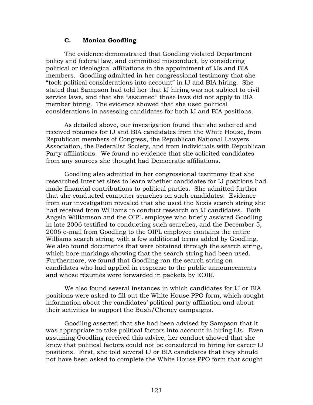#### **C. Monica Goodling**

The evidence demonstrated that Goodling violated Department policy and federal law, and committed misconduct, by considering political or ideological affiliations in the appointment of IJs and BIA members. Goodling admitted in her congressional testimony that she "took political considerations into account" in IJ and BIA hiring. She stated that Sampson had told her that IJ hiring was not subject to civil service laws, and that she "assumed" those laws did not apply to BIA member hiring. The evidence showed that she used political considerations in assessing candidates for both IJ and BIA positions.

As detailed above, our investigation found that she solicited and received résumés for IJ and BIA candidates from the White House, from Republican members of Congress, the Republican National Lawyers Association, the Federalist Society, and from individuals with Republican Party affiliations. We found no evidence that she solicited candidates from any sources she thought had Democratic affiliations.

Goodling also admitted in her congressional testimony that she researched Internet sites to learn whether candidates for IJ positions had made financial contributions to political parties. She admitted further that she conducted computer searches on such candidates. Evidence from our investigation revealed that she used the Nexis search string she had received from Williams to conduct research on IJ candidates. Both Angela Williamson and the OIPL employee who briefly assisted Goodling in late 2006 testified to conducting such searches, and the December 5, 2006 e-mail from Goodling to the OIPL employee contains the entire Williams search string, with a few additional terms added by Goodling. We also found documents that were obtained through the search string, which bore markings showing that the search string had been used. Furthermore, we found that Goodling ran the search string on candidates who had applied in response to the public announcements and whose résumés were forwarded in packets by EOIR.

We also found several instances in which candidates for IJ or BIA positions were asked to fill out the White House PPO form, which sought information about the candidates' political party affiliation and about their activities to support the Bush/Cheney campaigns.

 Goodling asserted that she had been advised by Sampson that it was appropriate to take political factors into account in hiring IJs. Even assuming Goodling received this advice, her conduct showed that she knew that political factors could not be considered in hiring for career IJ positions. First, she told several IJ or BIA candidates that they should not have been asked to complete the White House PPO form that sought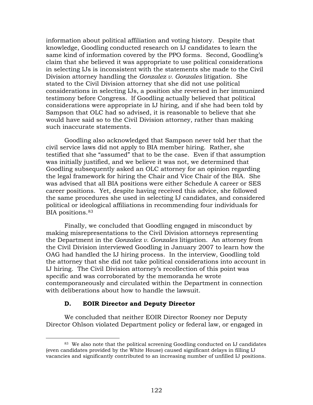<span id="page-126-0"></span>information about political affiliation and voting history. Despite that knowledge, Goodling conducted research on IJ candidates to learn the same kind of information covered by the PPO forms. Second, Goodling's claim that she believed it was appropriate to use political considerations in selecting IJs is inconsistent with the statements she made to the Civil Division attorney handling the *Gonzalez v. Gonzales* litigation. She stated to the Civil Division attorney that she did not use political considerations in selecting IJs, a position she reversed in her immunized testimony before Congress. If Goodling actually believed that political considerations were appropriate in IJ hiring, and if she had been told by Sampson that OLC had so advised, it is reasonable to believe that she would have said so to the Civil Division attorney, rather than making such inaccurate statements.

Goodling also acknowledged that Sampson never told her that the civil service laws did not apply to BIA member hiring. Rather, she testified that she "assumed" that to be the case. Even if that assumption was initially justified, and we believe it was not, we determined that Goodling subsequently asked an OLC attorney for an opinion regarding the legal framework for hiring the Chair and Vice Chair of the BIA. She was advised that all BIA positions were either Schedule A career or SES career positions. Yet, despite having received this advice, she followed the same procedures she used in selecting IJ candidates, and considered political or ideological affiliations in recommending four individuals for BIA positions.<sup>[8](#page-126-0)3</sup>

Finally, we concluded that Goodling engaged in misconduct by making misrepresentations to the Civil Division attorneys representing the Department in the *Gonzalez v. Gonzales* litigation. An attorney from the Civil Division interviewed Goodling in January 2007 to learn how the OAG had handled the IJ hiring process. In the interview, Goodling told the attorney that she did not take political considerations into account in IJ hiring. The Civil Division attorney's recollection of this point was specific and was corroborated by the memoranda he wrote contemporaneously and circulated within the Department in connection with deliberations about how to handle the lawsuit.

### **D. EOIR Director and Deputy Director**

 We concluded that neither EOIR Director Rooney nor Deputy Director Ohlson violated Department policy or federal law, or engaged in

 <sup>83</sup> We also note that the political screening Goodling conducted on IJ candidates (even candidates provided by the White House) caused significant delays in filling IJ vacancies and significantly contributed to an increasing number of unfilled IJ positions.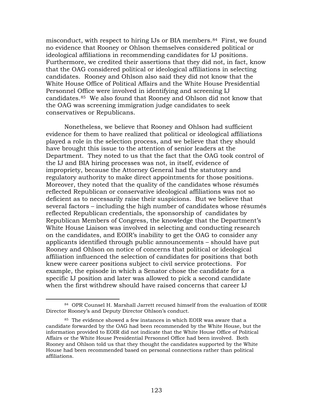<span id="page-127-0"></span>misconduct, with respect to hiring IJs or BIA members.<sup>[84](#page-127-0)</sup> First, we found no evidence that Rooney or Ohlson themselves considered political or ideological affiliations in recommending candidates for IJ positions. Furthermore, we credited their assertions that they did not, in fact, know that the OAG considered political or ideological affiliations in selecting candidates. Rooney and Ohlson also said they did not know that the White House Office of Political Affairs and the White House Presidential Personnel Office were involved in identifying and screening IJ candidates.[85](#page-127-0) We also found that Rooney and Ohlson did not know that the OAG was screening immigration judge candidates to seek conservatives or Republicans.

 Nonetheless, we believe that Rooney and Ohlson had sufficient evidence for them to have realized that political or ideological affiliations played a role in the selection process, and we believe that they should have brought this issue to the attention of senior leaders at the Department. They noted to us that the fact that the OAG took control of the IJ and BIA hiring processes was not, in itself, evidence of impropriety, because the Attorney General had the statutory and regulatory authority to make direct appointments for those positions. Moreover, they noted that the quality of the candidates whose résumés reflected Republican or conservative ideological affiliations was not so deficient as to necessarily raise their suspicions. But we believe that several factors – including the high number of candidates whose résumés reflected Republican credentials, the sponsorship of candidates by Republican Members of Congress, the knowledge that the Department's White House Liaison was involved in selecting and conducting research on the candidates, and EOIR's inability to get the OAG to consider any applicants identified through public announcements – should have put Rooney and Ohlson on notice of concerns that political or ideological affiliation influenced the selection of candidates for positions that both knew were career positions subject to civil service protections. For example, the episode in which a Senator chose the candidate for a specific IJ position and later was allowed to pick a second candidate when the first withdrew should have raised concerns that career IJ

 <sup>84</sup> OPR Counsel H. Marshall Jarrett recused himself from the evaluation of EOIR Director Rooney's and Deputy Director Ohlson's conduct.

<sup>&</sup>lt;sup>85</sup> The evidence showed a few instances in which EOIR was aware that a candidate forwarded by the OAG had been recommended by the White House, but the information provided to EOIR did not indicate that the White House Office of Political Affairs or the White House Presidential Personnel Office had been involved. Both Rooney and Ohlson told us that they thought the candidates supported by the White House had been recommended based on personal connections rather than political affiliations.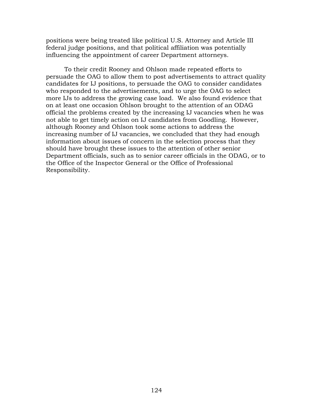positions were being treated like political U.S. Attorney and Article III federal judge positions, and that political affiliation was potentially influencing the appointment of career Department attorneys.

 To their credit Rooney and Ohlson made repeated efforts to persuade the OAG to allow them to post advertisements to attract quality candidates for IJ positions, to persuade the OAG to consider candidates who responded to the advertisements, and to urge the OAG to select more IJs to address the growing case load. We also found evidence that on at least one occasion Ohlson brought to the attention of an ODAG official the problems created by the increasing IJ vacancies when he was not able to get timely action on IJ candidates from Goodling. However, although Rooney and Ohlson took some actions to address the increasing number of IJ vacancies, we concluded that they had enough information about issues of concern in the selection process that they should have brought these issues to the attention of other senior Department officials, such as to senior career officials in the ODAG, or to the Office of the Inspector General or the Office of Professional Responsibility.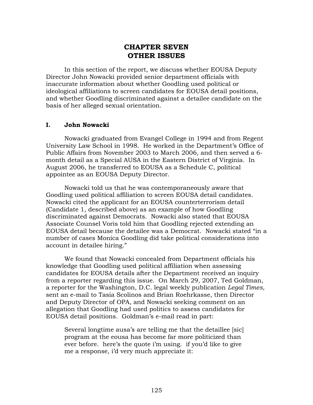# **CHAPTER SEVEN OTHER ISSUES**

In this section of the report, we discuss whether EOUSA Deputy Director John Nowacki provided senior department officials with inaccurate information about whether Goodling used political or ideological affiliations to screen candidates for EOUSA detail positions, and whether Goodling discriminated against a detailee candidate on the basis of her alleged sexual orientation.

### **I. John Nowacki**

Nowacki graduated from Evangel College in 1994 and from Regent University Law School in 1998. He worked in the Department's Office of Public Affairs from November 2003 to March 2006, and then served a 6 month detail as a Special AUSA in the Eastern District of Virginia. In August 2006, he transferred to EOUSA as a Schedule C, political appointee as an EOUSA Deputy Director.

Nowacki told us that he was contemporaneously aware that Goodling used political affiliation to screen EOUSA detail candidates. Nowacki cited the applicant for an EOUSA counterterrorism detail (Candidate 1, described above) as an example of how Goodling discriminated against Democrats. Nowacki also stated that EOUSA Associate Counsel Voris told him that Goodling rejected extending an EOUSA detail because the detailee was a Democrat. Nowacki stated "in a number of cases Monica Goodling did take political considerations into account in detailee hiring."

We found that Nowacki concealed from Department officials his knowledge that Goodling used political affiliation when assessing candidates for EOUSA details after the Department received an inquiry from a reporter regarding this issue. On March 29, 2007, Ted Goldman, a reporter for the Washington, D.C. legal weekly publication *Legal Times*, sent an e-mail to Tasia Scolinos and Brian Roehrkasse, then Director and Deputy Director of OPA, and Nowacki seeking comment on an allegation that Goodling had used politics to assess candidates for EOUSA detail positions. Goldman's e-mail read in part:

Several longtime ausa's are telling me that the detaillee [sic] program at the eousa has become far more politicized than ever before. here's the quote i'm using. if you'd like to give me a response, i'd very much appreciate it: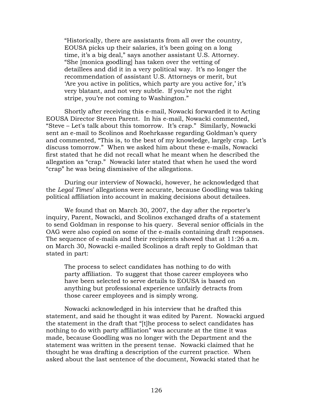"Historically, there are assistants from all over the country, EOUSA picks up their salaries, it's been going on a long time, it's a big deal," says another assistant U.S. Attorney. "She [monica goodling] has taken over the vetting of detaillees and did it in a very political way. It's no longer the recommendation of assistant U.S. Attorneys or merit, but 'Are you active in politics, which party are you active for,' it's very blatant, and not very subtle. If you're not the right stripe, you're not coming to Washington."

Shortly after receiving this e-mail, Nowacki forwarded it to Acting EOUSA Director Steven Parent. In his e-mail, Nowacki commented, "Steve – Let's talk about this tomorrow. It's crap." Similarly, Nowacki sent an e-mail to Scolinos and Roehrkasse regarding Goldman's query and commented, "This is, to the best of my knowledge, largely crap. Let's discuss tomorrow." When we asked him about these e-mails, Nowacki first stated that he did not recall what he meant when he described the allegation as "crap." Nowacki later stated that when he used the word "crap" he was being dismissive of the allegations.

During our interview of Nowacki, however, he acknowledged that the *Legal Times*' allegations were accurate, because Goodling was taking political affiliation into account in making decisions about detailees.

We found that on March 30, 2007, the day after the reporter's inquiry, Parent, Nowacki, and Scolinos exchanged drafts of a statement to send Goldman in response to his query. Several senior officials in the OAG were also copied on some of the e-mails containing draft responses. The sequence of e-mails and their recipients showed that at 11:26 a.m. on March 30, Nowacki e-mailed Scolinos a draft reply to Goldman that stated in part:

The process to select candidates has nothing to do with party affiliation. To suggest that those career employees who have been selected to serve details to EOUSA is based on anything but professional experience unfairly detracts from those career employees and is simply wrong.

Nowacki acknowledged in his interview that he drafted this statement, and said he thought it was edited by Parent. Nowacki argued the statement in the draft that "[t]he process to select candidates has nothing to do with party affiliation" was accurate at the time it was made, because Goodling was no longer with the Department and the statement was written in the present tense. Nowacki claimed that he thought he was drafting a description of the current practice. When asked about the last sentence of the document, Nowacki stated that he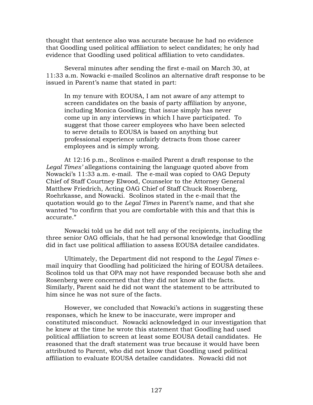thought that sentence also was accurate because he had no evidence that Goodling used political affiliation to select candidates; he only had evidence that Goodling used political affiliation to veto candidates.

Several minutes after sending the first e-mail on March 30, at 11:33 a.m. Nowacki e-mailed Scolinos an alternative draft response to be issued in Parent's name that stated in part:

In my tenure with EOUSA, I am not aware of any attempt to screen candidates on the basis of party affiliation by anyone, including Monica Goodling; that issue simply has never come up in any interviews in which I have participated. To suggest that those career employees who have been selected to serve details to EOUSA is based on anything but professional experience unfairly detracts from those career employees and is simply wrong.

At 12:16 p.m., Scolinos e-mailed Parent a draft response to the *Legal Times'* allegations containing the language quoted above from Nowacki's 11:33 a.m. e-mail. The e-mail was copied to OAG Deputy Chief of Staff Courtney Elwood, Counselor to the Attorney General Matthew Friedrich, Acting OAG Chief of Staff Chuck Rosenberg, Roehrkasse, and Nowacki. Scolinos stated in the e-mail that the quotation would go to the *Legal Times* in Parent's name, and that she wanted "to confirm that you are comfortable with this and that this is accurate."

Nowacki told us he did not tell any of the recipients, including the three senior OAG officials, that he had personal knowledge that Goodling did in fact use political affiliation to assess EOUSA detailee candidates.

Ultimately, the Department did not respond to the *Legal Times* email inquiry that Goodling had politicized the hiring of EOUSA detailees. Scolinos told us that OPA may not have responded because both she and Rosenberg were concerned that they did not know all the facts. Similarly, Parent said he did not want the statement to be attributed to him since he was not sure of the facts.

However, we concluded that Nowacki's actions in suggesting these responses, which he knew to be inaccurate, were improper and constituted misconduct. Nowacki acknowledged in our investigation that he knew at the time he wrote this statement that Goodling had used political affiliation to screen at least some EOUSA detail candidates. He reasoned that the draft statement was true because it would have been attributed to Parent, who did not know that Goodling used political affiliation to evaluate EOUSA detailee candidates. Nowacki did not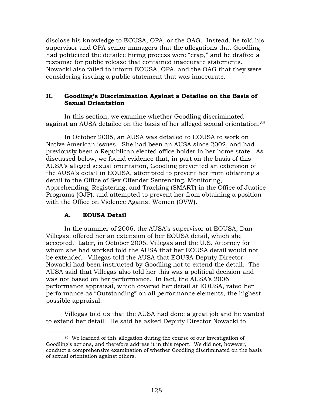<span id="page-132-0"></span>disclose his knowledge to EOUSA, OPA, or the OAG. Instead, he told his supervisor and OPA senior managers that the allegations that Goodling had politicized the detailee hiring process were "crap," and he drafted a response for public release that contained inaccurate statements. Nowacki also failed to inform EOUSA, OPA, and the OAG that they were considering issuing a public statement that was inaccurate.

# **II. Goodling's Discrimination Against a Detailee on the Basis of Sexual Orientation**

In this section, we examine whether Goodling discriminated against an AUSA detailee on the basis of her alleged sexual orientation.<sup>[8](#page-132-0)6</sup>

In October 2005, an AUSA was detailed to EOUSA to work on Native American issues. She had been an AUSA since 2002, and had previously been a Republican elected office holder in her home state. As discussed below, we found evidence that, in part on the basis of this AUSA's alleged sexual orientation, Goodling prevented an extension of the AUSA's detail in EOUSA, attempted to prevent her from obtaining a detail to the Office of Sex Offender Sentencing, Monitoring, Apprehending, Registering, and Tracking (SMART) in the Office of Justice Programs (OJP), and attempted to prevent her from obtaining a position with the Office on Violence Against Women (OVW).

# **A. EOUSA Detail**

In the summer of 2006, the AUSA's supervisor at EOUSA, Dan Villegas, offered her an extension of her EOUSA detail, which she accepted. Later, in October 2006, Villegas and the U.S. Attorney for whom she had worked told the AUSA that her EOUSA detail would not be extended. Villegas told the AUSA that EOUSA Deputy Director Nowacki had been instructed by Goodling not to extend the detail. The AUSA said that Villegas also told her this was a political decision and was not based on her performance. In fact, the AUSA's 2006 performance appraisal, which covered her detail at EOUSA, rated her performance as "Outstanding" on all performance elements, the highest possible appraisal.

Villegas told us that the AUSA had done a great job and he wanted to extend her detail. He said he asked Deputy Director Nowacki to

 <sup>86</sup> We learned of this allegation during the course of our investigation of Goodling's actions, and therefore address it in this report. We did not, however, conduct a comprehensive examination of whether Goodling discriminated on the basis of sexual orientation against others.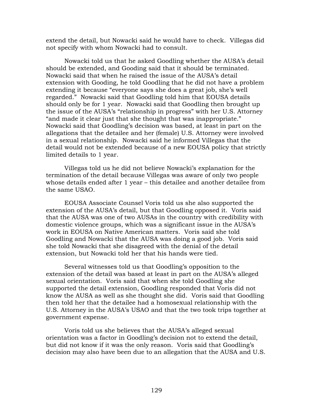extend the detail, but Nowacki said he would have to check. Villegas did not specify with whom Nowacki had to consult.

Nowacki told us that he asked Goodling whether the AUSA's detail should be extended, and Gooding said that it should be terminated. Nowacki said that when he raised the issue of the AUSA's detail extension with Gooding, he told Goodling that he did not have a problem extending it because "everyone says she does a great job, she's well regarded." Nowacki said that Goodling told him that EOUSA details should only be for 1 year. Nowacki said that Goodling then brought up the issue of the AUSA's "relationship in progress" with her U.S. Attorney "and made it clear just that she thought that was inappropriate." Nowacki said that Goodling's decision was based, at least in part on the allegations that the detailee and her (female) U.S. Attorney were involved in a sexual relationship. Nowacki said he informed Villegas that the detail would not be extended because of a new EOUSA policy that strictly limited details to 1 year.

Villegas told us he did not believe Nowacki's explanation for the termination of the detail because Villegas was aware of only two people whose details ended after 1 year – this detailee and another detailee from the same USAO.

EOUSA Associate Counsel Voris told us she also supported the extension of the AUSA's detail, but that Goodling opposed it. Voris said that the AUSA was one of two AUSAs in the country with credibility with domestic violence groups, which was a significant issue in the AUSA's work in EOUSA on Native American matters. Voris said she told Goodling and Nowacki that the AUSA was doing a good job. Voris said she told Nowacki that she disagreed with the denial of the detail extension, but Nowacki told her that his hands were tied.

Several witnesses told us that Goodling's opposition to the extension of the detail was based at least in part on the AUSA's alleged sexual orientation. Voris said that when she told Goodling she supported the detail extension, Goodling responded that Voris did not know the AUSA as well as she thought she did. Voris said that Goodling then told her that the detailee had a homosexual relationship with the U.S. Attorney in the AUSA's USAO and that the two took trips together at government expense.

Voris told us she believes that the AUSA's alleged sexual orientation was a factor in Goodling's decision not to extend the detail, but did not know if it was the only reason. Voris said that Goodling's decision may also have been due to an allegation that the AUSA and U.S.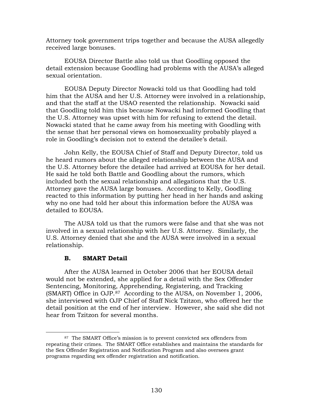<span id="page-134-0"></span>Attorney took government trips together and because the AUSA allegedly received large bonuses.

EOUSA Director Battle also told us that Goodling opposed the detail extension because Goodling had problems with the AUSA's alleged sexual orientation.

EOUSA Deputy Director Nowacki told us that Goodling had told him that the AUSA and her U.S. Attorney were involved in a relationship, and that the staff at the USAO resented the relationship. Nowacki said that Goodling told him this because Nowacki had informed Goodling that the U.S. Attorney was upset with him for refusing to extend the detail. Nowacki stated that he came away from his meeting with Goodling with the sense that her personal views on homosexuality probably played a role in Goodling's decision not to extend the detailee's detail.

John Kelly, the EOUSA Chief of Staff and Deputy Director, told us he heard rumors about the alleged relationship between the AUSA and the U.S. Attorney before the detailee had arrived at EOUSA for her detail. He said he told both Battle and Goodling about the rumors, which included both the sexual relationship and allegations that the U.S. Attorney gave the AUSA large bonuses. According to Kelly, Goodling reacted to this information by putting her head in her hands and asking why no one had told her about this information before the AUSA was detailed to EOUSA.

The AUSA told us that the rumors were false and that she was not involved in a sexual relationship with her U.S. Attorney. Similarly, the U.S. Attorney denied that she and the AUSA were involved in a sexual relationship.

### **B. SMART Detail**

After the AUSA learned in October 2006 that her EOUSA detail would not be extended, she applied for a detail with the Sex Offender Sentencing, Monitoring, Apprehending, Registering, and Tracking (SMART) Office in OJP.[8](#page-134-0)7 According to the AUSA, on November 1, 2006, she interviewed with OJP Chief of Staff Nick Tzitzon, who offered her the detail position at the end of her interview. However, she said she did not hear from Tzitzon for several months.

 <sup>87</sup> The SMART Office's mission is to prevent convicted sex offenders from repeating their crimes. The SMART Office establishes and maintains the standards for the Sex Offender Registration and Notification Program and also oversees grant programs regarding sex offender registration and notification.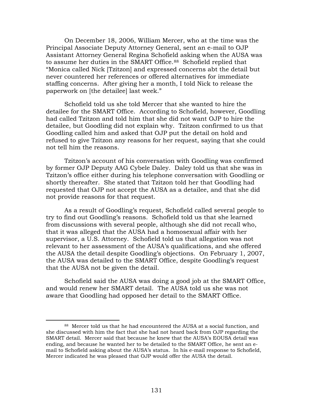<span id="page-135-0"></span>On December 18, 2006, William Mercer, who at the time was the Principal Associate Deputy Attorney General, sent an e-mail to OJP Assistant Attorney General Regina Schofield asking when the AUSA was to assume her duties in the SMART Office.<sup>[88](#page-135-0)</sup> Schofield replied that "Monica called Nick [Tzitzon] and expressed concerns abt the detail but never countered her references or offered alternatives for immediate staffing concerns. After giving her a month, I told Nick to release the paperwork on [the detailee] last week."

Schofield told us she told Mercer that she wanted to hire the detailee for the SMART Office. According to Schofield, however, Goodling had called Tzitzon and told him that she did not want OJP to hire the detailee, but Goodling did not explain why. Tzitzon confirmed to us that Goodling called him and asked that OJP put the detail on hold and refused to give Tzitzon any reasons for her request, saying that she could not tell him the reasons.

Tzitzon's account of his conversation with Goodling was confirmed by former OJP Deputy AAG Cybele Daley. Daley told us that she was in Tzitzon's office either during his telephone conversation with Goodling or shortly thereafter. She stated that Tzitzon told her that Goodling had requested that OJP not accept the AUSA as a detailee, and that she did not provide reasons for that request.

As a result of Goodling's request, Schofield called several people to try to find out Goodling's reasons. Schofield told us that she learned from discussions with several people, although she did not recall who, that it was alleged that the AUSA had a homosexual affair with her supervisor, a U.S. Attorney. Schofield told us that allegation was not relevant to her assessment of the AUSA's qualifications, and she offered the AUSA the detail despite Goodling's objections. On February 1, 2007, the AUSA was detailed to the SMART Office, despite Goodling's request that the AUSA not be given the detail.

Schofield said the AUSA was doing a good job at the SMART Office, and would renew her SMART detail. The AUSA told us she was not aware that Goodling had opposed her detail to the SMART Office.

<sup>88</sup> Mercer told us that he had encountered the AUSA at a social function, and she discussed with him the fact that she had not heard back from OJP regarding the SMART detail. Mercer said that because he knew that the AUSA's EOUSA detail was ending, and because he wanted her to be detailed to the SMART Office, he sent an email to Schofield asking about the AUSA's status. In his e-mail response to Schofield, Mercer indicated he was pleased that OJP would offer the AUSA the detail.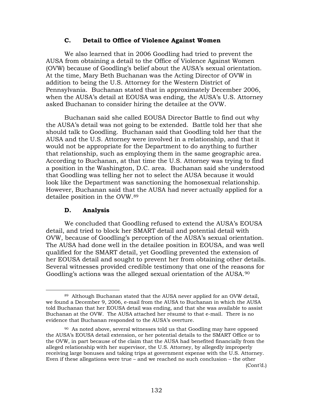#### **C. Detail to Office of Violence Against Women**

<span id="page-136-0"></span>We also learned that in 2006 Goodling had tried to prevent the AUSA from obtaining a detail to the Office of Violence Against Women (OVW) because of Goodling's belief about the AUSA's sexual orientation. At the time, Mary Beth Buchanan was the Acting Director of OVW in addition to being the U.S. Attorney for the Western District of Pennsylvania. Buchanan stated that in approximately December 2006, when the AUSA's detail at EOUSA was ending, the AUSA's U.S. Attorney asked Buchanan to consider hiring the detailee at the OVW.

Buchanan said she called EOUSA Director Battle to find out why the AUSA's detail was not going to be extended. Battle told her that she should talk to Goodling. Buchanan said that Goodling told her that the AUSA and the U.S. Attorney were involved in a relationship, and that it would not be appropriate for the Department to do anything to further that relationship, such as employing them in the same geographic area. According to Buchanan, at that time the U.S. Attorney was trying to find a position in the Washington, D.C. area. Buchanan said she understood that Goodling was telling her not to select the AUSA because it would look like the Department was sanctioning the homosexual relationship. However, Buchanan said that the AUSA had never actually applied for a detailee position in the OVW.[8](#page-136-0)9

### **D. Analysis**

We concluded that Goodling refused to extend the AUSA's EOUSA detail, and tried to block her SMART detail and potential detail with OVW, because of Goodling's perception of the AUSA's sexual orientation. The AUSA had done well in the detailee position in EOUSA, and was well qualified for the SMART detail, yet Goodling prevented the extension of her EOUSA detail and sought to prevent her from obtaining other details. Several witnesses provided credible testimony that one of the reasons for Goodling's actions was the alleged sexual orientation of the AUSA.<sup>[90](#page-136-0)</sup>

<sup>89</sup> Although Buchanan stated that the AUSA never applied for an OVW detail, we found a December 9, 2006, e-mail from the AUSA to Buchanan in which the AUSA told Buchanan that her EOUSA detail was ending, and that she was available to assist Buchanan at the OVW. The AUSA attached her résumé to that e-mail. There is no evidence that Buchanan responded to the AUSA's overture.

<sup>&</sup>lt;sup>90</sup> As noted above, several witnesses told us that Goodling may have opposed the AUSA's EOUSA detail extension, or her potential details to the SMART Office or to the OVW, in part because of the claim that the AUSA had benefited financially from the alleged relationship with her supervisor, the U.S. Attorney, by allegedly improperly receiving large bonuses and taking trips at government expense with the U.S. Attorney. Even if these allegations were true – and we reached no such conclusion – the other (Cont'd.)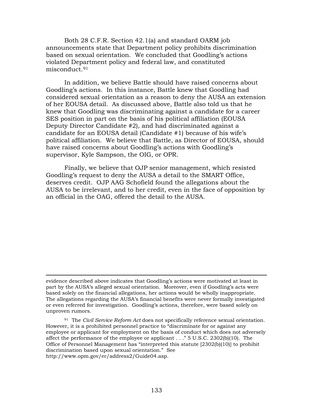<span id="page-137-0"></span>Both 28 C.F.R. Section 42.1(a) and standard OARM job announcements state that Department policy prohibits discrimination based on sexual orientation. We concluded that Goodling's actions violated Department policy and federal law, and constituted misconduct.[91](#page-137-0)

In addition, we believe Battle should have raised concerns about Goodling's actions. In this instance, Battle knew that Goodling had considered sexual orientation as a reason to deny the AUSA an extension of her EOUSA detail. As discussed above, Battle also told us that he knew that Goodling was discriminating against a candidate for a career SES position in part on the basis of his political affiliation (EOUSA Deputy Director Candidate #2), and had discriminated against a candidate for an EOUSA detail (Candidate #1) because of his wife's political affiliation. We believe that Battle, as Director of EOUSA, should have raised concerns about Goodling's actions with Goodling's supervisor, Kyle Sampson, the OIG, or OPR.

Finally, we believe that OJP senior management, which resisted Goodling's request to deny the AUSA a detail to the SMART Office, deserves credit. OJP AAG Schofield found the allegations about the AUSA to be irrelevant, and to her credit, even in the face of opposition by an official in the OAG, offered the detail to the AUSA.

 $\overline{a}$ 

evidence described above indicates that Goodling's actions were motivated at least in part by the AUSA's alleged sexual orientation. Moreover, even if Goodling's acts were based solely on the financial allegations, her actions would be wholly inappropriate. The allegations regarding the AUSA's financial benefits were never formally investigated or even referred for investigation. Goodling's actions, therefore, were based solely on unproven rumors.

<sup>91</sup> The *Civil Service Reform Act* does not specifically reference sexual orientation. However, it is a prohibited personnel practice to "discriminate for or against any employee or applicant for employment on the basis of conduct which does not adversely affect the performance of the employee or applicant . . ." 5 U.S.C. 2302(b)(10). The Office of Personnel Management has "interpreted this statute [2302(b)(10)] to prohibit discrimination based upon sexual orientation." See http://www.opm.gov/er/address2/Guide04.asp.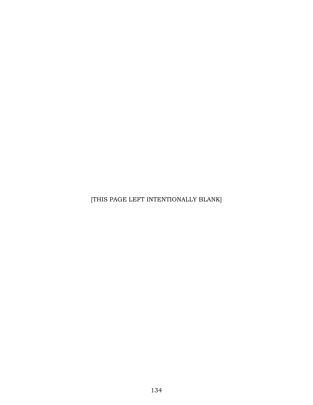[THIS PAGE LEFT INTENTIONALLY BLANK]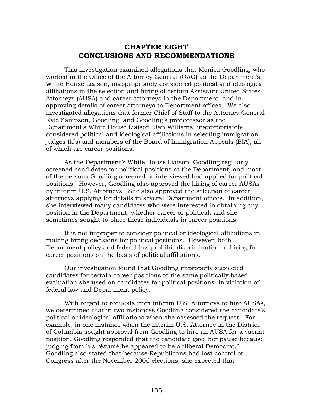# **CHAPTER EIGHT CONCLUSIONS AND RECOMMENDATIONS**

This investigation examined allegations that Monica Goodling, who worked in the Office of the Attorney General (OAG) as the Department's White House Liaison, inappropriately considered political and ideological affiliations in the selection and hiring of certain Assistant United States Attorneys (AUSA) and career attorneys in the Department, and in approving details of career attorneys to Department offices. We also investigated allegations that former Chief of Staff to the Attorney General Kyle Sampson, Goodling, and Goodling's predecessor as the Department's White House Liaison, Jan Williams, inappropriately considered political and ideological affiliations in selecting immigration judges (IJs) and members of the Board of Immigration Appeals (BIA), all of which are career positions.

As the Department's White House Liaison, Goodling regularly screened candidates for political positions at the Department, and most of the persons Goodling screened or interviewed had applied for political positions. However, Goodling also approved the hiring of career AUSAs by interim U.S. Attorneys. She also approved the selection of career attorneys applying for details in several Department offices. In addition, she interviewed many candidates who were interested in obtaining any position in the Department, whether career or political, and she sometimes sought to place these individuals in career positions.

It is not improper to consider political or ideological affiliations in making hiring decisions for political positions. However, both Department policy and federal law prohibit discrimination in hiring for career positions on the basis of political affiliations.

Our investigation found that Goodling improperly subjected candidates for certain career positions to the same politically based evaluation she used on candidates for political positions, in violation of federal law and Department policy.

With regard to requests from interim U.S. Attorneys to hire AUSAs, we determined that in two instances Goodling considered the candidate's political or ideological affiliations when she assessed the request. For example, in one instance when the interim U.S. Attorney in the District of Columbia sought approval from Goodling to hire an AUSA for a vacant position, Goodling responded that the candidate gave her pause because judging from his résumé he appeared to be a "liberal Democrat." Goodling also stated that because Republicans had lost control of Congress after the November 2006 elections, she expected that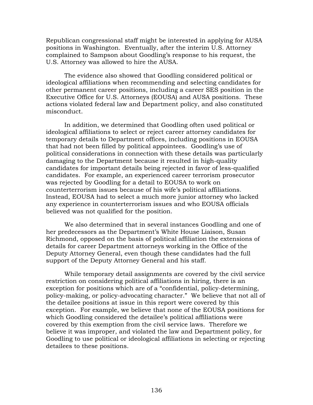Republican congressional staff might be interested in applying for AUSA positions in Washington. Eventually, after the interim U.S. Attorney complained to Sampson about Goodling's response to his request, the U.S. Attorney was allowed to hire the AUSA.

The evidence also showed that Goodling considered political or ideological affiliations when recommending and selecting candidates for other permanent career positions, including a career SES position in the Executive Office for U.S. Attorneys (EOUSA) and AUSA positions. These actions violated federal law and Department policy, and also constituted misconduct.

In addition, we determined that Goodling often used political or ideological affiliations to select or reject career attorney candidates for temporary details to Department offices, including positions in EOUSA that had not been filled by political appointees. Goodling's use of political considerations in connection with these details was particularly damaging to the Department because it resulted in high-quality candidates for important details being rejected in favor of less-qualified candidates. For example, an experienced career terrorism prosecutor was rejected by Goodling for a detail to EOUSA to work on counterterrorism issues because of his wife's political affiliations. Instead, EOUSA had to select a much more junior attorney who lacked any experience in counterterrorism issues and who EOUSA officials believed was not qualified for the position.

We also determined that in several instances Goodling and one of her predecessors as the Department's White House Liaison, Susan Richmond, opposed on the basis of political affiliation the extensions of details for career Department attorneys working in the Office of the Deputy Attorney General, even though these candidates had the full support of the Deputy Attorney General and his staff.

While temporary detail assignments are covered by the civil service restriction on considering political affiliations in hiring, there is an exception for positions which are of a "confidential, policy-determining, policy-making, or policy-advocating character." We believe that not all of the detailee positions at issue in this report were covered by this exception. For example, we believe that none of the EOUSA positions for which Goodling considered the detailee's political affiliations were covered by this exemption from the civil service laws. Therefore we believe it was improper, and violated the law and Department policy, for Goodling to use political or ideological affiliations in selecting or rejecting detailees to these positions.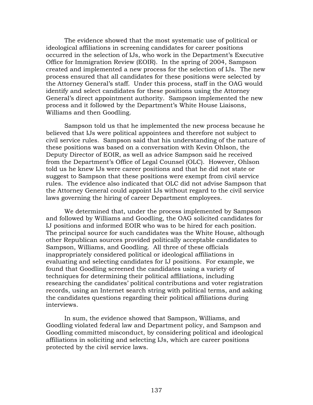The evidence showed that the most systematic use of political or ideological affiliations in screening candidates for career positions occurred in the selection of IJs, who work in the Department's Executive Office for Immigration Review (EOIR). In the spring of 2004, Sampson created and implemented a new process for the selection of IJs. The new process ensured that all candidates for these positions were selected by the Attorney General's staff. Under this process, staff in the OAG would identify and select candidates for these positions using the Attorney General's direct appointment authority. Sampson implemented the new process and it followed by the Department's White House Liaisons, Williams and then Goodling.

Sampson told us that he implemented the new process because he believed that IJs were political appointees and therefore not subject to civil service rules. Sampson said that his understanding of the nature of these positions was based on a conversation with Kevin Ohlson, the Deputy Director of EOIR, as well as advice Sampson said he received from the Department's Office of Legal Counsel (OLC). However, Ohlson told us he knew IJs were career positions and that he did not state or suggest to Sampson that these positions were exempt from civil service rules. The evidence also indicated that OLC did not advise Sampson that the Attorney General could appoint IJs without regard to the civil service laws governing the hiring of career Department employees.

We determined that, under the process implemented by Sampson and followed by Williams and Goodling, the OAG solicited candidates for IJ positions and informed EOIR who was to be hired for each position. The principal source for such candidates was the White House, although other Republican sources provided politically acceptable candidates to Sampson, Williams, and Goodling. All three of these officials inappropriately considered political or ideological affiliations in evaluating and selecting candidates for IJ positions. For example, we found that Goodling screened the candidates using a variety of techniques for determining their political affiliations, including researching the candidates' political contributions and voter registration records, using an Internet search string with political terms, and asking the candidates questions regarding their political affiliations during interviews.

In sum, the evidence showed that Sampson, Williams, and Goodling violated federal law and Department policy, and Sampson and Goodling committed misconduct, by considering political and ideological affiliations in soliciting and selecting IJs, which are career positions protected by the civil service laws.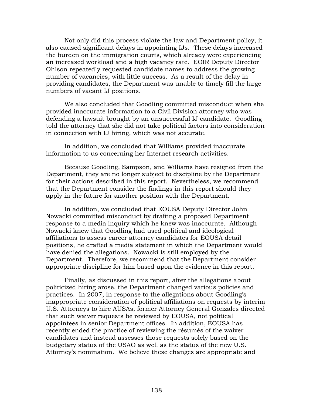Not only did this process violate the law and Department policy, it also caused significant delays in appointing IJs. These delays increased the burden on the immigration courts, which already were experiencing an increased workload and a high vacancy rate. EOIR Deputy Director Ohlson repeatedly requested candidate names to address the growing number of vacancies, with little success. As a result of the delay in providing candidates, the Department was unable to timely fill the large numbers of vacant IJ positions.

We also concluded that Goodling committed misconduct when she provided inaccurate information to a Civil Division attorney who was defending a lawsuit brought by an unsuccessful IJ candidate. Goodling told the attorney that she did not take political factors into consideration in connection with IJ hiring, which was not accurate.

In addition, we concluded that Williams provided inaccurate information to us concerning her Internet research activities.

Because Goodling, Sampson, and Williams have resigned from the Department, they are no longer subject to discipline by the Department for their actions described in this report. Nevertheless, we recommend that the Department consider the findings in this report should they apply in the future for another position with the Department.

In addition, we concluded that EOUSA Deputy Director John Nowacki committed misconduct by drafting a proposed Department response to a media inquiry which he knew was inaccurate. Although Nowacki knew that Goodling had used political and ideological affiliations to assess career attorney candidates for EOUSA detail positions, he drafted a media statement in which the Department would have denied the allegations. Nowacki is still employed by the Department. Therefore, we recommend that the Department consider appropriate discipline for him based upon the evidence in this report.

Finally, as discussed in this report, after the allegations about politicized hiring arose, the Department changed various policies and practices. In 2007, in response to the allegations about Goodling's inappropriate consideration of political affiliations on requests by interim U.S. Attorneys to hire AUSAs, former Attorney General Gonzales directed that such waiver requests be reviewed by EOUSA, not political appointees in senior Department offices. In addition, EOUSA has recently ended the practice of reviewing the résumés of the waiver candidates and instead assesses those requests solely based on the budgetary status of the USAO as well as the status of the new U.S. Attorney's nomination. We believe these changes are appropriate and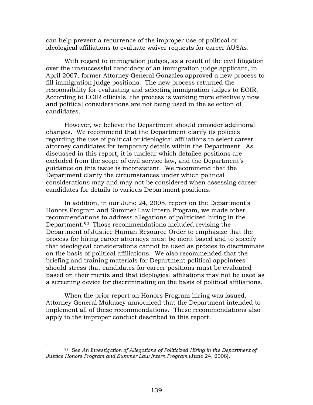<span id="page-143-0"></span>can help prevent a recurrence of the improper use of political or ideological affiliations to evaluate waiver requests for career AUSAs.

With regard to immigration judges, as a result of the civil litigation over the unsuccessful candidacy of an immigration judge applicant, in April 2007, former Attorney General Gonzales approved a new process to fill immigration judge positions. The new process returned the responsibility for evaluating and selecting immigration judges to EOIR. According to EOIR officials, the process is working more effectively now and political considerations are not being used in the selection of candidates.

However, we believe the Department should consider additional changes. We recommend that the Department clarify its policies regarding the use of political or ideological affiliations to select career attorney candidates for temporary details within the Department. As discussed in this report, it is unclear which detailee positions are excluded from the scope of civil service law, and the Department's guidance on this issue is inconsistent. We recommend that the Department clarify the circumstances under which political considerations may and may not be considered when assessing career candidates for details to various Department positions.

In addition, in our June 24, 2008, report on the Department's Honors Program and Summer Law Intern Program, we made other recommendations to address allegations of politicized hiring in the Department.<sup>[9](#page-143-0)2</sup> Those recommendations included revising the Department of Justice Human Resource Order to emphasize that the process for hiring career attorneys must be merit based and to specify that ideological considerations cannot be used as proxies to discriminate on the basis of political affiliations. We also recommended that the briefing and training materials for Department political appointees should stress that candidates for career positions must be evaluated based on their merits and that ideological affiliations may not be used as a screening device for discriminating on the basis of political affiliations.

When the prior report on Honors Program hiring was issued, Attorney General Mukasey announced that the Department intended to implement all of these recommendations. These recommendations also apply to the improper conduct described in this report.

 <sup>92</sup> See *An Investigation of Allegations of Politicized Hiring in the Department of Justice Honors Program and Summer Law Intern Program* (June 24, 2008).